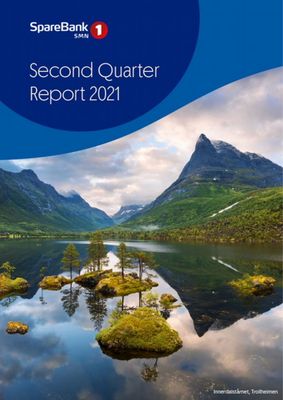

# **Second Quarter** Report 2021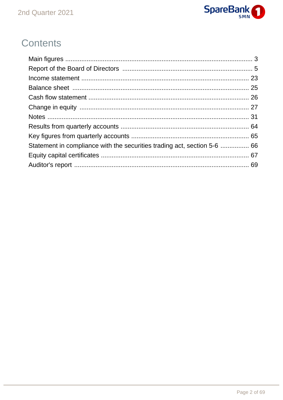

## **Contents**

| Statement in compliance with the securities trading act, section 5-6  66 |  |
|--------------------------------------------------------------------------|--|
|                                                                          |  |
|                                                                          |  |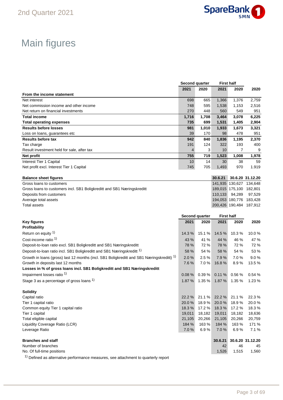

## Main figures

|                                                                                                      | Second quarter                  |                | <b>First half</b> |                       |                         |
|------------------------------------------------------------------------------------------------------|---------------------------------|----------------|-------------------|-----------------------|-------------------------|
|                                                                                                      | 2021                            | 2020           | 2021              | 2020                  | 2020                    |
| From the income statement                                                                            |                                 |                |                   |                       |                         |
| Net interest                                                                                         | 698                             | 665            | 1,366             | 1,376                 | 2,759                   |
| Net commission income and other income                                                               | 748                             | 595            | 1,538             | 1,153                 | 2,516                   |
| Net return on financial investments                                                                  | 270                             | 448            | 560               | 549                   | 951                     |
| <b>Total income</b>                                                                                  | 1,716                           | 1,708          | 3,464             | 3,078                 | 6,225                   |
| <b>Total operating expenses</b>                                                                      | 735                             | 699            | 1,531             | 1,405                 | 2,904                   |
| <b>Results before losses</b>                                                                         | 981                             | 1,010          | 1,933             | 1,673                 | 3,321                   |
| Loss on loans, guarantees etc                                                                        | 39                              | 170            | 98                | 478                   | 951                     |
| <b>Results before tax</b>                                                                            | 942                             | 840            | 1,836             | 1,195                 | 2,370                   |
| Tax charge                                                                                           | 191<br>$\overline{\mathcal{A}}$ | 124<br>3       | 322<br>10         | 193<br>$\overline{7}$ | 400<br>9                |
| Result investment held for sale, after tax                                                           |                                 |                |                   |                       |                         |
| Net profit                                                                                           | 755                             | 719            | 1,523             | 1,008                 | 1,978                   |
| Interest Tier 1 Capital                                                                              | 10                              | 14             | 30                | 38                    | 59                      |
| Net profit excl. Interest Tier 1 Capital                                                             | 745                             | 705            | 1,493             | 970                   | 1.919                   |
| <b>Balance sheet figures</b>                                                                         |                                 |                | 30.6.21           |                       | 30.6.20 31.12.20        |
| Gross loans to customers                                                                             |                                 |                |                   |                       | 141,935 130,627 134,648 |
| Gross loans to customers incl. SB1 Boligkreditt and SB1 Næringskreditt                               |                                 |                |                   |                       | 189,015 175,100 182,801 |
| Deposits from customers                                                                              |                                 |                | 110,133           | 94,289                | 97,529                  |
| Average total assets                                                                                 |                                 |                |                   |                       | 194,053 180,776 183,428 |
| <b>Total assets</b>                                                                                  |                                 |                |                   |                       | 200,426 190,484 187,912 |
|                                                                                                      |                                 |                |                   |                       |                         |
|                                                                                                      |                                 | Second quarter | <b>First half</b> |                       |                         |
| <b>Key figures</b>                                                                                   | 2021                            | 2020           | 2021              | 2020                  | 2020                    |
| Profitability                                                                                        |                                 |                |                   |                       |                         |
| Return on equity 1)                                                                                  | 14.3 %                          | 15.1 %         | 14.5 %            | 10.3%                 | 10.0%                   |
| Cost-income ratio <sup>1)</sup>                                                                      | 43 %                            | 41 %           | 44 %              | 46 %                  | 47 %                    |
| Deposit-to-loan ratio excl. SB1 Boligkreditt and SB1 Næringskreditt                                  | 78 %                            | 72 %           | 78 %              | 72 %                  | 72 %                    |
| Deposit-to-loan ratio incl. SB1 Boligkreditt and SB1 Næringskreditt <sup>1)</sup>                    | 58 %                            | 54 %           | 58 %              | 54 %                  | 53 %                    |
| Growth in loans (gross) last 12 months (incl. SB1 Boligkreditt and SB1 Næringskreditt) <sup>1)</sup> | 2.0%                            | 2.5%           | 7.9%              | 7.0%                  | 9.0%                    |
| Growth in deposits last 12 months                                                                    | 7.6%                            | 7.0%           | 16.8%             | 8.9%                  | 13.5%                   |
| Losses in % of gross loans incl. SB1 Boligkreditt and SB1 Næringskreditt                             |                                 |                |                   |                       |                         |
| Impairment losses ratio 1)                                                                           | 0.08%                           | 0.39%          | 0.11%             | 0.56%                 | 0.54%                   |
| Stage 3 as a percentage of gross loans $1$ )                                                         | 1.87 %                          | 1.35 %         | 1.87 %            | 1.35 %                | 1.23 %                  |
|                                                                                                      |                                 |                |                   |                       |                         |
| Solidity                                                                                             |                                 |                |                   |                       |                         |
| Capital ratio                                                                                        | 22.2 %                          | 21.1%          | 22.2 %            | 21.1%                 | 22.3%                   |
| Tier 1 capital ratio                                                                                 | 20.0%                           | 18.9%          | 20.0%             | 18.9%                 | 20.0%                   |
| Common equity Tier 1 capital ratio                                                                   | 18.3%                           | 17.2 %         | 18.3%             | 17.2 %                | 18.3%                   |
| Tier 1 capital                                                                                       | 19,011                          | 18,182         | 19,011            | 18,182                | 18,636                  |
| Total eligible capital                                                                               | 21,105                          | 20,266         | 21,105            | 20,266                | 20,759                  |
| Liquidity Coverage Ratio (LCR)                                                                       | 184 %                           | 163 %          | 184 %             | 163%                  | 171 %                   |
| Leverage Ratio                                                                                       | 7.0%                            | 6.9%           | 7.0 %             | 6.9%                  | 7.1%                    |
|                                                                                                      |                                 |                |                   |                       |                         |
| <b>Branches and staff</b>                                                                            |                                 |                | 30.6.21           |                       | 30.6.20 31.12.20        |
| Number of branches                                                                                   |                                 |                | 42                | 46                    | 45                      |
| No. Of full-time positions                                                                           |                                 |                | 1,526             | 1,515                 | 1,560                   |

<sup>1)</sup> Defined as alternative performance measures, see attachment to quarterly report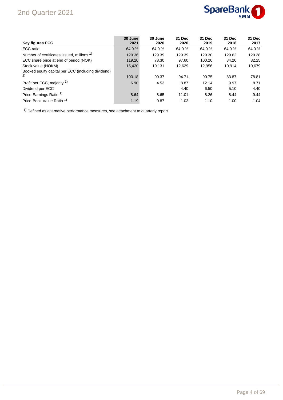## 2nd Quarter 2021



| <b>Key figures ECC</b>                                | 30 June<br>2021 | 30 June<br>2020 | 31 Dec<br>2020 | 31 Dec<br>2019 | 31 Dec<br>2018 | 31 Dec<br>2017 |
|-------------------------------------------------------|-----------------|-----------------|----------------|----------------|----------------|----------------|
| ECC ratio                                             | 64.0 %          | 64.0%           | 64.0%          | 64.0%          | 64.0%          | 64.0%          |
| Number of certificates issued, millions <sup>1)</sup> | 129.36          | 129.39          | 129.39         | 129.30         | 129.62         | 129.38         |
| ECC share price at end of period (NOK)                | 119.20          | 78.30           | 97.60          | 100.20         | 84.20          | 82.25          |
| Stock value (NOKM)                                    | 15.420          | 10.131          | 12.629         | 12.956         | 10.914         | 10,679         |
| Booked equity capital per ECC (including dividend)    |                 |                 |                |                |                |                |
| 2)                                                    | 100.18          | 90.37           | 94.71          | 90.75          | 83.87          | 78.81          |
| Profit per ECC, majority <sup>1)</sup>                | 6.90            | 4.53            | 8.87           | 12.14          | 9.97           | 8.71           |
| Dividend per ECC                                      |                 |                 | 4.40           | 6.50           | 5.10           | 4.40           |
| Price-Earnings Ratio <sup>1)</sup>                    | 8.64            | 8.65            | 11.01          | 8.26           | 8.44           | 9.44           |
| Price-Book Value Ratio <sup>1)</sup>                  | 1.19            | 0.87            | 1.03           | 1.10           | 1.00           | 1.04           |

 $1)$  Defined as alternative performance measures, see attachment to quarterly report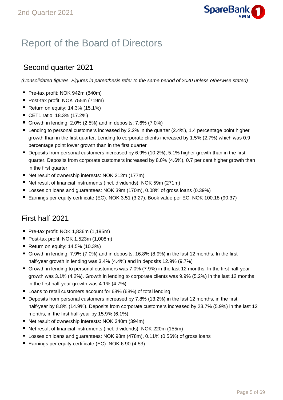

## Report of the Board of Directors

## Second quarter 2021

(Consolidated figures. Figures in parenthesis refer to the same period of 2020 unless otherwise stated)

- Pre-tax profit: NOK 942m (840m)
- Post-tax profit: NOK 755m (719m)
- Return on equity:  $14.3\%$  (15.1%)
- CET1 ratio: 18.3% (17.2%)
- Growth in lending:  $2.0\%$  (2.5%) and in deposits:  $7.6\%$  (7.0%)
- Lending to personal customers increased by 2.2% in the quarter (2.4%), 1.4 percentage point higher growth than in the first quarter. Lending to corporate clients increased by 1.5% (2.7%) which was 0.9 percentage point lower growth than in the first quarter
- Deposits from personal customers increased by 6.9% (10.2%), 5.1% higher growth than in the first quarter. Deposits from corporate customers increased by 8.0% (4.6%), 0.7 per cent higher growth than in the first quarter
- Net result of ownership interests: NOK 212m (177m)
- Net result of financial instruments (incl. dividends): NOK 59m (271m)
- Losses on loans and quarantees: NOK 39m (170m), 0.08% of gross loans (0.39%)
- Earnings per equity certificate (EC): NOK 3.51 (3.27). Book value per EC: NOK 100.18 (90.37)

## First half 2021

- Pre-tax profit: NOK 1,836m (1,195m)
- Post-tax profit: NOK 1,523m (1,008m)
- Return on equity:  $14.5\%$  (10.3%)
- Growth in lending:  $7.9\%$  (7.0%) and in deposits:  $16.8\%$  (8.9%) in the last 12 months. In the first half-year growth in lending was 3.4% (4.4%) and in deposits 12.9% (9.7%)
- Growth in lending to personal customers was 7.0% (7.9%) in the last 12 months. In the first half-year growth was 3.1% (4.2%). Growth in lending to corporate clients was 9.9% (5.2%) in the last 12 months; in the first half-year growth was 4.1% (4.7%)
- Loans to retail customers account for 68% (68%) of total lending
- **Deposits from personal customers increased by 7.8% (13.2%) in the last 12 months, in the first** half-year by 8.8% (14.9%). Deposits from corporate customers increased by 23.7% (5.9%) in the last 12 months, in the first half-year by 15.9% (6.1%).
- Net result of ownership interests: NOK 340m (394m)
- Net result of financial instruments (incl. dividends): NOK 220m (155m)
- Losses on loans and quarantees: NOK 98m (478m), 0.11% (0.56%) of gross loans
- Earnings per equity certificate (EC): NOK 6.90 (4.53).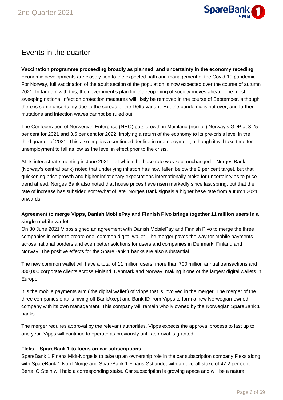

## Events in the quarter

#### **Vaccination programme proceeding broadly as planned, and uncertainty in the economy receding**

Economic developments are closely tied to the expected path and management of the Covid-19 pandemic. For Norway, full vaccination of the adult section of the population is now expected over the course of autumn 2021. In tandem with this, the government's plan for the reopening of society moves ahead. The most sweeping national infection protection measures will likely be removed in the course of September, although there is some uncertainty due to the spread of the Delta variant. But the pandemic is not over, and further mutations and infection waves cannot be ruled out.

The Confederation of Norwegian Enterprise (NHO) puts growth in Mainland (non-oil) Norway's GDP at 3.25 per cent for 2021 and 3.5 per cent for 2022, implying a return of the economy to its pre-crisis level in the third quarter of 2021. This also implies a continued decline in unemployment, although it will take time for unemployment to fall as low as the level in effect prior to the crisis.

At its interest rate meeting in June 2021 – at which the base rate was kept unchanged – Norges Bank (Norway's central bank) noted that underlying inflation has now fallen below the 2 per cent target, but that quickening price growth and higher inflationary expectations internationally make for uncertainty as to price trend ahead. Norges Bank also noted that house prices have risen markedly since last spring, but that the rate of increase has subsided somewhat of late. Norges Bank signals a higher base rate from autumn 2021 onwards.

#### **Agreement to merge Vipps, Danish MobilePay and Finnish Pivo brings together 11 million users in a single mobile wallet**

On 30 June 2021 Vipps signed an agreement with Danish MobilePay and Finnish Pivo to merge the three companies in order to create one, common digital wallet. The merger paves the way for mobile payments across national borders and even better solutions for users and companies in Denmark, Finland and Norway. The positive effects for the SpareBank 1 banks are also substantial.

The new common wallet will have a total of 11 million users, more than 700 million annual transactions and 330,000 corporate clients across Finland, Denmark and Norway, making it one of the largest digital wallets in Europe.

It is the mobile payments arm ('the digital wallet') of Vipps that is involved in the merger. The merger of the three companies entails hiving off BankAxept and Bank ID from Vipps to form a new Norwegian-owned company with its own management. This company will remain wholly owned by the Norwegian SpareBank 1 banks.

The merger requires approval by the relevant authorities. Vipps expects the approval process to last up to one year. Vipps will continue to operate as previously until approval is granted.

#### **Fleks – SpareBank 1 to focus on car subscriptions**

SpareBank 1 Finans Midt-Norge is to take up an ownership role in the car subscription company Fleks along with SpareBank 1 Nord-Norge and SpareBank 1 Finans Østlandet with an overall stake of 47.2 per cent. Bertel O Stein will hold a corresponding stake. Car subscription is growing apace and will be a natural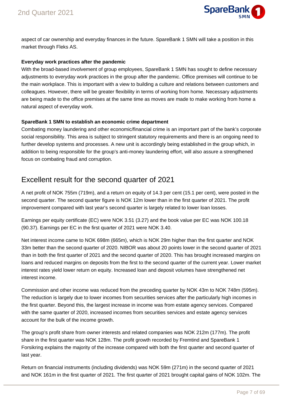

aspect of car ownership and everyday finances in the future. SpareBank 1 SMN will take a position in this market through Fleks AS.

#### **Everyday work practices after the pandemic**

With the broad-based involvement of group employees, SpareBank 1 SMN has sought to define necessary adjustments to everyday work practices in the group after the pandemic. Office premises will continue to be the main workplace. This is important with a view to building a culture and relations between customers and colleagues. However, there will be greater flexibility in terms of working from home. Necessary adjustments are being made to the office premises at the same time as moves are made to make working from home a natural aspect of everyday work.

#### **SpareBank 1 SMN to establish an economic crime department**

Combating money laundering and other economic/financial crime is an important part of the bank's corporate social responsibility. This area is subject to stringent statutory requirements and there is an ongoing need to further develop systems and processes. A new unit is accordingly being established in the group which, in addition to being responsible for the group's anti-money laundering effort, will also assure a strengthened focus on combating fraud and corruption.

### Excellent result for the second quarter of 2021

A net profit of NOK 755m (719m), and a return on equity of 14.3 per cent (15.1 per cent), were posted in the second quarter. The second quarter figure is NOK 12m lower than in the first quarter of 2021. The profit improvement compared with last year's second quarter is largely related to lower loan losses.

Earnings per equity certificate (EC) were NOK 3.51 (3.27) and the book value per EC was NOK 100.18 (90.37). Earnings per EC in the first quarter of 2021 were NOK 3.40.

Net interest income came to NOK 698m (665m), which is NOK 29m higher than the first quarter and NOK 33m better than the second quarter of 2020. NIBOR was about 20 points lower in the second quarter of 2021 than in both the first quarter of 2021 and the second quarter of 2020. This has brought increased margins on loans and reduced margins on deposits from the first to the second quarter of the current year. Lower market interest rates yield lower return on equity. Increased loan and deposit volumes have strengthened net interest income.

Commission and other income was reduced from the preceding quarter by NOK 43m to NOK 748m (595m). The reduction is largely due to lower incomes from securities services after the particularly high incomes in the first quarter. Beyond this, the largest increase in income was from estate agency services. Compared with the same quarter of 2020, increased incomes from securities services and estate agency services account for the bulk of the income growth.

The group's profit share from owner interests and related companies was NOK 212m (177m). The profit share in the first quarter was NOK 128m. The profit growth recorded by Fremtind and SpareBank 1 Forsikring explains the majority of the increase compared with both the first quarter and second quarter of last year.

Return on financial instruments (including dividends) was NOK 59m (271m) in the second quarter of 2021 and NOK 161m in the first quarter of 2021. The first quarter of 2021 brought capital gains of NOK 102m. The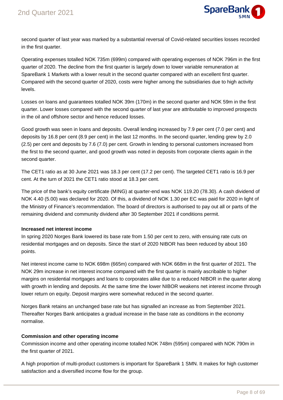

second quarter of last year was marked by a substantial reversal of Covid-related securities losses recorded in the first quarter.

Operating expenses totalled NOK 735m (699m) compared with operating expenses of NOK 796m in the first quarter of 2020. The decline from the first quarter is largely down to lower variable remuneration at SpareBank 1 Markets with a lower result in the second quarter compared with an excellent first quarter. Compared with the second quarter of 2020, costs were higher among the subsidiaries due to high activity levels.

Losses on loans and guarantees totalled NOK 39m (170m) in the second quarter and NOK 59m in the first quarter. Lower losses compared with the second quarter of last year are attributable to improved prospects in the oil and offshore sector and hence reduced losses.

Good growth was seen in loans and deposits. Overall lending increased by 7.9 per cent (7.0 per cent) and deposits by 16.8 per cent (8.9 per cent) in the last 12 months. In the second quarter, lending grew by 2.0 (2.5) per cent and deposits by 7.6 (7.0) per cent. Growth in lending to personal customers increased from the first to the second quarter, and good growth was noted in deposits from corporate clients again in the second quarter.

The CET1 ratio as at 30 June 2021 was 18.3 per cent (17.2 per cent). The targeted CET1 ratio is 16.9 per cent. At the turn of 2021 the CET1 ratio stood at 18.3 per cent.

The price of the bank's equity certificate (MING) at quarter-end was NOK 119.20 (78.30). A cash dividend of NOK 4.40 (5.00) was declared for 2020. Of this, a dividend of NOK 1.30 per EC was paid for 2020 in light of the Ministry of Finance's recommendation. The board of directors is authorised to pay out all or parts of the remaining dividend and community dividend after 30 September 2021 if conditions permit.

#### **Increased net interest income**

In spring 2020 Norges Bank lowered its base rate from 1.50 per cent to zero, with ensuing rate cuts on residential mortgages and on deposits. Since the start of 2020 NIBOR has been reduced by about 160 points.

Net interest income came to NOK 698m (665m) compared with NOK 668m in the first quarter of 2021. The NOK 29m increase in net interest income compared with the first quarter is mainly ascribable to higher margins on residential mortgages and loans to corporates alike due to a reduced NIBOR in the quarter along with growth in lending and deposits. At the same time the lower NIBOR weakens net interest income through lower return on equity. Deposit margins were somewhat reduced in the second quarter.

Norges Bank retains an unchanged base rate but has signalled an increase as from September 2021. Thereafter Norges Bank anticipates a gradual increase in the base rate as conditions in the economy normalise.

#### **Commission and other operating income**

Commission income and other operating income totalled NOK 748m (595m) compared with NOK 790m in the first quarter of 2021.

A high proportion of multi-product customers is important for SpareBank 1 SMN. It makes for high customer satisfaction and a diversified income flow for the group.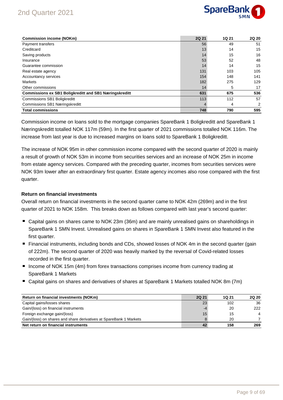## 2nd Quarter 2021



| <b>Commission income (NOKm)</b>                               | <b>2Q 21</b> | <b>1Q 21</b> | 2Q 20 |
|---------------------------------------------------------------|--------------|--------------|-------|
| Payment transfers                                             | 56           | 49           | 51    |
| Creditcard                                                    | 13           | 14           | 15    |
| Saving products                                               | 14           | 15           | 16    |
| Insurance                                                     | 53           | 52           | 48    |
| Guarantee commission                                          | 14           | 14           | 15    |
| Real estate agency                                            | 131          | 103          | 105   |
| Accountancy services                                          | 154          | 148          | 141   |
| <b>Markets</b>                                                | 182          | 275          | 129   |
| Other commissions                                             | 14           | 5            | 17    |
| <b>Commissions ex SB1 Boligkreditt and SB1 Næringskreditt</b> | 631          | 675          | 536   |
| <b>Commissions SB1 Boligkreditt</b>                           | 113          | 112          | 57    |
| Commissions SB1 Næringskreditt                                |              | 4            | 2     |
| <b>Total commissions</b>                                      | 748          | 790          | 595   |

Commission income on loans sold to the mortgage companies SpareBank 1 Boligkreditt and SpareBank 1 Næringskreditt totalled NOK 117m (59m). In the first quarter of 2021 commissions totalled NOK 116m. The increase from last year is due to increased margins on loans sold to SpareBank 1 Boligkreditt.

The increase of NOK 95m in other commission income compared with the second quarter of 2020 is mainly a result of growth of NOK 53m in income from securities services and an increase of NOK 25m in income from estate agency services. Compared with the preceding quarter, incomes from securities services were NOK 93m lower after an extraordinary first quarter. Estate agency incomes also rose compared with the first quarter.

#### **Return on financial investments**

Overall return on financial investments in the second quarter came to NOK 42m (269m) and in the first quarter of 2021 to NOK 158m. This breaks down as follows compared with last year's second quarter:

- Capital gains on shares came to NOK 23m (36m) and are mainly unrealised gains on shareholdings in SpareBank 1 SMN Invest. Unrealised gains on shares in SpareBank 1 SMN Invest also featured in the first quarter.
- Financial instruments, including bonds and CDs, showed losses of NOK 4m in the second quarter (gain of 222m). The second quarter of 2020 was heavily marked by the reversal of Covid-related losses recorded in the first quarter.
- Income of NOK 15m (4m) from forex transactions comprises income from currency trading at SpareBank 1 Markets
- Capital gains on shares and derivatives of shares at SpareBank 1 Markets totalled NOK 8m (7m)

| Return on financial investments (NOKm)                             | <b>2Q 21</b> | 1Q 21 | <b>2Q 20</b>   |
|--------------------------------------------------------------------|--------------|-------|----------------|
| Capital gains/losses shares                                        | 23           | 102   | 36             |
| Gain/(loss) on financial instruments                               | -4           | 20    | 222            |
| Foreign exchange gain/(loss)                                       | 15           | 15    | $\overline{4}$ |
| Gain/(loss) on shares and share derivatives at SpareBank 1 Markets |              | 20    |                |
| Net return on financial instruments                                | 42           | 158   | 269            |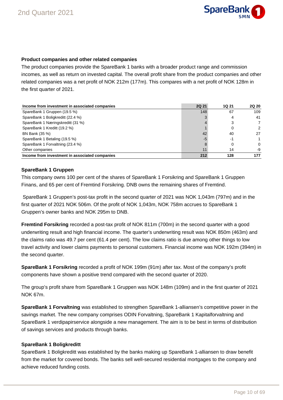

#### **Product companies and other related companies**

The product companies provide the SpareBank 1 banks with a broader product range and commission incomes, as well as return on invested capital. The overall profit share from the product companies and other related companies was a net profit of NOK 212m (177m). This compares with a net profit of NOK 128m in the first quarter of 2021.

| Income from investment in associated companies | <b>2Q 21</b> | <b>1Q 21</b> | <b>2Q 20</b> |
|------------------------------------------------|--------------|--------------|--------------|
| SpareBank 1 Gruppen (19.5 %)                   | 148          | 67           | 109          |
| SpareBank 1 Boligkreditt (22.4 %)              |              | 4            | 41           |
| SpareBank 1 Næringskreditt (31 %)              |              | 3            |              |
| SpareBank 1 Kreditt (19.2 %)                   |              | 0            | 2            |
| BN Bank (35 %)                                 | 42           | 40           | 27           |
| SpareBank 1 Betaling (19.5 %)                  | -5           | -1           |              |
| SpareBank 1 Forvaltning (23.4 %)               |              | 0            | $\Omega$     |
| Other companies                                |              | 14           | -9           |
| Income from investment in associated companies | 212          | 128          | 177          |

#### **SpareBank 1 Gruppen**

This company owns 100 per cent of the shares of SpareBank 1 Forsikring and SpareBank 1 Gruppen Finans, and 65 per cent of Fremtind Forsikring. DNB owns the remaining shares of Fremtind.

 SpareBank 1 Gruppen's post-tax profit in the second quarter of 2021 was NOK 1,043m (797m) and in the first quarter of 2021 NOK 506m. Of the profit of NOK 1,043m, NOK 758m accrues to SpareBank 1 Gruppen's owner banks and NOK 295m to DNB.

**Fremtind Forsikring** recorded a post-tax profit of NOK 811m (700m) in the second quarter with a good underwriting result and high financial income. The quarter's underwriting result was NOK 850m (463m) and the claims ratio was 49.7 per cent (61.4 per cent). The low claims ratio is due among other things to low travel activity and lower claims payments to personal customers. Financial income was NOK 192m (394m) in the second quarter.

**SpareBank 1 Forsikring** recorded a profit of NOK 199m (91m) after tax. Most of the company's profit components have shown a positive trend compared with the second quarter of 2020.

The group's profit share from SpareBank 1 Gruppen was NOK 148m (109m) and in the first quarter of 2021 NOK 67m.

**SpareBank 1 Forvaltning** was established to strengthen SpareBank 1-alliansen's competitive power in the savings market. The new company comprises ODIN Forvaltning, SpareBank 1 Kapitalforvaltning and SpareBank 1 verdipapirservice alongside a new management. The aim is to be best in terms of distribution of savings services and products through banks.

#### **SpareBank 1 Boligkreditt**

SpareBank 1 Boligkreditt was established by the banks making up SpareBank 1-alliansen to draw benefit from the market for covered bonds. The banks sell well-secured residential mortgages to the company and achieve reduced funding costs.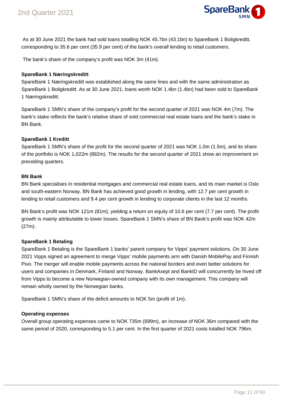

 As at 30 June 2021 the bank had sold loans totalling NOK 45.7bn (43.1bn) to SpareBank 1 Boligkreditt, corresponding to 35.6 per cent (35.9 per cent) of the bank's overall lending to retail customers.

The bank's share of the company's profit was NOK 3m (41m).

#### **SpareBank 1 Næringskreditt**

SpareBank 1 Næringskreditt was established along the same lines and with the same administration as SpareBank 1 Boligkreditt. As at 30 June 2021, loans worth NOK 1.4bn (1.4bn) had been sold to SpareBank 1 Næringskreditt.

SpareBank 1 SMN's share of the company's profit for the second quarter of 2021 was NOK 4m (7m). The bank's stake reflects the bank's relative share of sold commercial real estate loans and the bank's stake in BN Bank.

#### **SpareBank 1 Kreditt**

SpareBank 1 SMN's share of the profit for the second quarter of 2021 was NOK 1.0m (1.5m), and its share of the portfolio is NOK 1,022m (882m). The results for the second quarter of 2021 show an improvement on preceding quarters.

#### **BN Bank**

BN Bank specialises in residential mortgages and commercial real estate loans, and its main market is Oslo and south-eastern Norway. BN Bank has achieved good growth in lending, with 12.7 per cent growth in lending to retail customers and 9.4 per cent growth in lending to corporate clients in the last 12 months.

BN Bank's profit was NOK 121m (81m), yielding a return on equity of 10.6 per cent (7.7 per cent). The profit growth is mainly attributable to lower losses. SpareBank 1 SMN's share of BN Bank's profit was NOK 42m (27m).

#### **SpareBank 1 Betaling**

SpareBank 1 Betaling is the SpareBank 1 banks' parent company for Vipps' payment solutions. On 30 June 2021 Vipps signed an agreement to merge Vipps' mobile payments arm with Danish MobilePay and Finnish Pivo. The merger will enable mobile payments across the national borders and even better solutions for users and companies in Denmark, Finland and Norway. BankAxept and BankID will concurrently be hived off from Vipps to become a new Norwegian-owned company with its own management. This company will remain wholly owned by the Norwegian banks.

SpareBank 1 SMN's share of the deficit amounts to NOK 5m (profit of 1m).

#### **Operating expenses**

Overall group operating expenses came to NOK 735m (699m), an increase of NOK 36m compared with the same period of 2020, corresponding to 5.1 per cent. In the first quarter of 2021 costs totalled NOK 796m.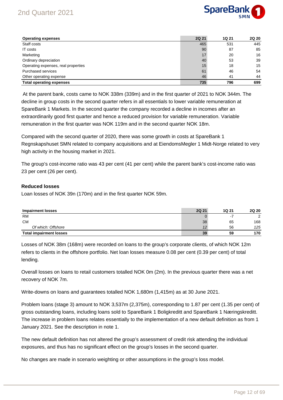## 2nd Quarter 2021



| <b>Operating expenses</b>           | <b>2Q 21</b> | 1Q 21 | <b>2Q 20</b> |
|-------------------------------------|--------------|-------|--------------|
| Staff costs                         | 465          | 531   | 445          |
| IT costs                            | 90           | 87    | 85           |
| Marketing                           | 17           | 20    | 16           |
| Ordinary depreciation               | 40           | 53    | 39           |
| Operating expenses, real properties | 15           | 18    | 15           |
| <b>Purchased services</b>           | 61           | 46    | 54           |
| Other operating expense             | 46           | 41    | 44           |
| <b>Total operating expenses</b>     | 735          | 796   | 699          |

 At the parent bank, costs came to NOK 338m (339m) and in the first quarter of 2021 to NOK 344m. The decline in group costs in the second quarter refers in all essentials to lower variable remuneration at SpareBank 1 Markets. In the second quarter the company recorded a decline in incomes after an extraordinarily good first quarter and hence a reduced provision for variable remuneration. Variable remuneration in the first quarter was NOK 119m and in the second quarter NOK 18m.

Compared with the second quarter of 2020, there was some growth in costs at SpareBank 1 Regnskapshuset SMN related to company acquisitions and at EiendomsMegler 1 Midt-Norge related to very high activity in the housing market in 2021.

The group's cost-income ratio was 43 per cent (41 per cent) while the parent bank's cost-income ratio was 23 per cent (26 per cent).

#### **Reduced losses**

Loan losses of NOK 39n (170m) and in the first quarter NOK 59m.

| <b>Impairment losses</b>       | <b>2Q 21</b> | 1Q 21 | <b>2Q 20</b> |
|--------------------------------|--------------|-------|--------------|
| <b>RM</b>                      |              |       | ົ            |
| <b>CM</b>                      | 38           | 65    | 168          |
| Of which: Offshore             |              | 56    | 125          |
| <b>Total impairment losses</b> | 39           | 59    | 170          |

Losses of NOK 38m (168m) were recorded on loans to the group's corporate clients, of which NOK 12m refers to clients in the offshore portfolio. Net loan losses measure 0.08 per cent (0.39 per cent) of total lending.

Overall losses on loans to retail customers totalled NOK 0m (2m). In the previous quarter there was a net recovery of NOK 7m.

Write-downs on loans and guarantees totalled NOK 1,680m (1,415m) as at 30 June 2021.

Problem loans (stage 3) amount to NOK 3,537m (2,375m), corresponding to 1.87 per cent (1.35 per cent) of gross outstanding loans, including loans sold to SpareBank 1 Boligkreditt and SpareBank 1 Næringskreditt. The increase in problem loans relates essentially to the implementation of a new default definition as from 1 January 2021. See the description in note 1.

The new default definition has not altered the group's assessment of credit risk attending the individual exposures, and thus has no significant effect on the group's losses in the second quarter.

No changes are made in scenario weighting or other assumptions in the group's loss model.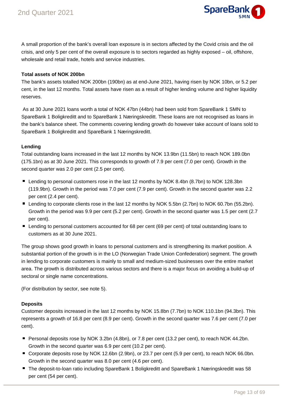

A small proportion of the bank's overall loan exposure is in sectors affected by the Covid crisis and the oil crisis, and only 5 per cent of the overall exposure is to sectors regarded as highly exposed – oil, offshore, wholesale and retail trade, hotels and service industries.

#### **Total assets of NOK 200bn**

The bank's assets totalled NOK 200bn (190bn) as at end-June 2021, having risen by NOK 10bn, or 5.2 per cent, in the last 12 months. Total assets have risen as a result of higher lending volume and higher liquidity reserves.

 As at 30 June 2021 loans worth a total of NOK 47bn (44bn) had been sold from SpareBank 1 SMN to SpareBank 1 Boligkreditt and to SpareBank 1 Næringskreditt. These loans are not recognised as loans in the bank's balance sheet. The comments covering lending growth do however take account of loans sold to SpareBank 1 Boligkreditt and SpareBank 1 Næringskreditt.

#### **Lending**

Total outstanding loans increased in the last 12 months by NOK 13.9bn (11.5bn) to reach NOK 189.0bn (175.1bn) as at 30 June 2021. This corresponds to growth of 7.9 per cent (7.0 per cent). Growth in the second quarter was 2.0 per cent (2.5 per cent).

- Lending to personal customers rose in the last 12 months by NOK 8.4bn (8.7bn) to NOK 128.3bn (119.9bn). Growth in the period was 7.0 per cent (7.9 per cent). Growth in the second quarter was 2.2 per cent (2.4 per cent).
- Lending to corporate clients rose in the last 12 months by NOK 5.5bn (2.7bn) to NOK 60.7bn (55.2bn). Growth in the period was 9.9 per cent (5.2 per cent). Growth in the second quarter was 1.5 per cent (2.7 per cent).
- Lending to personal customers accounted for 68 per cent (69 per cent) of total outstanding loans to customers as at 30 June 2021.

The group shows good growth in loans to personal customers and is strengthening its market position. A substantial portion of the growth is in the LO (Norwegian Trade Union Confederation) segment. The growth in lending to corporate customers is mainly to small and medium-sized businesses over the entire market area. The growth is distributed across various sectors and there is a major focus on avoiding a build-up of sectoral or single name concentrations.

(For distribution by sector, see note 5).

#### **Deposits**

Customer deposits increased in the last 12 months by NOK 15.8bn (7.7bn) to NOK 110.1bn (94.3bn). This represents a growth of 16.8 per cent (8.9 per cent). Growth in the second quarter was 7.6 per cent (7.0 per cent).

- Personal deposits rose by NOK 3.2bn (4.8bn), or 7.8 per cent (13.2 per cent), to reach NOK 44.2bn. Growth in the second quarter was 6.9 per cent (10.2 per cent).
- Corporate deposits rose by NOK 12.6bn (2.9bn), or 23.7 per cent (5.9 per cent), to reach NOK 66.0bn. Growth in the second quarter was 8.0 per cent (4.6 per cent).
- The deposit-to-loan ratio including SpareBank 1 Boligkreditt and SpareBank 1 Næringskreditt was 58 per cent (54 per cent).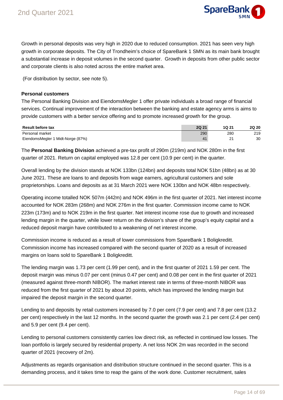

Growth in personal deposits was very high in 2020 due to reduced consumption. 2021 has seen very high growth in corporate deposits. The City of Trondheim's choice of SpareBank 1 SMN as its main bank brought a substantial increase in deposit volumes in the second quarter. Growth in deposits from other public sector and corporate clients is also noted across the entire market area.

(For distribution by sector, see note 5).

#### **Personal customers**

The Personal Banking Division and EiendomsMegler 1 offer private individuals a broad range of financial services. Continual improvement of the interaction between the banking and estate agency arms is aims to provide customers with a better service offering and to promote increased growth for the group.

| <b>Result before tax</b>          | <b>2Q 21</b> | 1Q 21 | <b>2Q 20</b> |
|-----------------------------------|--------------|-------|--------------|
| Personal market                   | 290          | 280   | 219          |
| EiendomsMegler 1 Midt-Norge (87%) |              |       | 30           |

The **Personal Banking Division** achieved a pre-tax profit of 290m (219m) and NOK 280m in the first quarter of 2021. Return on capital employed was 12.8 per cent (10.9 per cent) in the quarter.

Overall lending by the division stands at NOK 133bn (124bn) and deposits total NOK 51bn (48bn) as at 30 June 2021. These are loans to and deposits from wage earners, agricultural customers and sole proprietorships. Loans and deposits as at 31 March 2021 were NOK 130bn and NOK 48bn respectively.

Operating income totalled NOK 507m (442m) and NOK 496m in the first quarter of 2021. Net interest income accounted for NOK 283m (268m) and NOK 276m in the first quarter. Commission income came to NOK 223m (173m) and to NOK 219m in the first quarter. Net interest income rose due to growth and increased lending margin in the quarter, while lower return on the division's share of the group's equity capital and a reduced deposit margin have contributed to a weakening of net interest income.

Commission income is reduced as a result of lower commissions from SpareBank 1 Boligkreditt. Commission income has increased compared with the second quarter of 2020 as a result of increased margins on loans sold to SpareBank 1 Boligkreditt.

The lending margin was 1.73 per cent (1.99 per cent), and in the first quarter of 2021 1.59 per cent. The deposit margin was minus 0.07 per cent (minus 0.47 per cent) and 0.08 per cent in the first quarter of 2021 (measured against three-month NIBOR). The market interest rate in terms of three-month NIBOR was reduced from the first quarter of 2021 by about 20 points, which has improved the lending margin but impaired the deposit margin in the second quarter.

Lending to and deposits by retail customers increased by 7.0 per cent (7.9 per cent) and 7.8 per cent (13.2 per cent) respectively in the last 12 months. In the second quarter the growth was 2.1 per cent (2.4 per cent) and 5.9 per cent (9.4 per cent).

Lending to personal customers consistently carries low direct risk, as reflected in continued low losses. The loan portfolio is largely secured by residential property. A net loss NOK 2m was recorded in the second quarter of 2021 (recovery of 2m).

Adjustments as regards organisation and distribution structure continued in the second quarter. This is a demanding process, and it takes time to reap the gains of the work done. Customer recruitment, sales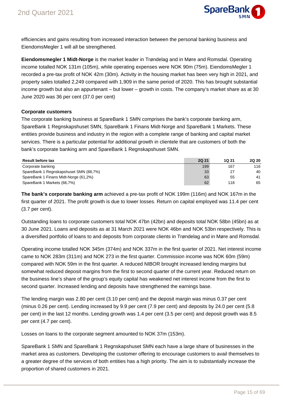

efficiencies and gains resulting from increased interaction between the personal banking business and EiendomsMegler 1 will all be strengthened.

**Eiendomsmegler 1 Midt-Norge** is the market leader in Trøndelag and in Møre and Romsdal. Operating income totalled NOK 131m (105m), while operating expenses were NOK 90m (75m). EiendomsMegler 1 recorded a pre-tax profit of NOK 42m (30m). Activity in the housing market has been very high in 2021, and property sales totalled 2,249 compared with 1,909 in the same period of 2020. This has brought substantial income growth but also an appurtenant – but lower – growth in costs. The company's market share as at 30 June 2020 was 36 per cent (37.0 per cent)

#### **Corporate customers**

The corporate banking business at SpareBank 1 SMN comprises the bank's corporate banking arm, SpareBank 1 Regnskapshuset SMN, SpareBank 1 Finans Midt-Norge and SpareBank 1 Markets. These entities provide business and industry in the region with a complete range of banking and capital market services. There is a particular potential for additional growth in clientele that are customers of both the bank's corporate banking arm and SpareBank 1 Regnskapshuset SMN.

| <b>Result before tax</b>               | <b>2Q 21</b> | <b>1Q 21</b> | <b>2Q 20</b> |
|----------------------------------------|--------------|--------------|--------------|
| Corporate banking                      | 199          | 167          | 116          |
| SpareBank 1 Regnskapshuset SMN (88,7%) | 33           | 27           | 40           |
| SpareBank 1 Finans Midt-Norge (61,2%)  | 63           | 55           | 41           |
| SpareBank 1 Markets (66,7%)            | 62           | 118          | 65           |

**The bank's corporate banking arm** achieved a pre-tax profit of NOK 199m (116m) and NOK 167m in the first quarter of 2021. The profit growth is due to lower losses. Return on capital employed was 11.4 per cent (3.7 per cent).

Outstanding loans to corporate customers total NOK 47bn (42bn) and deposits total NOK 58bn (45bn) as at 30 June 2021. Loans and deposits as at 31 March 2021 were NOK 46bn and NOK 53bn respectively. This is a diversified portfolio of loans to and deposits from corporate clients in Trøndelag and in Møre and Romsdal.

Operating income totalled NOK 345m (374m) and NOK 337m in the first quarter of 2021. Net interest income came to NOK 283m (311m) and NOK 273 in the first quarter. Commission income was NOK 60m (59m) compared with NOK 59m in the first quarter. A reduced NIBOR brought increased lending margins but somewhat reduced deposit margins from the first to second quarter of the current year. Reduced return on the business line's share of the group's equity capital has weakened net interest income from the first to second quarter. Increased lending and deposits have strengthened the earnings base.

The lending margin was 2.80 per cent (3.10 per cent) and the deposit margin was minus 0.37 per cent (minus 0.26 per cent). Lending increased by 9.9 per cent (7.9 per cent) and deposits by 24.0 per cent (5.8 per cent) in the last 12 months. Lending growth was 1.4 per cent (3.5 per cent) and deposit growth was 8.5 per cent (4.7 per cent).

Losses on loans to the corporate segment amounted to NOK 37m (153m).

SpareBank 1 SMN and SpareBank 1 Regnskapshuset SMN each have a large share of businesses in the market area as customers. Developing the customer offering to encourage customers to avail themselves to a greater degree of the services of both entities has a high priority. The aim is to substantially increase the proportion of shared customers in 2021.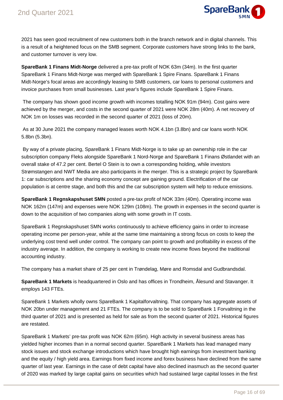

2021 has seen good recruitment of new customers both in the branch network and in digital channels. This is a result of a heightened focus on the SMB segment. Corporate customers have strong links to the bank, and customer turnover is very low.

**SpareBank 1 Finans Midt-Norge** delivered a pre-tax profit of NOK 63m (34m). In the first quarter SpareBank 1 Finans Midt-Norge was merged with SpareBank 1 Spire Finans. SpareBank 1 Finans Midt-Norge's focal areas are accordingly leasing to SMB customers, car loans to personal customers and invoice purchases from small businesses. Last year's figures include SpareBank 1 Spire Finans.

 The company has shown good income growth with incomes totalling NOK 91m (94m). Cost gains were achieved by the merger, and costs in the second quarter of 2021 were NOK 28m (40m). A net recovery of NOK 1m on losses was recorded in the second quarter of 2021 (loss of 20m).

 As at 30 June 2021 the company managed leases worth NOK 4.1bn (3.8bn) and car loans worth NOK 5.8bn (5.3bn).

 By way of a private placing, SpareBank 1 Finans Midt-Norge is to take up an ownership role in the car subscription company Fleks alongside SpareBank 1 Nord-Norge and SpareBank 1 Finans Østlandet with an overall stake of 47.2 per cent. Bertel O Stein is to own a corresponding holding, while investors Strømstangen and NWT Media are also participants in the merger. This is a strategic project by SpareBank 1: car subscriptions and the sharing economy concept are gaining ground. Electrification of the car population is at centre stage, and both this and the car subscription system will help to reduce emissions.

**SpareBank 1 Regnskapshuset SMN** posted a pre-tax profit of NOK 33m (40m). Operating income was NOK 162m (147m) and expenses were NOK 129m (108m). The growth in expenses in the second quarter is down to the acquisition of two companies along with some growth in IT costs.

SpareBank 1 Regnskapshuset SMN works continuously to achieve efficiency gains in order to increase operating income per person-year, while at the same time maintaining a strong focus on costs to keep the underlying cost trend well under control. The company can point to growth and profitability in excess of the industry average. In addition, the company is working to create new income flows beyond the traditional accounting industry.

The company has a market share of 25 per cent in Trøndelag, Møre and Romsdal and Gudbrandsdal.

**SpareBank 1 Markets** is headquartered in Oslo and has offices in Trondheim, Ålesund and Stavanger. It employs 143 FTEs.

SpareBank 1 Markets wholly owns SpareBank 1 Kapitalforvaltning. That company has aggregate assets of NOK 20bn under management and 21 FTEs. The company is to be sold to SpareBank 1 Forvaltning in the third quarter of 2021 and is presented as held for sale as from the second quarter of 2021. Historical figures are restated.

SpareBank 1 Markets' pre-tax profit was NOK 62m (65m). High activity in several business areas has yielded higher incomes than in a normal second quarter. SpareBank 1 Markets has lead managed many stock issues and stock exchange introductions which have brought high earnings from investment banking and the equity / high yield area. Earnings from fixed income and forex business have declined from the same quarter of last year. Earnings in the case of debt capital have also declined inasmuch as the second quarter of 2020 was marked by large capital gains on securities which had sustained large capital losses in the first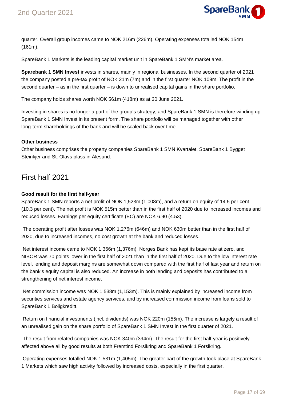

quarter. Overall group incomes came to NOK 216m (226m). Operating expenses totalled NOK 154m (161m).

SpareBank 1 Markets is the leading capital market unit in SpareBank 1 SMN's market area.

**Sparebank 1 SMN Invest** invests in shares, mainly in regional businesses. In the second quarter of 2021 the company posted a pre-tax profit of NOK 21m (7m) and in the first quarter NOK 109m. The profit in the second quarter – as in the first quarter – is down to unrealised capital gains in the share portfolio.

The company holds shares worth NOK 561m (418m) as at 30 June 2021.

Investing in shares is no longer a part of the group's strategy, and SpareBank 1 SMN is therefore winding up SpareBank 1 SMN Invest in its present form. The share portfolio will be managed together with other long-term shareholdings of the bank and will be scaled back over time.

#### **Other business**

Other business comprises the property companies SpareBank 1 SMN Kvartalet, SpareBank 1 Bygget Steinkjer and St. Olavs plass in Ålesund.

### First half 2021

#### **Good result for the first half-year**

SpareBank 1 SMN reports a net profit of NOK 1,523m (1,008m), and a return on equity of 14.5 per cent (10.3 per cent). The net profit is NOK 515m better than in the first half of 2020 due to increased incomes and reduced losses. Earnings per equity certificate (EC) are NOK 6.90 (4.53).

 The operating profit after losses was NOK 1,276m (646m) and NOK 630m better than in the first half of 2020, due to increased incomes, no cost growth at the bank and reduced losses.

 Net interest income came to NOK 1,366m (1,376m). Norges Bank has kept its base rate at zero, and NIBOR was 70 points lower in the first half of 2021 than in the first half of 2020. Due to the low interest rate level, lending and deposit margins are somewhat down compared with the first half of last year and return on the bank's equity capital is also reduced. An increase in both lending and deposits has contributed to a strengthening of net interest income.

 Net commission income was NOK 1,538m (1,153m). This is mainly explained by increased income from securities services and estate agency services, and by increased commission income from loans sold to SpareBank 1 Boligkreditt.

 Return on financial investments (incl. dividends) was NOK 220m (155m). The increase is largely a result of an unrealised gain on the share portfolio of SpareBank 1 SMN Invest in the first quarter of 2021.

 The result from related companies was NOK 340m (394m). The result for the first half-year is positively affected above all by good results at both Fremtind Forsikring and SpareBank 1 Forsikring.

 Operating expenses totalled NOK 1,531m (1,405m). The greater part of the growth took place at SpareBank 1 Markets which saw high activity followed by increased costs, especially in the first quarter.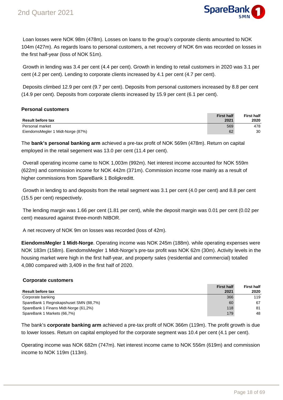

 Loan losses were NOK 98m (478m). Losses on loans to the group's corporate clients amounted to NOK 104m (427m). As regards loans to personal customers, a net recovery of NOK 6m was recorded on losses in the first half-year (loss of NOK 51m).

 Growth in lending was 3.4 per cent (4.4 per cent). Growth in lending to retail customers in 2020 was 3.1 per cent (4.2 per cent). Lending to corporate clients increased by 4.1 per cent (4.7 per cent).

 Deposits climbed 12.9 per cent (9.7 per cent). Deposits from personal customers increased by 8.8 per cent (14.9 per cent). Deposits from corporate clients increased by 15.9 per cent (6.1 per cent).

#### **Personal customers**

| <b>Result before tax</b>          | <b>First half</b><br>2021 | <b>First half</b><br>2020 |
|-----------------------------------|---------------------------|---------------------------|
| Personal market                   | 569                       | 478                       |
| EiendomsMegler 1 Midt-Norge (87%) | 62                        | 30                        |

The **bank's personal banking arm** achieved a pre-tax profit of NOK 569m (478m). Return on capital employed in the retail segement was 13.0 per cent (11.4 per cent).

 Overall operating income came to NOK 1,003m (992m). Net interest income accounted for NOK 559m (622m) and commission income for NOK 442m (371m). Commission income rose mainly as a result of higher commissions from SpareBank 1 Boligkreditt.

 Growth in lending to and deposits from the retail segment was 3.1 per cent (4.0 per cent) and 8.8 per cent (15.5 per cent) respectively.

 The lending margin was 1.66 per cent (1.81 per cent), while the deposit margin was 0.01 per cent (0.02 per cent) measured against three-month NIBOR.

A net recovery of NOK 9m on losses was recorded (loss of 42m).

**EiendomsMegler 1 Midt-Norge**. Operating income was NOK 245m (188m). while operating expenses were NOK 183m (158m). EiendomsMegler 1 Midt-Norge's pre-tax profit was NOK 62m (30m). Activity levels in the housing market were high in the first half-year, and property sales (residential and commercial) totalled 4,080 compared with 3,409 in the first half of 2020.

#### **Corporate customers**

|                                        | <b>First half</b> | <b>First half</b> |
|----------------------------------------|-------------------|-------------------|
| <b>Result before tax</b>               | 2021              | 2020              |
| Corporate banking                      | 366               | 119               |
| SpareBank 1 Regnskapshuset SMN (88,7%) | 60                | 67                |
| SpareBank 1 Finans Midt-Norge (61,2%)  | 118               | 81                |
| SpareBank 1 Markets (66,7%)            | 179               | 48                |

The bank's **corporate banking arm** achieved a pre-tax profit of NOK 366m (119m). The profit growth is due to lower losses. Return on capital employed for the corporate segment was 10.4 per cent (4.1 per cent).

Operating income was NOK 682m (747m). Net interest income came to NOK 556m (619m) and commission income to NOK 119m (113m).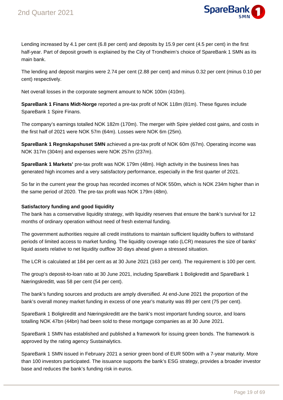

Lending increased by 4.1 per cent (6.8 per cent) and deposits by 15.9 per cent (4.5 per cent) in the first half-year. Part of deposit growth is explained by the City of Trondheim's choice of SpareBank 1 SMN as its main bank.

The lending and deposit margins were 2.74 per cent (2.88 per cent) and minus 0.32 per cent (minus 0.10 per cent) respectively.

Net overall losses in the corporate segment amount to NOK 100m (410m).

**SpareBank 1 Finans Midt-Norge** reported a pre-tax profit of NOK 118m (81m). These figures include SpareBank 1 Spire Finans.

The company's earnings totalled NOK 182m (170m). The merger with Spire yielded cost gains, and costs in the first half of 2021 were NOK 57m (64m). Losses were NOK 6m (25m).

**SpareBank 1 Regnskapshuset SMN** achieved a pre-tax profit of NOK 60m (67m). Operating income was NOK 317m (304m) and expenses were NOK 257m (237m).

**SpareBank 1 Markets'** pre-tax profit was NOK 179m (48m). High activity in the business lines has generated high incomes and a very satisfactory performance, especially in the first quarter of 2021.

So far in the current year the group has recorded incomes of NOK 550m, which is NOK 234m higher than in the same period of 2020. The pre-tax profit was NOK 179m (48m).

#### **Satisfactory funding and good liquidity**

The bank has a conservative liquidity strategy, with liquidity reserves that ensure the bank's survival for 12 months of ordinary operation without need of fresh external funding.

The government authorities require all credit institutions to maintain sufficient liquidity buffers to withstand periods of limited access to market funding. The liquidity coverage ratio (LCR) measures the size of banks' liquid assets relative to net liquidity outflow 30 days ahead given a stressed situation.

The LCR is calculated at 184 per cent as at 30 June 2021 (163 per cent). The requirement is 100 per cent.

The group's deposit-to-loan ratio at 30 June 2021, including SpareBank 1 Boligkreditt and SpareBank 1 Næringskreditt, was 58 per cent (54 per cent).

The bank's funding sources and products are amply diversified. At end-June 2021 the proportion of the bank's overall money market funding in excess of one year's maturity was 89 per cent (75 per cent).

SpareBank 1 Boligkreditt and Næringskreditt are the bank's most important funding source, and loans totalling NOK 47bn (44bn) had been sold to these mortgage companies as at 30 June 2021.

SpareBank 1 SMN has established and published a framework for issuing green bonds. The framework is approved by the rating agency Sustainalytics.

SpareBank 1 SMN issued in February 2021 a senior green bond of EUR 500m with a 7-year maturity. More than 100 investors participated. The issuance supports the bank's ESG strategy, provides a broader investor base and reduces the bank's funding risk in euros.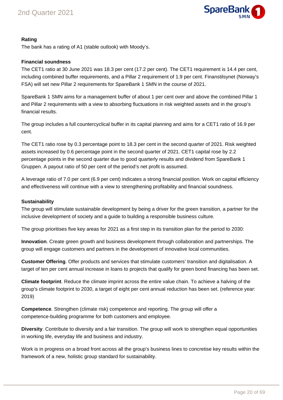

#### **Rating**

The bank has a rating of A1 (stable outlook) with Moody's.

#### **Financial soundness**

The CET1 ratio at 30 June 2021 was 18.3 per cent (17.2 per cent). The CET1 requirement is 14.4 per cent, including combined buffer requirements, and a Pillar 2 requirement of 1.9 per cent. Finanstilsynet (Norway's FSA) will set new Pillar 2 requirements for SpareBank 1 SMN in the course of 2021.

SpareBank 1 SMN aims for a management buffer of about 1 per cent over and above the combined Pillar 1 and Pillar 2 requirements with a view to absorbing fluctuations in risk weighted assets and in the group's financial results.

The group includes a full countercyclical buffer in its capital planning and aims for a CET1 ratio of 16.9 per cent.

The CET1 ratio rose by 0.3 percentage point to 18.3 per cent in the second quarter of 2021. Risk weighted assets increased by 0.6 percentage point in the second quarter of 2021. CET1 capital rose by 2.2 percentage points in the second quarter due to good quarterly results and dividend from SpareBank 1 Gruppen. A payout ratio of 50 per cent of the period's net profit is assumed.

A leverage ratio of 7.0 per cent (6.9 per cent) indicates a strong financial position. Work on capital efficiency and effectiveness will continue with a view to strengthening profitability and financial soundness.

#### **Sustainability**

The group will stimulate sustainable development by being a driver for the green transition, a partner for the inclusive development of society and a guide to building a responsible business culture.

The group prioritises five key areas for 2021 as a first step in its transition plan for the period to 2030:

**Innovation**. Create green growth and business development through collaboration and partnerships. The group will engage customers and partners in the development of innovative local communities.

**Customer Offering**. Offer products and services that stimulate customers' transition and digitalisation. A target of ten per cent annual increase in loans to projects that qualify for green bond financing has been set.

**Climate footprint**. Reduce the climate imprint across the entire value chain. To achieve a halving of the group's climate footprint to 2030, a target of eight per cent annual reduction has been set. (reference year: 2019)

**Competence**. Strengthen (climate risk) competence and reporting. The group will offer a competence-building programme for both customers and employee.

**Diversity**. Contribute to diversity and a fair transition. The group will work to strengthen equal opportunities in working life, everyday life and business and industry.

Work is in progress on a broad front across all the group's business lines to concretise key results within the framework of a new, holistic group standard for sustainability.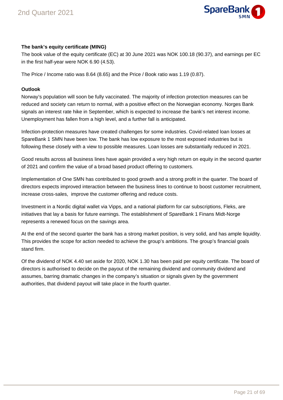

#### **The bank's equity certificate (MING)**

The book value of the equity certificate (EC) at 30 June 2021 was NOK 100.18 (90.37), and earnings per EC in the first half-year were NOK 6.90 (4.53).

The Price / Income ratio was 8.64 (8.65) and the Price / Book ratio was 1.19 (0.87).

#### **Outlook**

Norway's population will soon be fully vaccinated. The majority of infection protection measures can be reduced and society can return to normal, with a positive effect on the Norwegian economy. Norges Bank signals an interest rate hike in September, which is expected to increase the bank's net interest income. Unemployment has fallen from a high level, and a further fall is anticipated.

Infection-protection measures have created challenges for some industries. Covid-related loan losses at SpareBank 1 SMN have been low. The bank has low exposure to the most exposed industries but is following these closely with a view to possible measures. Loan losses are substantially reduced in 2021.

Good results across all business lines have again provided a very high return on equity in the second quarter of 2021 and confirm the value of a broad based product offering to customers.

Implementation of One SMN has contributed to good growth and a strong profit in the quarter. The board of directors expects improved interaction between the business lines to continue to boost customer recruitment, increase cross-sales, improve the customer offering and reduce costs.

Investment in a Nordic digital wallet via Vipps, and a national platform for car subscriptions, Fleks, are initiatives that lay a basis for future earnings. The establishment of SpareBank 1 Finans Midt-Norge represents a renewed focus on the savings area.

At the end of the second quarter the bank has a strong market position, is very solid, and has ample liquidity. This provides the scope for action needed to achieve the group's ambitions. The group's financial goals stand firm.

Of the dividend of NOK 4.40 set aside for 2020, NOK 1.30 has been paid per equity certificate. The board of directors is authorised to decide on the payout of the remaining dividend and community dividend and assumes, barring dramatic changes in the company's situation or signals given by the government authorities, that dividend payout will take place in the fourth quarter.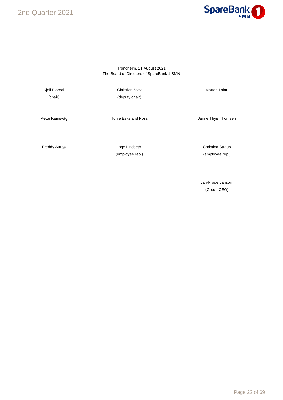2nd Quarter 2021



#### Trondheim, 11 August 2021 The Board of Directors of SpareBank 1 SMN

Kjell Bjordal **Morten Loktu** Christian Stav **Morten Loktu** Morten Loktu (chair) (deputy chair)

Mette Kamsvåg **National Tonie Eskeland Foss** France Channe Thyø Thomsen

Freddy Aursø **Inge Lindseth** Christina Straub

(employee rep.) (employee rep.)

Jan-Frode Janson (Group CEO)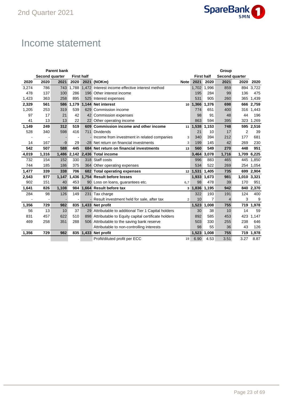

## Income statement

| <b>Parent bank</b><br>Group |                |       |                   |  |                                                                           |                                        |                   |                |                |      |              |
|-----------------------------|----------------|-------|-------------------|--|---------------------------------------------------------------------------|----------------------------------------|-------------------|----------------|----------------|------|--------------|
|                             | Second quarter |       | <b>First half</b> |  |                                                                           |                                        | <b>First half</b> |                | Second quarter |      |              |
| 2020                        | 2020           | 2021  | 2020              |  | 2021 (NOKm)                                                               | <b>Note</b>                            | 2021              | 2020           | 2021           | 2020 | 2020         |
| 3,274                       | 786            | 743   | 1.788             |  | 1.472 Interest income effective interest method                           |                                        |                   | 1,702 1,996    | 859            |      | 894 3,722    |
| 478                         | 137            | 100   | 286               |  | 196 Other interest income                                                 |                                        | 195               | 284            | 99             | 136  | 475          |
| 1,423                       | 363            | 258   | 895               |  | 525 Interest expenses                                                     | 531<br>905<br>260<br>10 1,366<br>1,376 |                   |                |                |      | 365<br>1,439 |
| 2,329                       | 561            | 586   | 1,179             |  | 1,144 Net interest                                                        |                                        |                   |                | 698            |      | 666 2,759    |
| 1,205                       | 253            | 319   | 539               |  | 629 Commission income                                                     |                                        | 774               | 651            | 400            | 316  | 1,443        |
| 97                          | 17             | 21    | 42                |  | 42 Commission expenses                                                    |                                        | 98                | 91             | 48             | 44   | 196          |
| 41                          | 13             | 13    | 22                |  | 22 Other operating income                                                 |                                        | 863               | 594            | 395            | 323  | 1.269        |
| 1,149                       | 249            | 312   | 519               |  | 609 Commission income and other income                                    | 11                                     | 1,538             | 1,153          | 748            |      | 595 2,516    |
| 528                         | 340            | 598   | 416               |  | 711 Dividends                                                             |                                        | 21                | 10             | 17             | 2    | 39           |
|                             |                |       |                   |  | - Income from investment in related companies                             | 3                                      | 340               | 394            | 212            | 177  | 681          |
| 14                          | 167            | $-9$  | 29                |  | -28 Net return on financial investments                                   | 3                                      | 199               | 145            | 42             | 269  | 230          |
| 542                         | 507            | 588   | 445               |  | 549<br>684 Net return on financial investments<br>560<br>270<br>448<br>13 |                                        |                   |                |                |      | 951          |
| 4,019                       | 1,316          | 1,486 |                   |  | 2,142 2,436 Total income                                                  |                                        | 3,464 3,078       |                | 1,716          |      | 1,709 6,225  |
| 732                         | 154            | 152   | 330               |  | 318 Staff costs                                                           |                                        | 996               | 883            | 465            | 445  | 1,850        |
| 744                         | 185            | 186   | 375               |  | 364 Other operating expenses                                              |                                        | 534               | 522            | 269            |      | 254 1,054    |
| 1,477                       | 339            | 338   | 706               |  | 682 Total operating expenses                                              |                                        | 12 1,531 1,405    |                | 735            |      | 699 2,904    |
| 2,543                       | 977            | 1,147 |                   |  | 1.436 1.754 Result before losses                                          |                                        |                   | 1,933 1,673    | 981            |      | 1,010 3,321  |
| 902                         | 151            | 40    | 453               |  | 90 Loss on loans, guarantees etc.                                         | 6,7                                    | 98                | 478            | 39             | 170  | 951          |
| 1,641                       | 826            | 1,108 | 984               |  | 1,664 Result before tax                                                   | 3                                      | 1,836             | 1,195          | 942            |      | 840 2,370    |
| 284                         | 98             | 126   | 149               |  | 231 Tax charge                                                            |                                        | 322               | 193            | 191            | 124  | 400          |
|                             |                |       |                   |  | - Result investment held for sale, after tax                              | $\overline{2}$                         | 10                | $\overline{7}$ | 4              | 3    | 9            |
| 1,356                       | 729            | 982   | 835               |  | 1,433 Net profit                                                          |                                        | 1,523             | 1.008          | 755            |      | 719 1,978    |
| 56                          | 13             | 10    | 37                |  | 29 Attributable to additional Tier 1 Capital holders                      |                                        | 30                | 38             | 10             | 14   | 59           |
| 831                         | 457            | 622   | 510               |  | 898 Attributable to Equity capital certificate holders                    |                                        | 892               | 585            | 453            | 423  | 1,147        |
| 469                         | 258            | 351   | 288               |  | 506 Attributable to the saving bank reserve                               |                                        | 503               | 330            | 255            | 238  | 646          |
|                             |                |       |                   |  | Attributable to non-controlling interests                                 |                                        | 98                | 55             | 36             | 43   | 126          |
| 1,356                       | 729            | 982   |                   |  | 835 1,433 Net profit                                                      |                                        | 1,523             | 1.008          | 755            | 719  | 1,978        |
|                             |                |       |                   |  | Profit/diluted profit per ECC                                             | 19                                     | 6.90              | 4.53           | 3.51           | 3.27 | 8.87         |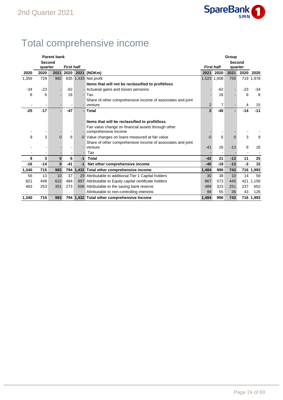

## Total comprehensive income

|       |         | <b>Parent bank</b> |                   |                          |                                                             |                   | Group       |                |       |           |  |  |  |  |
|-------|---------|--------------------|-------------------|--------------------------|-------------------------------------------------------------|-------------------|-------------|----------------|-------|-----------|--|--|--|--|
|       | Second  |                    |                   |                          |                                                             |                   |             | Second         |       |           |  |  |  |  |
|       | quarter |                    | <b>First half</b> |                          |                                                             | <b>First half</b> |             | quarter        |       |           |  |  |  |  |
| 2020  | 2020    | 2021               | 2020              |                          | 2021 (NOKm)                                                 | 2021              | 2020        | 2021           | 2020  | 2020      |  |  |  |  |
| 1,356 | 729     | 982                |                   |                          | 835 1,433 Net profit                                        |                   | 1,523 1,008 | 755            |       | 719 1,978 |  |  |  |  |
|       |         |                    |                   |                          | Items that will not be reclassified to profit/loss          |                   |             |                |       |           |  |  |  |  |
| $-34$ | $-23$   |                    | $-62$             |                          | - Actuarial gains and losses pensions                       |                   | $-62$       |                | $-23$ | $-34$     |  |  |  |  |
| 8     | 6       |                    | 16                |                          | - Tax                                                       |                   | 16          |                | 6     | 8         |  |  |  |  |
|       |         |                    |                   |                          | Share of other comprehensive income of associates and joint |                   |             |                |       |           |  |  |  |  |
|       |         |                    |                   |                          | - venture                                                   | 2                 | 7           |                | 4     | 15        |  |  |  |  |
| $-25$ | $-17$   | $\overline{a}$     | $-47$             |                          | - Total                                                     | $\mathbf{2}$      | $-40$       | $\blacksquare$ | $-14$ | $-11$     |  |  |  |  |
|       |         |                    |                   |                          |                                                             |                   |             |                |       |           |  |  |  |  |
|       |         |                    |                   |                          | Items that will be reclassified to profit/loss              |                   |             |                |       |           |  |  |  |  |
|       |         |                    |                   |                          | Fair value change on financial assets through other         |                   |             |                |       |           |  |  |  |  |
|       |         |                    |                   |                          | comprehensive income                                        |                   |             |                |       |           |  |  |  |  |
| 9     | 3       | $\overline{0}$     | 6                 |                          | -0 Value changes on loans measured at fair value            | $-0$              | 6           | $\Omega$       | 3     | 9         |  |  |  |  |
|       |         |                    |                   |                          | Share of other comprehensive income of associates and joint |                   |             |                |       |           |  |  |  |  |
|       |         |                    |                   |                          | venture                                                     | $-41$             | 16          | $-13$          | 8     | 16        |  |  |  |  |
|       |         |                    |                   | $\overline{\phantom{a}}$ | Tax                                                         |                   | ٠           |                |       |           |  |  |  |  |
| 9     | 3       | $\mathbf{0}$       | 6                 | $-1$                     | Total                                                       | $-42$             | 21          | $-13$          | 11    | 25        |  |  |  |  |
| $-16$ | $-14$   | $\bf{0}$           | $-41$             | $-1$                     | Net other comprehensive income                              | $-40$             | $-19$       | $-13$          | $-3$  | 15        |  |  |  |  |
| 1,340 | 715     | 983                |                   |                          | 794 1,432 Total other comprehensive income                  | 1,484             | 990         | 743            |       | 716 1,993 |  |  |  |  |
| 56    | 13      | 10                 | 37                |                          | 29 Attributable to additional Tier 1 Capital holders        | 30                | 38          | 10             | 14    | 59        |  |  |  |  |
| 821   | 448     | 622                | 484               |                          | 897 Attributable to Equity capital certificate holders      | 867               | 573         | 445            | 421   | 1,156     |  |  |  |  |
| 463   | 253     | 351                | 273               |                          | 506 Attributable to the saving bank reserve                 | 489               | 323         | 251            | 237   | 652       |  |  |  |  |
|       |         |                    |                   |                          | Attributable to non-controlling interests                   | 98                | 55          | 36             | 43    | 126       |  |  |  |  |
| 1,340 | 715     | 983                |                   |                          | 794 1,432 Total other comprehensive Income                  | 1.484             | 990         | 743            |       | 716 1,993 |  |  |  |  |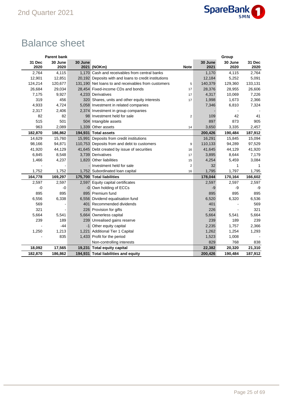

## Balance sheet

|         | <b>Parent bank</b> |         |                                                       |                |         | Group   |         |
|---------|--------------------|---------|-------------------------------------------------------|----------------|---------|---------|---------|
| 31 Dec  | 30 June            | 30 June |                                                       |                | 30 June | 30 June | 31 Dec  |
| 2020    | 2020               |         | 2021 (NOKm)                                           | <b>Note</b>    | 2021    | 2020    | 2020    |
| 2,764   | 4,115              |         | 1,170 Cash and receivables from central banks         |                | 1,170   | 4,115   | 2,764   |
| 12,901  | 12,851             |         | 20,192 Deposits with and loans to credit institutions |                | 12,184  | 5,252   | 5,091   |
| 124,214 | 120,677            |         | 131,190 Net loans to and receivables from customers   | 5              | 140,379 | 129,360 | 133,131 |
| 26,684  | 29,034             |         | 28,454 Fixed-income CDs and bonds                     | 17             | 28,376  | 28,955  | 26,606  |
| 7,175   | 9,927              |         | 4,233 Derivatives                                     | 17             | 4,317   | 10,069  | 7,226   |
| 319     | 456                |         | 320 Shares, units and other equity interests          | 17             | 1,998   | 1,673   | 2,366   |
| 4,933   | 4,724              |         | 5,058 Investment in related companies                 |                | 7,346   | 6,810   | 7,324   |
| 2,317   | 2,406              |         | 2,374 Investment in group companies                   |                |         |         |         |
| 82      | 82                 |         | 98 Investment held for sale                           | $\overline{2}$ | 109     | 42      | 41      |
| 515     | 501                |         | 504 Intangible assets                                 |                | 897     | 873     | 905     |
| 963     | 2,089              |         | 1,339 Other assets                                    | 14             | 3,650   | 3,335   | 2,457   |
| 182,870 | 186,862            |         | 194,931 Total assets                                  |                | 200,426 | 190,484 | 187,912 |
| 14,629  | 15,760             |         | 15,991 Deposits from credit institutions              |                | 16,291  | 15,845  | 15,094  |
| 98,166  | 94,871             |         | 110,753 Deposits from and debt to customers           | 9              | 110,133 | 94,289  | 97,529  |
| 41,920  | 44,129             |         | 41,645 Debt created by issue of securities            | 16             | 41,645  | 44,129  | 41,920  |
| 6,845   | 8,548              |         | 3,739 Derivatives                                     | 17             | 3,895   | 8,644   | 7,179   |
| 1,466   | 4,237              |         | 1,820 Other liabilities                               | 15             | 4,254   | 5,459   | 3,084   |
|         |                    |         | Investment held for sale                              | $\overline{2}$ | 32      | 1       |         |
| 1,752   | 1,752              |         | 1,752 Subordinated loan capital                       | 16             | 1,795   | 1,797   | 1,795   |
| 164,778 | 169,297            |         | 175,700 Total liabilities                             |                | 178,044 | 170,164 | 166,602 |
| 2,597   | 2,597              |         | 2,597 Equity capital certificates                     |                | 2,597   | 2,597   | 2,597   |
| -0      | $-0$               |         | -0 Own holding of ECCs                                |                | -9      | -9      | -9      |
| 895     | 895                |         | 895 Premium fund                                      |                | 895     | 895     | 895     |
| 6,556   | 6,338              |         | 6,556 Dividend equalisation fund                      |                | 6,520   | 6,320   | 6,536   |
| 569     |                    |         | 401 Recommended dividends                             |                | 401     |         | 569     |
| 321     |                    |         | 226 Provision for gifts                               |                | 226     |         | 321     |
| 5,664   | 5,541              |         | 5,664 Ownerless capital                               |                | 5,664   | 5,541   | 5,664   |
| 239     | 189                |         | 239 Unrealised gains reserve                          |                | 239     | 189     | 239     |
|         | $-44$              |         | -1 Other equity capital                               |                | 2,235   | 1,757   | 2,366   |
| 1,250   | 1,213              |         | 1,221 Additional Tier 1 Capital                       |                | 1,262   | 1,254   | 1,293   |
|         | 835                |         | 1,433 Profit for the period                           |                | 1,523   | 1,008   |         |
|         |                    |         | Non-controlling interests                             |                | 829     | 768     | 838     |
| 18,092  | 17,565             |         | 19,231 Total equity capital                           |                | 22,382  | 20,320  | 21,310  |
| 182,870 | 186,862            |         | 194,931 Total liabilities and equity                  |                | 200,426 | 190,484 | 187,912 |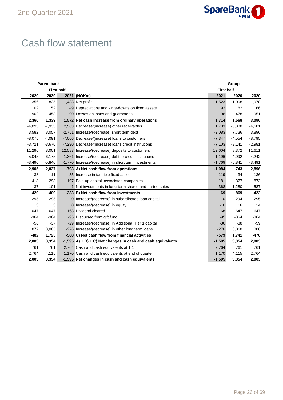

## Cash flow statement

|          | <b>Parent bank</b> | Group             |                                                                |                   |          |          |  |
|----------|--------------------|-------------------|----------------------------------------------------------------|-------------------|----------|----------|--|
|          |                    | <b>First half</b> |                                                                | <b>First half</b> |          |          |  |
| 2020     | 2020               |                   | 2021 (NOKm)                                                    | 2021              | 2020     | 2020     |  |
| 1,356    | 835                |                   | 1,433 Net profit                                               | 1,523             | 1,008    | 1,978    |  |
| 102      | 52                 |                   | 49 Depreciations and write-downs on fixed assets               | 93                | 82       | 166      |  |
| 902      | 453                |                   | 90 Losses on loans and guarantees                              | 98                | 478      | 951      |  |
| 2,360    | 1,339              |                   | 1,572 Net cash increase from ordinary operations               | 1,714             | 1,568    | 3,096    |  |
| $-4,093$ | $-7,933$           |                   | 2,563 Decrease/(increase) other receivables                    | 1,703             | $-8,388$ | $-4,681$ |  |
| 3,582    | 8,057              |                   | -2,751 Increase/(decrease) short term debt                     | $-2,083$          | 7,736    | 3,896    |  |
| $-8,075$ | $-4,091$           |                   | -7,066 Decrease/(increase) loans to customers                  | $-7,347$          | $-4,554$ | $-8,795$ |  |
| $-3,721$ | $-3,670$           |                   | -7,290 Decrease/(increase) loans credit institutions           | $-7,103$          | $-3,141$ | $-2,981$ |  |
| 11,296   | 8,001              |                   | 12,587 Increase/(decrease) deposits to customers               | 12,604            | 8,372    | 11,611   |  |
| 5,045    | 6,175              |                   | 1,361 Increase/(decrease) debt to credit institutions          | 1,196             | 4,992    | 4,242    |  |
| $-3,490$ | $-5,840$           |                   | -1,770 Increase/(decrease) in short term investments           | $-1,769$          | $-5,841$ | $-3,491$ |  |
| 2,905    | 2,037              |                   | -793 A) Net cash flow from operations                          | $-1,084$          | 743      | 2,896    |  |
| $-38$    | $-11$              |                   | -35 Increase in tangible fixed assets                          | $-119$            | $-34$    | $-136$   |  |
| $-418$   | $-298$             |                   | -197 Paid-up capital, associated companies                     | $-181$            | $-377$   | $-873$   |  |
| 37       | $-101$             |                   | -1 Net investments in long-term shares and partnerships        | 368               | 1,280    | 587      |  |
| $-420$   | $-409$             |                   | -233 B) Net cash flow from investments                         | 69                | 869      | $-422$   |  |
| $-295$   | $-295$             |                   | -0 Increase/(decrease) in subordinated loan capital            | $-0$              | $-294$   | $-295$   |  |
| 3        | 3                  |                   | 0 Increase/(decrease) in equity                                | $-10$             | 16       | 14       |  |
| $-647$   | $-647$             |                   | -168 Dividend cleared                                          | $-168$            | $-647$   | $-647$   |  |
| $-364$   | $-364$             |                   | -95 Disbursed from gift fund                                   | $-95$             | $-364$   | $-364$   |  |
| $-56$    | $-37$              |                   | -29 Increase/(decrease) in Additional Tier 1 capital           | $-30$             | $-38$    | $-59$    |  |
| 877      | 3,065              |                   | -276 Increase/(decrease) in other long term loans              | $-276$            | 3,068    | 880      |  |
| $-482$   | 1,725              |                   | -568 C) Net cash flow from financial activities                | $-579$            | 1,741    | $-470$   |  |
| 2,003    | 3,354              |                   | $-1,595$ A) + B) + C) Net changes in cash and cash equivalents | $-1,595$          | 3,354    | 2,003    |  |
| 761      | 761                |                   | 2,764 Cash and cash equivalents at 1.1                         | 2,764             | 761      | 761      |  |
| 2,764    | 4,115              |                   | 1,170 Cash and cash equivalents at end of quarter              | 1,170             | 4,115    | 2,764    |  |
| 2,003    | 3,354              |                   | -1,595 Net changes in cash and cash equivalents                | $-1,595$          | 3,354    | 2,003    |  |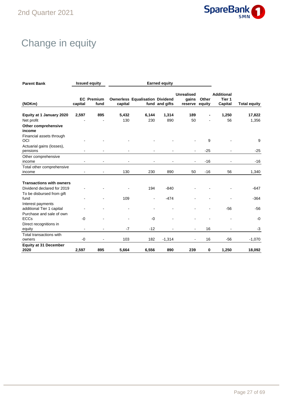

## Change in equity

| <b>Parent Bank</b>                             | <b>Issued equity</b><br><b>Earned equity</b> |                           |         |                                        |                |                                       |                 |                                        |                     |
|------------------------------------------------|----------------------------------------------|---------------------------|---------|----------------------------------------|----------------|---------------------------------------|-----------------|----------------------------------------|---------------------|
| (NOKm)                                         | capital                                      | <b>EC</b> Premium<br>fund | capital | <b>Ownerless Equalisation Dividend</b> | fund and gifts | <b>Unrealised</b><br>gains<br>reserve | Other<br>equity | <b>Additional</b><br>Tier 1<br>Capital | <b>Total equity</b> |
| Equity at 1 January 2020                       | 2,597                                        | 895                       | 5,432   | 6,144                                  | 1,314          | 189                                   |                 | 1,250                                  | 17,822              |
| Net profit                                     |                                              |                           | 130     | 230                                    | 890            | 50                                    |                 | 56                                     | 1,356               |
| Other comprehensive<br>income                  |                                              |                           |         |                                        |                |                                       |                 |                                        |                     |
| Financial assets through<br>OCI                |                                              |                           |         |                                        |                |                                       | 9               |                                        | 9                   |
| Actuarial gains (losses),<br>pensions          |                                              |                           |         |                                        |                |                                       | $-25$           |                                        | $-25$               |
| Other comprehensive<br>income                  |                                              |                           |         |                                        |                | $\blacksquare$                        | $-16$           |                                        | $-16$               |
| Total other comprehensive                      |                                              |                           |         |                                        |                |                                       |                 |                                        |                     |
| income                                         | $\blacksquare$                               | $\blacksquare$            | 130     | 230                                    | 890            | 50                                    | $-16$           | 56                                     | 1,340               |
|                                                |                                              |                           |         |                                        |                |                                       |                 |                                        |                     |
| <b>Transactions with owners</b>                |                                              |                           |         |                                        |                |                                       |                 |                                        |                     |
| Dividend declared for 2019                     |                                              |                           |         | 194                                    | $-840$         |                                       |                 |                                        | $-647$              |
| To be disbursed from gift<br>fund              |                                              |                           | 109     |                                        | $-474$         |                                       |                 |                                        | $-364$              |
| Interest payments<br>additional Tier 1 capital |                                              |                           |         |                                        |                |                                       |                 | $-56$                                  | $-56$               |
| Purchase and sale of own<br><b>ECCs</b>        | $-0$                                         |                           |         | $-0$                                   |                |                                       |                 |                                        | -0                  |
| Direct recognitions in                         |                                              |                           |         |                                        |                |                                       |                 |                                        |                     |
| equity                                         |                                              | ٠                         | $-7$    | $-12$                                  |                |                                       | 16              |                                        | $-3$                |
| Total transactions with<br>owners              | $-0$                                         |                           | 103     | 182                                    | $-1,314$       |                                       | 16              | $-56$                                  | $-1,070$            |
|                                                |                                              |                           |         |                                        |                | $\overline{\phantom{a}}$              |                 |                                        |                     |
| <b>Equity at 31 December</b><br>2020           | 2,597                                        | 895                       | 5,664   | 6,556                                  | 890            | 239                                   | 0               | 1,250                                  | 18,092              |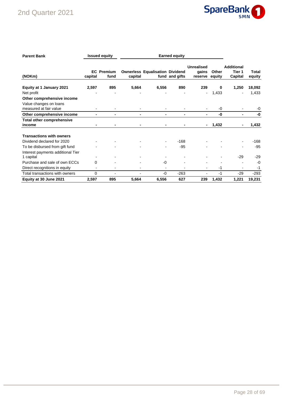## 2nd Quarter 2021



| <b>Parent Bank</b>                                                             |         | <b>Issued equity</b><br><b>Earned equity</b> |         |                                        |                |                                       |                 |                                        |                 |
|--------------------------------------------------------------------------------|---------|----------------------------------------------|---------|----------------------------------------|----------------|---------------------------------------|-----------------|----------------------------------------|-----------------|
| (NOKm)                                                                         | capital | <b>EC</b> Premium<br>fund                    | capital | <b>Ownerless Equalisation Dividend</b> | fund and gifts | <b>Unrealised</b><br>gains<br>reserve | Other<br>equity | <b>Additional</b><br>Tier 1<br>Capital | Total<br>equity |
| Equity at 1 January 2021<br>Net profit                                         | 2,597   | 895                                          | 5,664   | 6,556                                  | 890            | 239<br>۰                              | 0<br>1,433      | 1,250                                  | 18,092<br>1,433 |
| Other comprehensive income<br>Value changes on loans<br>measured at fair value |         |                                              |         |                                        |                |                                       | -0              |                                        | -0              |
| Other comprehensive income                                                     |         |                                              |         |                                        |                | -                                     | -0              |                                        | -0              |
| <b>Total other comprehensive</b><br>income                                     |         |                                              |         |                                        |                |                                       | 1,432           |                                        | 1,432           |
| <b>Transactions with owners</b><br>Dividend declared for 2020                  |         |                                              |         |                                        | $-168$         |                                       |                 |                                        | $-168$          |
| To be disbursed from gift fund                                                 |         |                                              |         |                                        | $-95$          |                                       |                 |                                        | $-95$           |
| Interest payments additional Tier<br>1 capital                                 |         |                                              |         |                                        |                |                                       |                 | $-29$                                  | $-29$           |
| Purchase and sale of own ECCs                                                  | 0       |                                              |         | -0                                     |                |                                       |                 |                                        | $-0$            |
| Direct recognitions in equity                                                  |         |                                              |         |                                        |                | ٠                                     | $-1$            |                                        | $-1$            |
| Total transactions with owners                                                 | 0       |                                              |         | $-0$                                   | $-263$         | ۰                                     | $-1$            | $-29$                                  | $-293$          |
| Equity at 30 June 2021                                                         | 2,597   | 895                                          | 5,664   | 6,556                                  | 627            | 239                                   | 1,432           | 1,221                                  | 19,231          |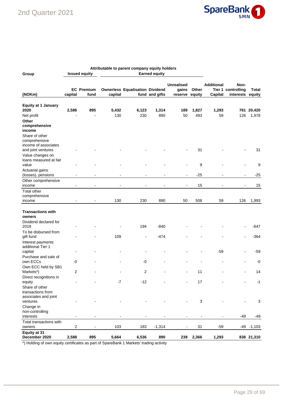

| Group                                                            |                              | <b>Issued equity</b>      |                | Attributable to parent company equity holders | <b>Earned equity</b> |                                       |                          |                              |                                         |                 |
|------------------------------------------------------------------|------------------------------|---------------------------|----------------|-----------------------------------------------|----------------------|---------------------------------------|--------------------------|------------------------------|-----------------------------------------|-----------------|
| (NOKm)                                                           | capital                      | <b>EC</b> Premium<br>fund | capital        | <b>Ownerless Equalisation Dividend</b>        | fund and gifts       | <b>Unrealised</b><br>gains<br>reserve | Other<br>equity          | <b>Additional</b><br>Capital | Non-<br>Tier 1 controlling<br>interests | Total<br>equity |
| <b>Equity at 1 January</b>                                       |                              |                           |                |                                               |                      |                                       |                          |                              |                                         |                 |
| 2020                                                             | 2,586                        | 895                       | 5,432          | 6,123                                         | 1,314                | 189                                   | 1,827                    | 1,293                        | 761                                     | 20,420          |
| Net profit                                                       |                              |                           | 130            | 230                                           | 890                  | 50                                    | 493                      | 59                           | 126                                     | 1,978           |
| Other<br>comprehensive<br>income                                 |                              |                           |                |                                               |                      |                                       |                          |                              |                                         |                 |
| Share of other<br>comprehensive<br>income of associates          |                              |                           |                |                                               |                      |                                       | 31                       |                              |                                         | 31              |
| and joint ventures<br>Value changes on<br>loans measured at fair |                              |                           |                |                                               |                      |                                       |                          |                              |                                         |                 |
| value<br>Actuarial gains                                         |                              |                           |                |                                               |                      |                                       | 9                        |                              |                                         | 9               |
| (losses), pensions                                               |                              |                           |                |                                               |                      |                                       | $-25$                    |                              |                                         | $-25$           |
| Other comprehensive<br>income                                    |                              |                           |                |                                               |                      |                                       | 15                       |                              |                                         | 15              |
| <b>Total other</b><br>comprehensive                              |                              |                           |                |                                               |                      |                                       |                          |                              |                                         |                 |
| income                                                           |                              |                           | 130            | 230                                           | 890                  | 50                                    | 508                      | 59                           | 126                                     | 1,993           |
| <b>Transactions with</b><br>owners                               |                              |                           |                |                                               |                      |                                       |                          |                              |                                         |                 |
| Dividend declared for<br>2019                                    |                              |                           |                | 194                                           | $-840$               |                                       |                          |                              |                                         | -647            |
| To be disbursed from<br>gift fund                                |                              |                           | 109            |                                               | $-474$               |                                       |                          |                              |                                         | $-364$          |
| Interest payments<br>additional Tier 1                           |                              |                           |                |                                               |                      |                                       |                          | $-59$                        |                                         | $-59$           |
| capital<br>Purchase and sale of                                  |                              |                           |                |                                               |                      |                                       |                          |                              |                                         |                 |
| own ECCs                                                         | -0                           |                           |                | -0                                            |                      |                                       |                          |                              |                                         | $-0$            |
| Own ECC held by SB1<br>Markets*)                                 | 2                            |                           |                | 2                                             |                      |                                       | 11                       |                              |                                         | 14              |
| Direct recognitions in<br>equity                                 | $\qquad \qquad \blacksquare$ |                           | $\mathbf{-7}$  | $-12$                                         |                      |                                       | 17                       |                              | $\overline{\phantom{a}}$                | $-1$            |
| Share of other<br>transactions from                              |                              |                           |                |                                               |                      |                                       |                          |                              |                                         |                 |
| associates and joint<br>ventures                                 |                              |                           |                |                                               |                      |                                       | 3                        |                              |                                         | 3               |
| Change in<br>non-controlling<br>interests                        | $\blacksquare$               | $\overline{\phantom{a}}$  | $\blacksquare$ |                                               |                      | $\qquad \qquad \blacksquare$          | $\overline{\phantom{a}}$ |                              | -49                                     | $-49$           |
| Total transactions with<br>owners                                | $\sqrt{2}$                   | $\overline{\phantom{a}}$  | 103            | 183                                           | $-1,314$             | $\overline{\phantom{0}}$              | 31                       | $-59$                        |                                         | $-49 - 1,103$   |
| Equity at 31<br>December 2020                                    | 2,588                        | 895                       | 5,664          | 6,536                                         | 890                  | 239                                   | 2,366                    | 1,293                        |                                         | 838 21,310      |

\*) Holding of own equity certificates as part of SpareBank 1 Markets' trading activity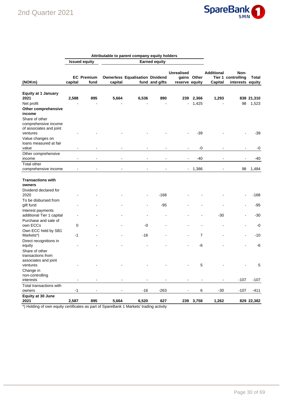

|                                                                               |                |                           |                          | Attributable to parent company equity holders |                      |                                     |                          |                              |                                                |                     |
|-------------------------------------------------------------------------------|----------------|---------------------------|--------------------------|-----------------------------------------------|----------------------|-------------------------------------|--------------------------|------------------------------|------------------------------------------------|---------------------|
|                                                                               |                | <b>Issued equity</b>      |                          |                                               | <b>Earned equity</b> |                                     |                          |                              |                                                |                     |
| (NOKm)                                                                        | capital        | <b>EC</b> Premium<br>fund | capital                  | <b>Ownerless Equalisation Dividend</b>        | fund and gifts       | <b>Unrealised</b><br>reserve equity | gains Other              | <b>Additional</b><br>Capital | Non-<br>Tier 1 controlling<br>interests equity | Total               |
| <b>Equity at 1 January</b><br>2021<br>Net profit                              | 2,588          | 895                       | 5,664                    | 6,536                                         | 890                  | 239                                 | 2,366<br>1,425           | 1,293                        | 98                                             | 838 21,310<br>1,523 |
| Other comprehensive<br>income                                                 |                |                           |                          |                                               |                      |                                     |                          |                              |                                                |                     |
| Share of other<br>comprehensive income<br>of associates and joint<br>ventures |                |                           |                          |                                               |                      |                                     | -39                      |                              |                                                | -39                 |
| Value changes on<br>loans measured at fair<br>value                           |                |                           |                          |                                               |                      |                                     | -0                       |                              |                                                | -0                  |
| Other comprehensive<br>income                                                 |                |                           |                          |                                               |                      |                                     | -40                      |                              |                                                | $-40$               |
| <b>Total other</b><br>comprehensive income                                    |                |                           |                          |                                               |                      | $\blacksquare$                      | 1,386                    |                              | 98                                             | 1,484               |
| <b>Transactions with</b><br>owners<br>Dividend declared for                   |                |                           |                          |                                               |                      |                                     |                          |                              |                                                |                     |
| 2020<br>To be disbursed from                                                  |                |                           |                          |                                               | $-168$               |                                     |                          |                              |                                                | $-168$              |
| gift fund<br>Interest payments                                                |                |                           |                          |                                               | -95                  |                                     |                          |                              |                                                | -95                 |
| additional Tier 1 capital<br>Purchase and sale of                             |                |                           |                          |                                               |                      |                                     |                          | $-30$                        |                                                | $-30$               |
| own ECCs<br>Own ECC held by SB1                                               | 0              |                           |                          | -0                                            |                      |                                     |                          |                              |                                                | -0                  |
| Markets*)                                                                     | -1             |                           |                          | $-16$                                         |                      |                                     | 7                        |                              |                                                | $-10$               |
| Direct recognitions in<br>equity<br>Share of other<br>transactions from       |                |                           |                          |                                               |                      |                                     | -6                       |                              |                                                | $-6$                |
| associates and joint<br>ventures<br>Change in                                 |                |                           |                          |                                               |                      |                                     | 5                        |                              |                                                | 5                   |
| non-controlling<br>interests                                                  | $\overline{a}$ | $\overline{\phantom{a}}$  | $\overline{\phantom{a}}$ | $\overline{\phantom{a}}$                      |                      | $\overline{\phantom{a}}$            | $\overline{\phantom{a}}$ |                              | $-107$                                         | $-107$              |
| Total transactions with<br>owners                                             | $-1$           | $\overline{a}$            |                          | $-16$                                         | $-263$               |                                     | $\,6\,$                  | $-30$                        | $-107$                                         | $-411$              |
| Equity at 30 June<br>2021                                                     | 2,587          | 895                       | 5,664                    | 6,520                                         | 627                  | 239                                 | 3,758                    | 1,262                        |                                                | 829 22,382          |

\*) Holding of own equity certificates as part of SpareBank 1 Markets' trading activity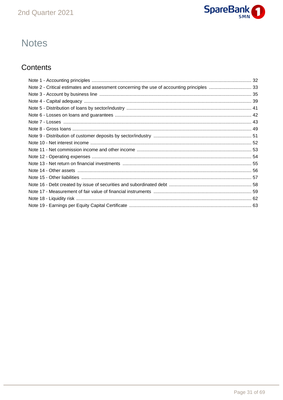

## **Notes**

## Contents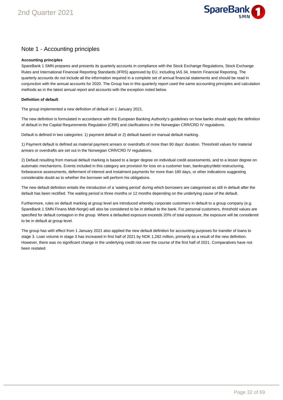

#### Note 1 - Accounting principles

#### **Accounting principles**

SpareBank 1 SMN prepares and presents its quarterly accounts in compliance with the Stock Exchange Regulations, Stock Exchange Rules and International Financial Reporting Standards (IFRS) approved by EU, including IAS 34, Interim Financial Reporting. The quarterly accounts do not include all the information required in a complete set of annual financial statements and should be read in conjunction with the annual accounts for 2020. The Group has in this quarterly report used the same accounting principles and calculation methods as in the latest annual report and accounts with the exception noted below.

#### **Definition of default**

The group implemented a new definition of default on 1 January 2021.

The new definition is formulated in accordance with the European Banking Authority's guidelines on how banks should apply the definition of default in the Capital Requirements Regulation (CRR) and clarifications in the Norwegian CRR/CRD IV regulations.

Default is defined in two categories: 1) payment default or 2) default based on manual default marking.

1) Payment default is defined as material payment arrears or overdrafts of more than 90 days' duration. Threshold values for material arrears or overdrafts are set out in the Norwegian CRR/CRD IV regulations.

2) Default resulting from manual default marking is based to a larger degree on individual credit assessments, and to a lesser degree on automatic mechanisms. Events included in this category are provision for loss on a customer loan, bankruptcy/debt restructuring, forbearance assessments, deferment of interest and instalment payments for more than 180 days, or other indications suggesting considerable doubt as to whether the borrower will perform his obligations.

The new default definition entails the introduction of a 'waiting period' during which borrowers are categorised as still in default after the default has been rectified. The waiting period is three months or 12 months depending on the underlying cause of the default.

Furthermore, rules on default marking at group level are introduced whereby corporate customers in default to a group company (e.g. SpareBank 1 SMN Finans Midt-Norge) will also be considered to be in default to the bank. For personal customers, threshold values are specified for default contagion in the group. Where a defaulted exposure exceeds 20% of total exposure, the exposure will be considered to be in default at group level.

The group has with effect from 1 January 2021 also applied the new default definition for accounting purposes for transfer of loans to stage 3. Loan volume in stage 3 has increased in first half of 2021 by NOK 1,282 million, primarily as a result of the new definition. However, there was no significant change in the underlying credit risk over the course of the first half of 2021. Comparatives have not been restated.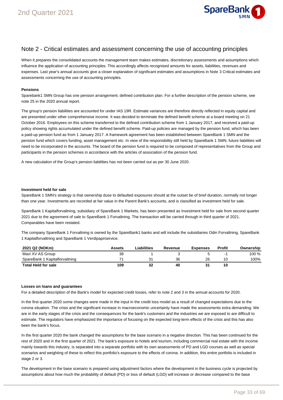

#### Note 2 - Critical estimates and assessment concerning the use of accounting principles

When it prepares the consolidated accounts the management team makes estimates, discretionary assessments and assumptions which influence the application of accounting principles. This accordingly affects recognised amounts for assets, liabilities, revenues and expenses. Last year's annual accounts give a closer explanation of significant estimates and assumptions in Note 3 Critical estimates and assessments concerning the use of accounting principles.

#### **Pensions**

Sparebank1 SMN Group has one pension arrangement; defined contribution plan. For a further description of the pension scheme, see note 25 in the 2020 annual report.

The group's pension liabilities are accounted for under IAS 19R. Estimate variances are therefore directly reflected in equity capital and are presented under other comprehensive income. It was decided to terminate the defined benefit scheme at a board meeting on 21 October 2016. Employees on this scheme transferred to the defined contribution scheme from 1 January 2017, and received a paid-up policy showing rights accumulated under the defined benefit scheme. Paid-up policies are managed by the pension fund, which has been a paid-up pension fund as from 1 January 2017. A framework agreement has been established between SpareBank 1 SMN and the pension fund which covers funding, asset management etc. In view of the responsibility still held by SpareBank 1 SMN, future liabilities will need to be incorporated in the accounts. The board of the pension fund is required to be composed of representatives from the Group and participants in the pension schemes in accordance with the articles of association of the pension fund.

A new calculation of the Group's pension liabilities has not been carried out as per 30 June 2020.

#### **Investment held for sale**

SpareBank 1 SMN's strategy is that ownership duse to defaulted exposures should at the outset be of brief duration, normally not longer than one year. Investments are recorded at fair value in the Parent Bank's accounts, and is classified as investment held for sale.

SpareBank 1 Kapitalforvaltning, subsidiary of SpareBank 1 Markets, has been presented as Investment held for sale from second quarter 2021 due to the agreement of sale to SpareBank 1 Forvaltning. The transaction will be carried through in third quarter of 2021. Comparables have been restated.

The company SpareBank 1 Forvaltning is owned by the SpareBank1 banks and will include the subsidiaries Odin Forvaltning, SpareBank 1 Kapitalforvaltning and SpareBank 1 Verdipapirservice.

| 2021 Q2 (NOKm)                 | Assets | Liabilities | Revenue | <b>Expenses</b> | Profit | Ownership |
|--------------------------------|--------|-------------|---------|-----------------|--------|-----------|
| Mavi XV AS Group               | 38     |             |         |                 | -      | 100 %     |
| SpareBank 1 Kapitalforvaltning |        |             | 36      | 26              | 10     | 100%      |
| <b>Total Held for sale</b>     | 109    | 32          | 40      | 31              | 10     |           |

#### **Losses on loans and guarantees**

For a detailed description of the Bank's model for expected credit losses, refer to note 2 and 3 in the annual accounts for 2020.

In the first quarter 2020 some changes were made in the input in the credit loss model as a result of changed expectations due to the corona situation. The crisis and the significant increase in macroeconomic uncertainty have made the assessments extra demanding. We are in the early stages of the crisis and the consequences for the bank's customers and the industries we are exposed to are difficult to estimate. The regulators have emphasized the importance of focusing on the expected long-term effects of the crisis and this has also been the bank's focus.

In the first quarter 2020 the bank changed the assumptions for the base scenario in a negative direction. This has been continued for the rest of 2020 and in the first quarter of 2021. The bank's exposure to hotels and tourism, including commercial real estate with the income mainly towards this industry, is separated into a separate portfolio with its own assessments of PD and LGD courses as well as special scenarios and weighting of these to reflect this portfolio's exposure to the effects of corona. In addition, this entire portfolio is included in stage 2 or 3.

The development in the base scenario is prepared using adjustment factors where the development in the business cycle is projected by assumptions about how much the probability of default (PD) or loss of default (LGD) will increase or decrease compared to the base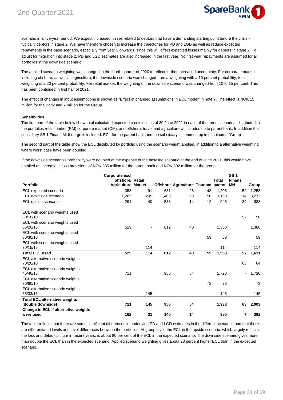

scenario in a five-year period. We expect increased losses related to debtors that have a demanding starting point before the crisis typically debtors in stage 2. We have therefore chosen to increase the trajectories for PD and LGD as well as reduce expected repayments in the base scenario, especially from year 2 onwards, since this will affect expected losses mainly for debtors in stage 2. To adjust for migration into stage 2, PD and LGD estimates are also increased in the first year. No first year repayments are assumed for all portfolios in the downside scenario.

The applied scenario weighting was changed in the fourth quarter of 2020 to reflect further increased uncertainty. For corporate market including offshore, as well as agriculture, the downside scenario was changed from a weighting with a 10 percent probability, to a weighting of a 20 percent probability. For retail market, the weighting of the downside scenario was changed from 10 to 15 per cent. This has been continued in first half of 2021.

The effect of changes in input assumptions is shown as "Effect of changed assumptions in ECL model" in note 7. The effect is NOK 15 million for the Bank and 7 million for the Group.

#### **Sensitivities**

The first part of the table below show total calculated expected credit loss as of 30 June 2021 in each of the three scenarios, distributed in the portfolios retail market (RM) corporate market (CM), and offshore, travel and agriculture which adds up to parent bank. In addition the subsidiary SB 1 Finans Midt-norge is included. ECL for the parent bank and the subsidiary is summed up in th coloumn "Group"

The second part of the table show the ECL distributed by portfolio using the scenario weight applied, in addition to a alternative weighting where worst case have been doubled.

If the downside scenario's probability were doubled at the expense of the baseline scenario at the end of June 2021, this would have entailed an increase in loss provisions of NOK 385 million for the parent bank and NOK 392 million for the group.

|                                                           | Corporate excl            |     |       |                                     |    |       | SB <sub>1</sub> |       |
|-----------------------------------------------------------|---------------------------|-----|-------|-------------------------------------|----|-------|-----------------|-------|
|                                                           | offshore/ Retail          |     |       |                                     |    | Total | <b>Finans</b>   |       |
| <b>Portfolio</b>                                          | <b>Agriculture Market</b> |     |       | Offshore Agriculture Tourism parent |    |       | ΜN              | Group |
| ECL expected scenario                                     | 358                       | 91  | 681   | 28                                  | 48 | 1,206 | 52              | 1,258 |
| ECL downside scenario                                     | 1,265                     | 295 | 1,403 | 98                                  | 96 | 3,158 | 114             | 3,272 |
| ECL upside scenario                                       | 291                       | 40  | 588   | 14                                  | 12 | 945   | 39              | 983   |
| ECL with scenario weights used<br>80/10/10                |                           |     |       |                                     |    |       | 57              | 58    |
| ECL with scenario weights used<br>65/20/15                | 529                       |     | 812   | 40                                  |    | 1,380 |                 | 1,380 |
| ECL with scenario weights used<br>60/30/10                |                           |     |       |                                     | 59 | 59    |                 | 59    |
| ECL with scenario weights used<br>70/15/15                |                           | 114 |       |                                     |    | 114   |                 | 114   |
| <b>Total ECL used</b>                                     | 529                       | 114 | 812   | 40                                  | 59 | 1,553 | 57              | 1,611 |
| ECL alternative scenario weights<br>70/20/10              |                           |     |       |                                     |    |       | 63              | 64    |
| ECL alternative scenario weights<br>45/40/15              | 711                       |     | 956   | 54                                  |    | 1,720 |                 | 1,720 |
| ECL alternative scenario weights<br>30/60/10              |                           |     |       |                                     | 73 | 73    |                 | 73    |
| ECL alternative scenario weights<br>55/33/15              |                           | 145 |       |                                     |    | 145   |                 | 145   |
| <b>Total ECL alternative weights</b><br>(double downside) | 711                       | 145 | 956   | 54                                  |    | 1,938 | 63              | 2,003 |
| Change in ECL if alternative weights                      |                           |     |       |                                     |    |       |                 |       |
| were used                                                 | 182                       | 31  | 145   | 14                                  |    | 385   | 7               | 392   |

The table reflects that there are some significant differences in underlying PD and LGD estimates in the different scenarios and that there are differentiated levels and level differences between the portfolios. At group level, the ECL in the upside scenario, which largely reflects the loss and default picture in recent years, is about 80 per cent of the ECL in the expected scenario. The downside scenario gives more than double the ECL than in the expected scenario. Applied scenario weighting gives about 28 percent higher ECL than in the expected scenario.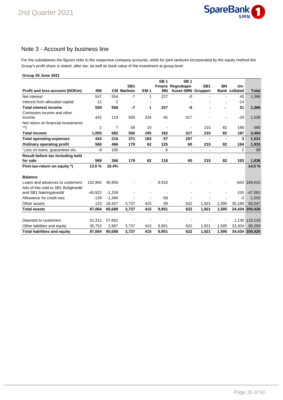

### Note 3 - Account by business line

For the subsidiaries the figures refer to the respective company accounts, while for joint ventures incorporated by the equity method the Group's profit share is stated, after tax, as well as book value of the investment at group level.

| Group 30 June 2021                   |           |          |                   |                 |                 |                   |                 |                |                      |                |
|--------------------------------------|-----------|----------|-------------------|-----------------|-----------------|-------------------|-----------------|----------------|----------------------|----------------|
|                                      |           |          |                   |                 | SB <sub>1</sub> | <b>SB1</b>        |                 |                |                      |                |
|                                      |           |          | SB <sub>1</sub>   |                 |                 | Finans Regnskaps- | SB <sub>1</sub> | BN             | Un-                  |                |
| Profit and loss account (NOKm)       | <b>RM</b> |          | <b>CM Markets</b> | EM <sub>1</sub> | <b>MN</b>       | huset SMN Gruppen |                 |                | <b>Bank collated</b> | <b>Total</b>   |
| Net interest                         | 547       | 554      | $-7$              | 1               | 227             | $-0$              |                 |                | 45                   | 1,366          |
| Interest from allocated capital      | 12        | 2        | $\overline{a}$    |                 |                 |                   |                 |                | -14                  |                |
| <b>Total interest income</b>         | 559       | 556      | $-7$              | 1               | 227             | -0                |                 | $\blacksquare$ | 31                   | 1,366          |
| Comission income and other           |           |          |                   |                 |                 |                   |                 |                |                      |                |
| income                               | 442       | 119      | 500               | 234             | $-45$           | 317               |                 |                | $-29$                | 1,538          |
| Net return on financial investments  |           |          |                   |                 |                 |                   |                 |                |                      |                |
| $\left. ^{\ast \ast }\right)$        | 2         | 7        | 58                | 10              | $\blacksquare$  | ۰                 | 215             | 82             | 186                  | 560            |
| <b>Total income</b>                  | 1,003     | 682      | 550               | 245             | 182             | 317               | 215             | 82             | 187                  | 3,464          |
| <b>Total operating expenses</b>      | 443       | 216      | 371               | 183             | 57              | 257               | $\blacksquare$  | $\blacksquare$ | 3                    | 1,531          |
| <b>Ordinary operating profit</b>     | 560       | 466      | 179               | 62              | 125             | 60                | 215             | 82             | 184                  | 1,933          |
| Loss on loans, guarantees etc.       | -9        | 100      | $\blacksquare$    | $\overline{a}$  | 6               | $\blacksquare$    | $\blacksquare$  | $\blacksquare$ | 1                    | 98             |
| Result before tax including held     |           |          |                   |                 |                 |                   |                 |                |                      |                |
| for sale                             | 569       | 366      | 179               | 62              | 118             | 60                | 215             | 82             | 183                  | 1,836          |
| Post-tax-return on equity *)         | 13.0%     | 10.4%    |                   |                 |                 |                   |                 |                |                      | 14,5 %         |
| <b>Balance</b>                       |           |          |                   |                 |                 |                   |                 |                |                      |                |
| Loans and advances to customers      | 132,992   | 46,956   |                   |                 | 9,910           |                   |                 |                |                      | $-843$ 189,015 |
| Adv.of this sold to SB1 Boligkreditt |           |          |                   |                 |                 |                   |                 |                |                      |                |
| and SB1 Næringskreditt               | $-45,922$ | $-1,259$ |                   |                 |                 |                   |                 |                | 100                  | $-47,081$      |
| Allowance for credit loss            | $-128$    | $-1,366$ |                   |                 | $-58$           |                   |                 |                | $-3$                 | $-1,555$       |
| Other assets                         | 123       | 16,357   | 3,737             | 415             | 99              | 622               | 1,921           | 1,595          | 35,180               | 60,047         |
| <b>Total assets</b>                  | 87,064    | 60,688   | 3,737             | 415             | 9,951           | 622               | 1,921           | 1,595          |                      | 34,434 200,426 |
|                                      |           |          |                   |                 |                 |                   |                 |                |                      |                |
| Deposits to customers                | 51,312    | 57,691   |                   |                 |                 |                   |                 |                |                      | 1,130 110,133  |
| Other liabilites and equity          | 35,752    | 2,997    | 3,737             | 415             | 9,951           | 622               | 1,921           | 1,595          | 33,304               | 90,293         |
| <b>Total liabilities and equity</b>  | 87,064    | 60,688   | 3,737             | 415             | 9,951           | 622               | 1,921           | 1,595          |                      | 34,434 200,426 |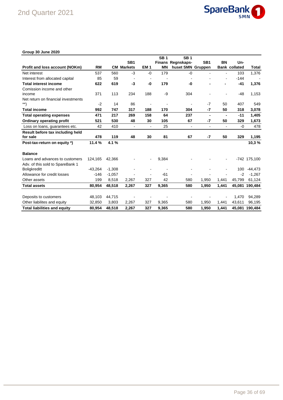

#### **Group 30 June 2020**

|                                     |           |          |                   |                 | SB <sub>1</sub> | <b>SB1</b>               |                 |                          |                      |                |
|-------------------------------------|-----------|----------|-------------------|-----------------|-----------------|--------------------------|-----------------|--------------------------|----------------------|----------------|
|                                     |           |          | SB <sub>1</sub>   |                 |                 | <b>Finans Regnskaps-</b> | SB <sub>1</sub> | BN                       | Un-                  |                |
| Profit and loss account (NOKm)      | <b>RM</b> |          | <b>CM Markets</b> | EM <sub>1</sub> | <b>MN</b>       | huset SMN Gruppen        |                 |                          | <b>Bank collated</b> | Total          |
| Net interest                        | 537       | 560      | $-3$              | $-0$            | 179             | $-0$                     | $\overline{a}$  | ÷                        | 103                  | 1,376          |
| Interest from allocated capital     | 85        | 59       |                   | $\blacksquare$  |                 |                          |                 | $\overline{a}$           | $-144$               |                |
| <b>Total interest income</b>        | 622       | 619      | -3                | -0              | 179             | -0                       |                 |                          | -41                  | 1,376          |
| Comission income and other          |           |          |                   |                 |                 |                          |                 |                          |                      |                |
| income                              | 371       | 113      | 234               | 188             | -9              | 304                      |                 |                          | $-48$                | 1,153          |
| Net return on financial investments |           |          |                   |                 |                 |                          |                 |                          |                      |                |
| **)                                 | $-2$      | 14       | 86                |                 |                 |                          | $-7$            | 50                       | 407                  | 549            |
| <b>Total income</b>                 | 992       | 747      | 317               | 188             | 170             | 304                      | $-7$            | 50                       | 318                  | 3,078          |
| <b>Total operating expenses</b>     | 471       | 217      | 269               | 158             | 64              | 237                      | $\blacksquare$  |                          | $-11$                | 1,405          |
| <b>Ordinary operating profit</b>    | 521       | 530      | 48                | 30              | 105             | 67                       | -7              | 50                       | 329                  | 1,673          |
| Loss on loans, guarantees etc.      | 42        | 410      | $\blacksquare$    | $\blacksquare$  | 25              | $\blacksquare$           | $\blacksquare$  | $\overline{\phantom{a}}$ | $-0$                 | 478            |
| Result before tax including held    |           |          |                   |                 |                 |                          |                 |                          |                      |                |
| for sale                            | 478       | 119      | 48                | 30              | 81              | 67                       | -7              | 50                       | 329                  | 1,195          |
| Post-tax-return on equity *)        | 11.4%     | 4.1%     |                   |                 |                 |                          |                 |                          |                      | 10,3%          |
| <b>Balance</b>                      |           |          |                   |                 |                 |                          |                 |                          |                      |                |
| Loans and advances to customers     | 124,165   | 42,366   |                   |                 | 9,384           |                          |                 |                          |                      | -742 175,100   |
| Adv. of this sold to SpareBank 1    |           |          |                   |                 |                 |                          |                 |                          |                      |                |
| <b>Boligkreditt</b>                 | $-43.264$ | $-1,308$ |                   |                 |                 |                          |                 |                          | 100                  | -44,473        |
| Allowance for credit losses         | $-146$    | $-1,057$ |                   |                 | $-61$           |                          |                 |                          | $-2$                 | $-1,267$       |
| Other assets                        | 199       | 8,518    | 2,267             | 327             | 42              | 580                      | 1,950           | 1,441                    | 45,799               | 61,124         |
| <b>Total assets</b>                 | 80,954    | 48,518   | 2,267             | 327             | 9,365           | 580                      | 1,950           | 1,441                    | 45,081               | 190,484        |
|                                     |           |          |                   |                 |                 |                          |                 |                          |                      |                |
| Deposits to customers               | 48,103    | 44,715   |                   |                 |                 |                          |                 |                          | 1,470                | 94,289         |
| Other liabilites and equity         | 32,850    | 3,803    | 2,267             | 327             | 9,365           | 580                      | 1,950           | 1,441                    | 43,611               | 96,195         |
| <b>Total liabilities and equity</b> | 80,954    | 48,518   | 2.267             | 327             | 9.365           | 580                      | 1,950           | 1.441                    |                      | 45,081 190,484 |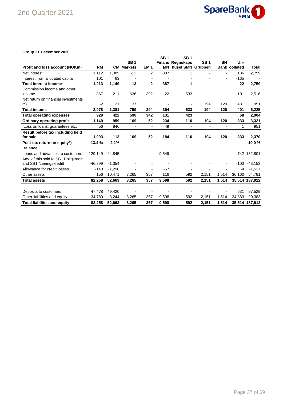

#### **Group 31 December 2020**

|                                       |           |          |                   |                          | <b>SB1</b> | <b>SB1</b>              |            |                |                      |                |
|---------------------------------------|-----------|----------|-------------------|--------------------------|------------|-------------------------|------------|----------------|----------------------|----------------|
|                                       |           |          | <b>SB1</b>        |                          |            | <b>Finans Regnskaps</b> | <b>SB1</b> | <b>BN</b>      | Un-                  |                |
| Profit and loss account (NOKm)        | <b>RM</b> |          | <b>CM Markets</b> | EM <sub>1</sub>          | ΜN         | huset SMN Gruppen       |            |                | <b>Bank collated</b> | Total          |
| Net interest                          | 1,112     | 1,085    | $-13$             | 2                        | 387        | 1                       |            |                | 186                  | 2,759          |
| Interest from allocated capital       | 101       | 63       |                   |                          |            |                         |            |                | $-165$               |                |
| <b>Total interest income</b>          | 1,213     | 1,149    | $-13$             | $\mathbf{2}$             | 387        | 1                       |            | $\blacksquare$ | 22                   | 2,759          |
| Commission income and other           |           |          |                   |                          |            |                         |            |                |                      |                |
| income                                | 867       | 211      | 636               | 392                      | $-22$      | 533                     |            |                | $-101$               | 2,516          |
| Net return on financial investments   |           |          |                   |                          |            |                         |            |                |                      |                |
| $\left. ^{\ast \ast }\right)$         | $-2$      | 21       | 137               |                          |            |                         | 194        | 120            | 481                  | 951            |
| <b>Total income</b>                   | 2,078     | 1,381    | 759               | 394                      | 364        | 533                     | 194        | 120            | 401                  | 6,225          |
| <b>Total operating expenses</b>       | 929       | 422      | 590               | 342                      | 131        | 423                     |            |                | 68                   | 2,904          |
| Ordinary operating profit             | 1,149     | 959      | 169               | 52                       | 234        | 110                     | 194        | 120            | 333                  | 3,321          |
| Loss on loans, guarantees etc.        | 56        | 846      | $\blacksquare$    | $\blacksquare$           | 49         | $\overline{a}$          |            |                | 1                    | 951            |
| Result before tax including held      |           |          |                   |                          |            |                         |            |                |                      |                |
| for sale                              | 1,093     | 113      | 169               | 52                       | 184        | 110                     | 194        | 120            | 333                  | 2,370          |
| Post-tax return on equity*)           | 13.4%     | 2.1%     |                   |                          |            |                         |            |                |                      | 10.0%          |
| <b>Balance</b>                        |           |          |                   |                          |            |                         |            |                |                      |                |
| Loans and advances to customers       | 129,149   | 44,845   |                   | $\overline{\phantom{a}}$ | 9,549      |                         |            |                |                      | -742 182.801   |
| Adv. of this sold to SB1 Boligkreditt |           |          |                   |                          |            |                         |            |                |                      |                |
| and SB1 Næringskreditt                | $-46.899$ | $-1,354$ |                   |                          |            |                         |            |                | $-100$               | $-48,153$      |
| Allowance for credit losses           | $-148$    | $-1,298$ |                   |                          | $-67$      |                         |            |                | $-4$                 | $-1,517$       |
| Other assets                          | 156       | 10,471   | 3,265             | 357                      | 116        | 592                     | 2,151      | 1,514          | 36,160               | 54.781         |
| <b>Total assets</b>                   | 82,258    | 52,663   | 3,265             | 357                      | 9,598      | 592                     | 2,151      | 1,514          |                      | 35,514 187,912 |
|                                       |           |          |                   |                          |            |                         |            |                |                      |                |
| Deposits to customers                 | 47,478    | 49,420   |                   |                          |            |                         |            |                | 631                  | 97,529         |
| Other liabilities and equity          | 34,780    | 3,244    | 3,265             | 357                      | 9,598      | 592                     | 2,151      | 1,514          | 34,883               | 90,383         |
| <b>Total liabilites and equity</b>    | 82,258    | 52.663   | 3.265             | 357                      | 9.598      | 592                     | 2.151      | 1,514          |                      | 35,514 187,912 |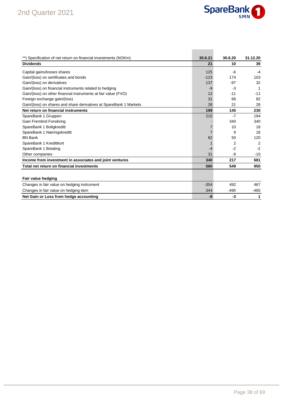

| **) Specification of net return on financial investments (NOKm)    | 30.6.21 | 30.6.20 | 31.12.20       |
|--------------------------------------------------------------------|---------|---------|----------------|
| <b>Dividends</b>                                                   | 21      | 10      | 39             |
| Capital gains/losses shares                                        | 125     | -6      | $-4$           |
| Gain/(loss) on sertificates and bonds                              | $-123$  | 174     | 103            |
| Gain/(loss) on derivatives                                         | 137     | $-97$   | 32             |
| Gain/(loss) on financial instruments related to hedging            | -9      | -3      | 1              |
| Gain/(loss) on other financial instruments at fair value (FVO)     | 12      | $-11$   | $-11$          |
| Foreign exchange gain/(loss)                                       | 31      | 68      | 82             |
| Gain/(loss) on shares and share derivatives at SpareBank 1 Markets | 28      | 21      | 28             |
| Net return on financial instruments                                | 199     | 145     | 230            |
| SpareBank 1 Gruppen                                                | 215     | $-7$    | 194            |
| <b>Gain Fremtind Forsikring</b>                                    |         | 340     | 340            |
| SpareBank 1 Boligkreditt                                           |         | 10      | 18             |
| SpareBank 1 Næringskreditt                                         |         | 9       | 18             |
| <b>BN Bank</b>                                                     | 82      | 50      | 120            |
| SpareBank 1 Kredittkort                                            |         | 2       | $\overline{2}$ |
| SpareBank 1 Betaling                                               | -4      | $-2$    | $-2$           |
| Other companies                                                    | 31      | -9      | $-10$          |
| Income from investment in associates and joint ventures            | 340     | 217     | 681            |
| Total net return on financial investments                          | 560     | 549     | 950            |
|                                                                    |         |         |                |
| Fair value hedging                                                 |         |         |                |
| Changes in fair value on hedging instrument                        | $-354$  | 492     | 467            |
| Changes in fair value on hedging item                              | 344     | $-495$  | $-465$         |
| Net Gain or Loss from hedge accounting                             | -9      | $-3$    | 1              |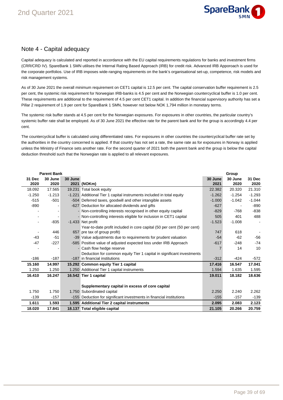

#### Note 4 - Capital adequacy

Capital adequacy is calculated and reported in accordance with the EU capital requirements regulations for banks and investment firms (CRR/CRD IV). SpareBank 1 SMN utilises the Internal Rating Based Approach (IRB) for credit risk. Advanced IRB Apporoach is used for the corporate portfolios. Use of IRB imposes wide-ranging requirements on the bank's organisational set-up, competence, risk models and risk management systems.

As of 30 June 2021 the overall minimum requirement on CET1 capital is 12.5 per cent. The capital conservation buffer requirement is 2.5 per cent, the systemic risk requirement for Norwegian IRB-banks is 4.5 per cent and the Norwegian countercyclical buffer is 1.0 per cent. These requirements are additional to the requirement of 4.5 per cent CET1 capital. In addition the financial supervisory authority has set a Pillar 2 requirement of 1.9 per cent for SpareBank 1 SMN, however not below NOK 1,794 million in monetary terms.

The systemic risk buffer stands at 4.5 per cent for the Norwegian exposures. For exposures in other countries, the particular country's systemic buffer rate shall be employed. As of 30 June 2021 the effective rate for the parent bank and for the group is accordingly 4.4 per cent.

The countercyclical buffer is calculated using differentiated rates. For exposures in other countries the countercyclical buffer rate set by the authorities in the country concerned is applied. If that country has not set a rate, the same rate as for exposures in Norway is applied unless the Ministry of Finance sets another rate. For the second quarter of 2021 both the parent bank and the group is below the capital deduction threshold such that the Norwegian rate is applied to all relevant exposures.

| <b>Parent Bank</b> |          |         |                                                                         |          | Group    |          |
|--------------------|----------|---------|-------------------------------------------------------------------------|----------|----------|----------|
| 31 Dec             | 30 June  | 30 June |                                                                         | 30 June  | 30 June  | 31 Dec   |
| 2020               | 2020     |         | 2021 (NOKm)                                                             | 2021     | 2020     | 2020     |
| 18.092             | 17.565   |         | 19.231 Total book equity                                                | 22.382   | 20.320   | 21.310   |
| $-1.250$           | $-1.213$ |         | -1.221 Additional Tier 1 capital instruments included in total equity   | $-1.262$ | $-1.254$ | $-1.293$ |
| $-515$             | $-501$   |         | -504 Deferred taxes, goodwill and other intangible assets               | $-1.000$ | $-1.042$ | $-1.044$ |
| $-890$             |          |         | -627 Deduction for allocated dividends and gifts                        | $-627$   |          | $-890$   |
|                    |          |         | - Non-controlling interests recognised in other equity capital          | $-829$   | $-768$   | $-838$   |
|                    |          |         | - Non-controlling interests eligible for inclusion in CET1 capital      | 505      | 401      | 488      |
|                    | $-835$   |         | -1.433 Net profit                                                       | $-1.523$ | $-1.008$ |          |
|                    |          |         | Year-to-date profit included in core capital (50 per cent (50 per cent) |          |          |          |
|                    | 446      |         | 657 pre tax of group profit)                                            | 747      | 618      |          |
| $-43$              | $-51$    |         | -39 Value adjustments due to requirements for prudent valuation         | $-54$    | $-62$    | -56      |
| $-47$              | $-227$   |         | -585 Positive value of adjusted expected loss under IRB Approach        | $-617$   | $-248$   | $-74$    |
|                    |          |         | - Cash flow hedge reserve                                               |          | 14       | 10       |
|                    |          |         | Deduction for common equity Tier 1 capital in significant investments   |          |          |          |
| $-186$             | $-187$   |         | -187 in financial institutions                                          | $-312$   | $-424$   | $-572$   |
| 15.160             | 14.997   |         | 15.292 Common equity Tier 1 capital                                     | 17.416   | 16.547   | 17.041   |
| 1.250              | 1.250    |         | 1.250 Additional Tier 1 capital instruments                             | 1.594    | 1.635    | 1.595    |
| 16.410             | 16.247   |         | 16.542 Tier 1 capital                                                   | 19.011   | 18.182   | 18.636   |
|                    |          |         |                                                                         |          |          |          |
|                    |          |         | Supplementary capital in excess of core capital                         |          |          |          |
| 1.750              | 1.750    |         | 1.750 Subordinated capital                                              | 2.250    | 2.240    | 2.262    |
| $-139$             | $-157$   |         | -155 Deduction for significant investments in financial institutions    | $-155$   | $-157$   | $-139$   |
| 1.611              | 1.593    |         | 1.595 Additional Tier 2 capital instruments                             | 2.095    | 2.083    | 2.123    |
| 18.020             | 17.841   |         | 18.137 Total eligible capital                                           | 21.105   | 20.266   | 20.759   |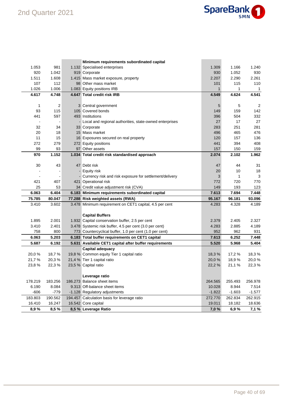

|         |         | Minimum requirements subordinated capital                 |              |          |                |
|---------|---------|-----------------------------------------------------------|--------------|----------|----------------|
| 1.053   | 981     | 1.132 Specialised enterprises                             | 1.309        | 1.166    | 1.240          |
| 920     | 1.042   | 919 Corporate                                             | 930          | 1.052    | 930            |
| 1.511   | 1.608   | 1.415 Mass market exposure, property                      | 2.207        | 2.290    | 2.261          |
| 107     | 112     | 98 Other mass market                                      | 101          | 115      | 110            |
| 1.026   | 1.006   | 1.083 Equity positions IRB                                | $\mathbf{1}$ | 1        | $\mathbf{1}$   |
| 4.617   | 4.748   | 4.647 Total credit risk IRB                               | 4.549        | 4.624    | 4.541          |
|         |         |                                                           |              |          |                |
| 1       | 2       | 3 Central government                                      | 5            | 5        | $\overline{c}$ |
| 93      | 115     | 105 Covered bonds                                         | 149          | 159      | 142            |
| 441     | 597     | 493 Institutions                                          | 396          | 504      | 332            |
|         |         | - Local and regional authorities, state-owned enterprises | 27           | 17       | 27             |
| 32      | 34      | 33 Corporate                                              | 283          | 251      | 281            |
| 20      | 18      | 15 Mass market                                            | 496          | 465      | 476            |
| 11      | 15      | 16 Exposures secured on real property                     | 120          | 157      | 136            |
| 272     | 279     | 272 Equity positions                                      | 441          | 394      | 408            |
| 99      | 93      | 97 Other assets                                           | 157          | 150      | 159            |
| 970     | 1.152   | 1.034 Total credit risk standardised approach             | 2.074        | 2.102    | 1.962          |
|         |         |                                                           |              |          |                |
| 30      | 43      | 47 Debt risk                                              | 47           | 44       | 31             |
|         |         | - Equity risk                                             | 20           | 10       | 18             |
|         |         | - Currency risk and risk exposure for settlement/delivery | 3            | 1        | 3              |
| 421     | 407     | 421 Operational risk                                      | 772          | 720      | 770            |
| 25      | 53      | 34 Credit value adjustment risk (CVA)                     | 149          | 193      | 123            |
| 6.063   | 6.404   | 6.183 Minimum requirements subordinated capital           | 7.613        | 7.694    | 7.448          |
| 75.785  | 80.047  | 77.288 Risk weighted assets (RWA)                         | 95.167       | 96.181   | 93.096         |
| 3.410   | 3.602   | 3.478 Minimum requirement on CET1 capital, 4.5 per cent   | 4.283        | 4.328    | 4.189          |
|         |         |                                                           |              |          |                |
|         |         | <b>Capital Buffers</b>                                    |              |          |                |
| 1.895   | 2.001   | 1.932 Capital conservation buffer, 2.5 per cent           | 2.379        | 2.405    | 2.327          |
| 3.410   | 2.401   | 3.478 Systemic risk buffer, 4.5 per cent (3.0 per cent)   | 4.283        | 2.885    | 4.189          |
| 758     | 800     | 773 Countercyclical buffer, 1.0 per cent (1.0 per cent)   | 952          | 962      | 931            |
| 6.063   | 5.203   | 6.183 Total buffer requirements on CET1 capital           | 7.613        | 6.252    | 7.448          |
| 5.687   | 6.192   | 5.631 Available CET1 capital after buffer requirements    | 5.520        | 5.968    | 5.404          |
|         |         | <b>Capital adequacy</b>                                   |              |          |                |
| 20,0%   | 18,7%   | 19,8 % Common equity Tier 1 capital ratio                 | 18,3%        | 17,2 %   | 18,3%          |
| 21,7%   | 20,3%   | 21,4 % Tier 1 capital ratio                               | 20,0%        | 18,9%    | 20,0%          |
| 23,8%   | 22,3%   | 23,5 % Capital ratio                                      | 22,2 %       | 21,1 %   | 22,3%          |
|         |         |                                                           |              |          |                |
|         |         | Leverage ratio                                            |              |          |                |
| 178.219 | 183.256 | 186.273 Balance sheet items                               | 264.565      | 255.493  | 256.978        |
| 6.190   | 8.084   | 9.313 Off-balance sheet items                             | 10.028       | 8.944    | 7.514          |
| $-606$  | $-779$  | -1.128 Regulatory adjustments                             | $-1.822$     | $-1.603$ | $-1.577$       |
| 183.803 | 190.562 | 194.457 Calculation basis for leverage ratio              | 272.770      | 262.834  | 262.915        |
| 16.410  | 16.247  | 16.542 Core capital                                       | 19.011       | 18.182   | 18.636         |
| 8,9%    | 8,5%    | 8,5 % Leverage Ratio                                      | 7,0%         | 6,9%     | 7,1 %          |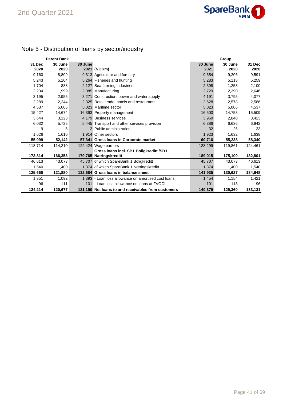

## Note 5 - Distribution of loans by sector/industry

|         | <b>Parent Bank</b> |         |                                                     |         | Group   |         |
|---------|--------------------|---------|-----------------------------------------------------|---------|---------|---------|
| 31 Dec  | 30 June            | 30 June |                                                     | 30 June | 30 June | 31 Dec  |
| 2020    | 2020               |         | 2021 (NOKm)                                         | 2021    | 2020    | 2020    |
| 9,160   | 8,809              |         | 9,313 Agriculture and forestry                      | 9,654   | 9,206   | 9,591   |
| 5,243   | 5,104              |         | 5,264 Fisheries and hunting                         | 5,283   | 5,118   | 5,259   |
| 1,704   | 888                |         | 2,127 Sea farming industries                        | 2,398   | 1,258   | 2,100   |
| 2,234   | 1,999              |         | 2,085 Manufacturing                                 | 2,729   | 2,390   | 2,646   |
| 3,195   | 2,955              |         | 3,271 Construction, power and water supply          | 4,191   | 3,795   | 4,077   |
| 2,289   | 2,244              |         | 2,325 Retail trade, hotels and restaurants          | 2,628   | 2,578   | 2,586   |
| 4,537   | 5,006              |         | 5.023 Maritime sector                               | 5,023   | 5,006   | 4,537   |
| 15,427  | 14,674             |         | 16,393 Property management                          | 16,500  | 14,753  | 15,509  |
| 3,644   | 3,123              |         | 4.179 Business services                             | 3,969   | 2,840   | 3,423   |
| 6,032   | 5,725              |         | 5,445 Transport and other services provision        | 6,386   | 6,636   | 6,942   |
| 9       | 6                  |         | 2 Public administration                             | 32      | 26      | 33      |
| 1,626   | 1,610              |         | 1.914 Other sectors                                 | 1,923   | 1,632   | 1,638   |
| 55,099  | 52,142             |         | 57,341 Gross loans in Corporate market              | 60,716  | 55,238  | 58,340  |
| 118,714 | 114,210            |         | 122,424 Wage earners                                | 128,299 | 119,861 | 124,461 |
|         |                    |         | Gross Ioans incl. SB1 Boligkreditt /SB1             |         |         |         |
| 173,814 | 166,353            |         | 179,765 Næringskreditt                              | 189,015 | 175,100 | 182,801 |
| 46,613  | 43,073             |         | 45,707 of which SpareBank 1 Boligkreditt            | 45,707  | 43,073  | 46,613  |
| 1,540   | 1,400              |         | 1,374 of which SpareBank 1 Næringskreditt           | 1,374   | 1,400   | 1,540   |
| 125,660 | 121,880            |         | 132.684 Gross Ioans in balance sheet                | 141,935 | 130,627 | 134,648 |
| 1,351   | 1,092              |         | 1,393 - Loan loss allowance on amortised cost loans | 1,454   | 1,154   | 1,421   |
| 96      | 111                |         | 101 - Loan loss allowance on loans at FVOCI         | 101     | 113     | 96      |
| 124,214 | 120,677            |         | 131.190 Net loans to and receivables from customers | 140,379 | 129,360 | 133,131 |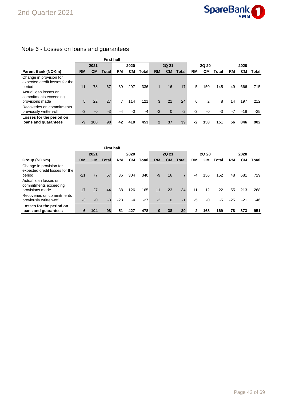

### Note 6 - Losses on loans and guarantees

|                                                                     |              | <b>First half</b> |       |              |      |       |              |                |       |           |      |       |      |       |       |
|---------------------------------------------------------------------|--------------|-------------------|-------|--------------|------|-------|--------------|----------------|-------|-----------|------|-------|------|-------|-------|
|                                                                     | 2020<br>2021 |                   |       | <b>2Q 21</b> |      |       | <b>2Q 20</b> |                |       | 2020      |      |       |      |       |       |
| <b>Parent Bank (NOKm)</b>                                           | <b>RM</b>    | <b>CM</b>         | Total | RM           | CМ   | Total | <b>RM</b>    | <b>CM</b>      | Total | <b>RM</b> | CМ   | Total | RM   | CМ    | Total |
| Change in provision for<br>expected credit losses for the<br>period | $-11$        | 78                | 67    | 39           | 297  | 336   | 1            | 16             | 17    | -5        | 150  | 145   | 49   | 666   | 715   |
| Actual loan losses on<br>commitments exceeding                      |              |                   |       |              |      |       |              |                |       |           |      |       |      |       |       |
| provisions made<br>Recoveries on commitments                        | 5            | 22                | 27    | 7            | 114  | 121   | 3            | 21             | 24    | 6         | 2    | 8     | 14   | 197   | 212   |
| previously written-off                                              | $-3$         | $-0$              | $-3$  | -4           | $-0$ | $-4$  | $-2$         | $\overline{0}$ | $-2$  | -3        | $-0$ | $-3$  | $-7$ | $-18$ | $-25$ |
| Losses for the period on                                            |              |                   |       |              |      |       |              |                |       |           |      |       |      |       |       |
| loans and guarantees                                                | -9           | 100               | 90    | 42           | 410  | 453   |              | 37             | 39    | -2        | 153  | 151   | 56   | 846   | 902   |

|                                                                     |           | <b>First half</b> |              |       |           |       |              |              |              |      |     |       |       |       |       |
|---------------------------------------------------------------------|-----------|-------------------|--------------|-------|-----------|-------|--------------|--------------|--------------|------|-----|-------|-------|-------|-------|
|                                                                     |           | 2021              |              |       | 2020      |       | <b>2Q 21</b> |              | <b>2Q 20</b> |      |     | 2020  |       |       |       |
| Group (NOKm)                                                        | <b>RM</b> | <b>CM</b>         | <b>Total</b> | RM    | <b>CM</b> | Total | <b>RM</b>    | <b>CM</b>    | Total        | RM   | CМ  | Total | RM    | CМ    | Total |
| Change in provision for<br>expected credit losses for the<br>period | $-21$     | 77                | 57           | 36    | 304       | 340   | $-9$         | 16           |              | $-4$ | 156 | 152   | 48    | 681   | 729   |
| Actual loan losses on<br>commitments exceeding<br>provisions made   | 17        | 27                | 44           | 38    | 126       | 165   | 11           | 23           | 34           | 11   | 12  | 22    | 55    | 213   | 268   |
| Recoveries on commitments<br>previously written-off                 | $-3$      | $-0$              | $-3$         | $-23$ | $-4$      | $-27$ | $-2$         | $\mathbf{0}$ | $-1$         | -5   | -0  | -5    | $-25$ | $-21$ | -46   |
| Losses for the period on<br>loans and guarantees                    | -6        | 104               | 98           | 51    | 427       | 478   | $\bf{0}$     | 38           | 39           | 2    | 168 | 169   | 78    | 873   | 951   |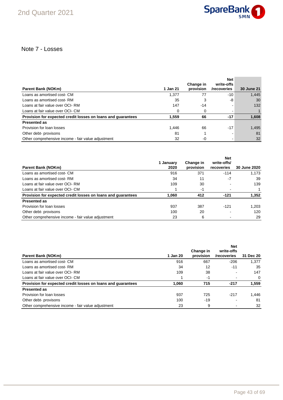

### Note 7 - Losses

| <b>Parent Bank (NOKm)</b>                                    | 1 Jan 21 | Change in<br>provision | <b>Net</b><br>write-offs<br>/recoveries | 30 June 21 |
|--------------------------------------------------------------|----------|------------------------|-----------------------------------------|------------|
| Loans as amortised cost- CM                                  | 1.377    | 77                     | -10                                     | 1,445      |
| Loans as amortised cost-RM                                   | 35       | 3                      | -8                                      | 30         |
| Loans at fair value over OCI-RM                              | 147      | -14                    |                                         | 132        |
| Loans at fair value over OCI- CM                             | 0        | 0                      |                                         |            |
| Provision for expected credit losses on loans and guarantees | 1.559    | 66                     | $-17$                                   | 1,608      |
| <b>Presented as</b>                                          |          |                        |                                         |            |
| Provision for loan losses                                    | 1.446    | 66                     | $-17$                                   | 1,495      |
| Other debt- provisons                                        | 81       |                        |                                         | 81         |
| Other comprehensive income - fair value adjustment           | 32       | -0                     |                                         | 32         |

|                                                              | 1 Januarv | Change in | <b>Net</b><br>write-offs/ |                     |
|--------------------------------------------------------------|-----------|-----------|---------------------------|---------------------|
| Parent Bank (NOKm)                                           | 2020      | provision | recoveries                | <b>30 June 2020</b> |
| Loans as amortised cost- CM                                  | 916       | 371       | $-114$                    | 1.173               |
| Loans as amortised cost-RM                                   | 34        | 11        | -7                        | 39                  |
| Loans at fair value over OCI-RM                              | 109       | 30        |                           | 139                 |
| Loans at fair value over OCI- CM                             |           | -1        |                           |                     |
| Provision for expected credit losses on loans and quarantees | 1.060     | 412       | $-121$                    | 1,352               |
| <b>Presented as</b>                                          |           |           |                           |                     |
| Provision for loan losses                                    | 937       | 387       | $-121$                    | 1,203               |
| Other debt- provisons                                        | 100       | 20        |                           | 120                 |
| Other comprehensive income - fair value adjustment           | 23        | 6         |                           | 29                  |

|                                                              |          | Change in | <b>Net</b><br>write-offs |           |
|--------------------------------------------------------------|----------|-----------|--------------------------|-----------|
| Parent Bank (NOKm)                                           | 1 Jan 20 | provision | /recoveries              | 31 Dec 20 |
| Loans as amortised cost- CM                                  | 916      | 667       | $-206$                   | 1.377     |
| Loans as amortised cost-RM                                   | 34       | 12        | $-11$                    | 35        |
| Loans at fair value over OCI-RM                              | 109      | 38        |                          | 147       |
| Loans at fair value over OCI- CM                             |          | -1        |                          | 0         |
| Provision for expected credit losses on loans and guarantees | 1.060    | 715       | $-217$                   | 1,559     |
| <b>Presented as</b>                                          |          |           |                          |           |
| Provision for loan losses                                    | 937      | 725       | $-217$                   | 1.446     |
| Other debt- provisons                                        | 100      | $-19$     |                          | 81        |
| Other comprehensive income - fair value adjustment           | 23       | 9         |                          | 32        |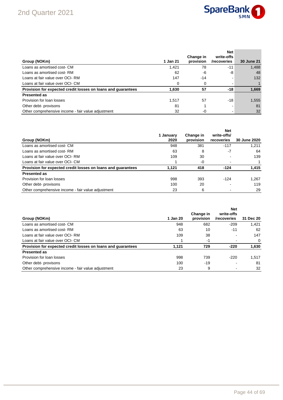

| Group (NOKm)                                                 | 1 Jan 21 | Change in<br>provision | <b>Net</b><br>write-offs<br>/recoveries | <b>30 June 21</b> |
|--------------------------------------------------------------|----------|------------------------|-----------------------------------------|-------------------|
| Loans as amortised cost- CM                                  | 1,421    | 78                     | -11                                     | 1,488             |
| Loans as amortised cost-RM                                   | 62       | -6                     | -8                                      | 48                |
| Loans at fair value over OCI-RM                              | 147      | $-14$                  |                                         | 132               |
| Loans at fair value over OCI- CM                             | $\Omega$ |                        |                                         |                   |
| Provision for expected credit losses on loans and guarantees | 1,630    | 57                     | -18                                     | 1,669             |
| <b>Presented as</b>                                          |          |                        |                                         |                   |
| Provision for loan losses                                    | 1.517    | 57                     | $-18$                                   | 1,555             |
| Other debt- provisons                                        | 81       |                        |                                         | 81                |
| Other comprehensive income - fair value adjustment           | 32       | $-0$                   |                                         | 32                |

|                                                              |                   |                        | <b>Net</b>                |              |
|--------------------------------------------------------------|-------------------|------------------------|---------------------------|--------------|
| Group (NOKm)                                                 | 1 January<br>2020 | Change in<br>provision | write-offs/<br>recoveries | 30 June 2020 |
| Loans as amortised cost- CM                                  | 948               | 381                    | $-117$                    | 1.211        |
| Loans as amortised cost-RM                                   | 63                | 8                      | -7                        | 64           |
| Loans at fair value over OCI-RM                              | 109               | 30                     |                           | 139          |
| Loans at fair value over OCI- CM                             |                   | -0                     |                           |              |
| Provision for expected credit losses on loans and quarantees | 1.121             | 418                    | $-124$                    | 1,415        |
| <b>Presented as</b>                                          |                   |                        |                           |              |
| Provision for loan losses                                    | 998               | 393                    | $-124$                    | 1.267        |
| Other debt- provisons                                        | 100               | 20                     |                           | 119          |
| Other comprehensive income - fair value adjustment           | 23                | 6                      |                           | 29           |

| Group (NOKm)                                                 | 1 Jan 20 | Change in<br>provision | <b>Net</b><br>write-offs<br>/recoveries | 31 Dec 20 |
|--------------------------------------------------------------|----------|------------------------|-----------------------------------------|-----------|
| Loans as amortised cost- CM                                  | 948      | 682                    | $-209$                                  | 1.421     |
| Loans as amortised cost-RM                                   | 63       | 10                     | $-11$                                   | 62        |
| Loans at fair value over OCI-RM                              | 109      | 38                     |                                         | 147       |
| Loans at fair value over OCI- CM                             |          | -1                     |                                         | $\Omega$  |
| Provision for expected credit losses on loans and quarantees | 1.121    | 729                    | $-220$                                  | 1,630     |
| <b>Presented as</b>                                          |          |                        |                                         |           |
| Provision for loan losses                                    | 998      | 739                    | $-220$                                  | 1.517     |
| Other debt- provisons                                        | 100      | $-19$                  |                                         | 81        |
| Other comprehensive income - fair value adjustment           | 23       | 9                      |                                         | 32        |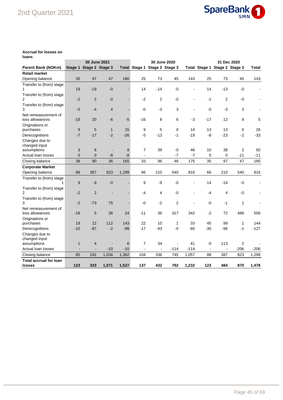## 2nd Quarter 2021



#### **Accrual for losses on loans**

|                                 |                | 30 June 2021<br>30 June 2020<br>31 Dec 2020 |                |       |                          |                               |                |                |                          |                               |        |                          |
|---------------------------------|----------------|---------------------------------------------|----------------|-------|--------------------------|-------------------------------|----------------|----------------|--------------------------|-------------------------------|--------|--------------------------|
| <b>Parent Bank (NOKm)</b>       |                | Stage 1 Stage 2 Stage 3                     |                |       |                          | Total Stage 1 Stage 2 Stage 3 |                |                |                          | Total Stage 1 Stage 2 Stage 3 |        | Total                    |
| <b>Retail market</b>            |                |                                             |                |       |                          |                               |                |                |                          |                               |        |                          |
| Opening balance                 | 35             | 97                                          | 47             | 180   | 25                       | 73                            | 45             | 143            | 25                       | 73                            | 45     | 143                      |
| Transfer to (from) stage        |                |                                             |                |       |                          |                               |                |                |                          |                               |        |                          |
| 1                               | 19             | $-19$                                       | $-0$           |       | 14                       | $-14$                         | $-0$           |                | 14                       | $-13$                         | $-0$   | $\overline{\phantom{a}}$ |
| Transfer to (from) stage        |                |                                             |                |       |                          |                               |                |                |                          |                               |        |                          |
| $\overline{2}$                  | $-2$           | $\overline{2}$                              | $-0$           |       | $-2$                     | 2                             | $-0$           |                | $-1$                     | 2                             | $-0$   |                          |
| Transfer to (from) stage        |                |                                             |                |       |                          |                               |                |                |                          |                               |        |                          |
| 3                               | $-0$           | $-4$                                        | $\overline{4}$ |       | $-0$                     | $-3$                          | 3              | $\blacksquare$ | $-0$                     | $-3$                          | 3      |                          |
| Net remeasurement of            |                |                                             |                |       |                          |                               |                |                |                          |                               |        |                          |
| loss allowances                 | $-19$          | 20                                          | $-6$           | $-5$  | $-16$                    | 8                             | 6              | $-3$           | $-17$                    | 12                            | 9      | 5                        |
| Originations or                 |                |                                             |                |       |                          |                               |                |                |                          |                               |        |                          |
| purchases                       | 9              | 5                                           | $\mathbf{1}$   | 15    | 9                        | 5                             | $\mathbf 0$    | 14             | 13                       | 13                            | 0      | 26                       |
| Derecognitions                  | $-7$           | $-17$                                       | $-2$           | $-26$ | $-5$                     | $-13$                         | $-1$           | $-19$          | -8                       | $-23$                         | $-2$   | $-33$                    |
| Changes due to                  |                |                                             |                |       |                          |                               |                |                |                          |                               |        |                          |
| changed input                   |                |                                             |                |       |                          |                               |                |                |                          |                               |        |                          |
| assumptions                     | 3              | 6                                           | $\overline{a}$ | 9     | 7                        | 39                            | -0             | 46             | 10                       | 38                            | 2      | 50                       |
| Actual loan losses              | $\overline{0}$ | 0                                           | $-8$           | -8    | $\overline{\phantom{a}}$ | $\blacksquare$                | $-7$           | $-7$           | $\mathbf 0$              | 0                             | $-11$  | $-11$                    |
| Closing balance                 | 38             | 90                                          | 36             | 165   | 33                       | 96                            | 46             | 175            | 35                       | 97                            | 47     | 180                      |
| <b>Corporate Market</b>         |                |                                             |                |       |                          |                               |                |                |                          |                               |        |                          |
| Opening balance                 | 88             | 387                                         | 823            | 1,299 | 66                       | 210                           | 540            | 816            | 66                       | 210                           | 540    | 816                      |
| Transfer to (from) stage        |                |                                             |                |       |                          |                               |                |                |                          |                               |        |                          |
|                                 | 9              | $-9$                                        | $-0$           |       | 9                        | -9                            | $-0$           |                | 14                       | $-14$                         | -0     | $\blacksquare$           |
| Transfer to (from) stage        |                |                                             |                |       |                          |                               |                |                |                          |                               |        |                          |
| $\overline{2}$                  | $-2$           | $\overline{2}$                              | $\overline{a}$ |       | -4                       | 4                             | $-0$           |                | $-4$                     | 4                             | -0     |                          |
| Transfer to (from) stage        |                |                                             |                |       |                          |                               |                |                |                          |                               |        |                          |
| 3                               | $-2$           | $-73$                                       | 75             |       | $-0$                     | $-2$                          | $\overline{2}$ |                | -0                       | $-1$                          | 1      |                          |
| Net remeasurement of            |                |                                             |                |       |                          |                               |                |                |                          |                               |        |                          |
| loss allowances                 | $-18$          | 5                                           | 36             | 24    | $-11$                    | 36                            | 317            | 342            | $-2$                     | 72                            | 486    | 556                      |
| Originations or<br>purchases    | 19             | 12                                          | 112            | 143   | 22                       | 10                            |                | 33             | 45                       | 99                            | 1      | 144                      |
|                                 | $-10$          | $-87$                                       | $-2$           | $-99$ | $-17$                    | $-43$                         | 1<br>-0        | $-60$          | $-30$                    | -96                           | $-1$   | $-127$                   |
| Derecognitions                  |                |                                             |                |       |                          |                               |                |                |                          |                               |        |                          |
| Changes due to<br>changed input |                |                                             |                |       |                          |                               |                |                |                          |                               |        |                          |
| assumptions                     | $\mathbf{1}$   | $\overline{4}$                              |                | 6     | 7                        | 34                            |                | 41             | $-0$                     | 113                           | 2      |                          |
| Actual loan losses              |                |                                             | $-10$          | $-10$ | $\overline{a}$           |                               | $-114$         | $-114$         | $\overline{\phantom{a}}$ |                               | $-206$ | $-206$                   |
| Closing balance                 | 85             | 242                                         | 1,034          | 1,362 | 104                      | 336                           | 745            | 1,057          | 88                       | 387                           | 823    | 1,299                    |
| <b>Total accrual for loan</b>   |                |                                             |                |       |                          |                               |                |                |                          |                               |        |                          |
| losses                          | 123            | 333                                         | 1,071          | 1,527 | 137                      | 432                           | 792            | 1,232          | 123                      | 484                           | 870    | 1,478                    |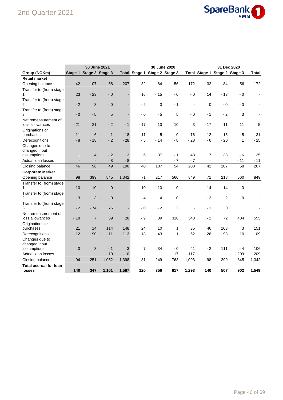## 2nd Quarter 2021



|                               | <b>30 June 2021</b><br>30 June 2020 |                         |              |        |                |                               |                | 31 Dec 2020              |                |                               |              |                |
|-------------------------------|-------------------------------------|-------------------------|--------------|--------|----------------|-------------------------------|----------------|--------------------------|----------------|-------------------------------|--------------|----------------|
| Group (NOKm)                  |                                     | Stage 1 Stage 2 Stage 3 |              |        |                | Total Stage 1 Stage 2 Stage 3 |                |                          |                | Total Stage 1 Stage 2 Stage 3 |              | <b>Total</b>   |
| <b>Retail market</b>          |                                     |                         |              |        |                |                               |                |                          |                |                               |              |                |
| Opening balance               | 42                                  | 107                     | 58           | 207    | 32             | 84                            | 56             | 172                      | 32             | 84                            | 56           | 172            |
| Transfer to (from) stage      |                                     |                         |              |        |                |                               |                |                          |                |                               |              |                |
|                               | 23                                  | $-23$                   | $-0$         |        | 16             | $-15$                         | $-0$           | $-0$                     | 14             | $-13$                         | - 0          | $\blacksquare$ |
| Transfer to (from) stage      |                                     |                         |              |        |                |                               |                |                          |                |                               |              |                |
| 2                             | $-2$                                | 3                       | $-0$         |        | $-2$           | 3                             | - 1            |                          | $\mathbf 0$    | - 0                           | - 0          |                |
| Transfer to (from) stage      |                                     |                         |              |        |                |                               |                |                          |                |                               |              |                |
| 3                             | $-0$                                | $-5$                    | 5            |        | $-0$           | - 5                           | 5              | $-0$                     | - 1            | $-2$                          | 3            |                |
| Net remeasurement of          |                                     |                         |              |        |                |                               |                |                          |                |                               |              |                |
| loss allowances               | $-21$                               | 21                      | $-2$         | $-1$   | $-17$          | 10                            | 10             | 3                        | $-17$          | 11                            | 11           | 5              |
| Originations or               |                                     |                         |              |        |                |                               |                |                          |                |                               |              |                |
| purchases                     | 11                                  | 6                       | $\mathbf{1}$ | 18     | 11             | 5                             | $\mathbf 0$    | 16                       | 12             | 15                            | 5            | 31             |
| Derecognitions                | $-8$                                | $-18$                   | $-2$         | $-28$  | $-5$           | $-14$                         | $-8$           | $-28$                    | $-6$           | $-20$                         | 1            | $-25$          |
| Changes due to                |                                     |                         |              |        |                |                               |                |                          |                |                               |              |                |
| changed input                 |                                     |                         |              |        |                |                               |                |                          |                |                               |              |                |
| assumptions                   | $\mathbf{1}$                        | $\overline{4}$          | $-2$         | 3      | 6              | 37                            | - 1            | 43                       | 7              | 33                            | - 6          | 35             |
| Actual loan losses            |                                     |                         | $-8$         | $-8$   | $\overline{a}$ | $\mathbf{r}$                  | $-7$           | $-7$                     | $\overline{a}$ |                               | $-11$        | $-11$          |
| Closing balance               | 46                                  | 96                      | 49           | 190    | 40             | 107                           | 54             | 200                      | 42             | 107                           | 58           | 207            |
| <b>Corporate Market</b>       |                                     |                         |              |        |                |                               |                |                          |                |                               |              |                |
| Opening balance               | 98                                  | 399                     | 845          | 1,342  | 71             | 217                           | 560            | 849                      | 71             | 218                           | 560          | 849            |
| Transfer to (from) stage      |                                     |                         |              |        |                |                               |                |                          |                |                               |              |                |
|                               | 10                                  | $-10$                   | $-0$         |        | 10             | $-10$                         | $-0$           | ÷,                       | 14             | $-14$                         | - 0          |                |
| Transfer to (from) stage      |                                     |                         |              |        |                |                               |                |                          |                |                               |              |                |
| $\overline{2}$                | $-3$                                | 3                       | $-0$         |        | - 4            | $\overline{4}$                | - 0            | $\overline{\phantom{a}}$ | $-2$           | 2                             | - 0          |                |
| Transfer to (from) stage      |                                     |                         |              |        |                |                               |                |                          |                |                               |              |                |
| 3                             | $-2$                                | $-74$                   | 76           |        | $-0$           | $-2$                          | $\overline{2}$ |                          | - 1            | $\mathbf 0$                   | $\mathbf{1}$ |                |
| Net remeasurement of          |                                     |                         |              |        |                |                               |                |                          |                |                               |              |                |
| loss allowances               | $-18$                               | $\overline{7}$          | 39           | 28     | - 9            | 39                            | 318            | 348                      | $-2$           | 72                            | 484          | 555            |
| Originations or<br>purchases  | 21                                  | 14                      | 114          | 148    | 24             | 10                            | 1              | 35                       | 46             | 103                           | 3            | 151            |
| Derecognitions                | $-12$                               | $-90$                   | $-11$        | $-113$ | $-18$          | $-43$                         | $-1$           | $-62$                    | $-26$          | $-93$                         | 10           | $-109$         |
| Changes due to                |                                     |                         |              |        |                |                               |                |                          |                |                               |              |                |
| changed input                 |                                     |                         |              |        |                |                               |                |                          |                |                               |              |                |
| assumptions                   | $\pmb{0}$                           | 3                       | $-1$         | 3      | 7              | 34                            | $-0$           | 41                       | $-2$           | 111                           | - 4          | 106            |
| Actual loan losses            | $\blacksquare$                      | $\overline{a}$          | $-10$        | $-10$  | $\blacksquare$ | $\blacksquare$                | $-117$         | $-117$                   | $\blacksquare$ |                               | $-209$       | $-209$         |
| Closing balance               | 94                                  | 251                     | 1,052        | 1,398  | 81             | 249                           | 763            | 1,093                    | 98             | 399                           | 845          | 1,342          |
| <b>Total accrual for loan</b> |                                     |                         |              |        |                |                               |                |                          |                |                               |              |                |
| losses                        | 140                                 | 347                     | 1,101        | 1,587  | 120            | 356                           | 817            | 1,293                    | 140            | 507                           | 902          | 1,549          |
|                               |                                     |                         |              |        |                |                               |                |                          |                |                               |              |                |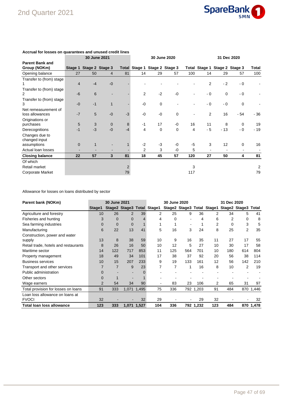

|                                        |                   |                         | 30 June 2021   |                | 30 June 2020   |             |                               |                |                               | 31 Dec 2020 |             |       |  |
|----------------------------------------|-------------------|-------------------------|----------------|----------------|----------------|-------------|-------------------------------|----------------|-------------------------------|-------------|-------------|-------|--|
| <b>Parent Bank and</b><br>Group (NOKm) |                   | Stage 1 Stage 2 Stage 3 |                |                |                |             | Total Stage 1 Stage 2 Stage 3 |                | Total Stage 1 Stage 2 Stage 3 |             |             | Total |  |
| Opening balance                        | 27                | 50                      | $\overline{4}$ | 81             | 14             | 29          | 57                            | 100            | 14                            | 29          | 57          | 100   |  |
| Transfer to (from) stage               |                   |                         |                |                |                |             |                               |                |                               |             |             |       |  |
|                                        | $\overline{4}$    | $-4$                    | $-0$           |                |                |             |                               |                | 2                             | $-2$        | $-0$        |       |  |
| Transfer to (from) stage               |                   |                         |                |                |                |             |                               |                |                               |             |             |       |  |
| 2                                      | $-6$              | 6                       |                |                | $\overline{2}$ | $-2$        | -0                            |                | - 0                           | $\mathbf 0$ | $-0$        |       |  |
| Transfer to (from) stage               |                   |                         |                |                |                |             |                               |                |                               |             |             |       |  |
| 3                                      | $-0$              | $-1$                    | 1              |                | $-0$           | $\mathbf 0$ |                               |                | $-0$                          | $-0$        | $\mathbf 0$ |       |  |
| Net remeasurement of                   |                   |                         |                |                |                |             |                               |                |                               |             |             |       |  |
| loss allowances                        | $-7$              | 5                       | $-0$           | $-3$           | -0             | $-0$        | $\mathbf 0$                   |                | 2                             | 16          | - 54        | $-36$ |  |
| Originations or                        |                   |                         |                |                |                |             |                               |                |                               |             |             |       |  |
| purchases                              | 5                 | 3                       | $\mathbf 0$    | 8              | $-1$           | 17          | $-0$                          | 16             | 11                            | 8           | $\mathbf 0$ | 19    |  |
| Derecognitions                         | $-1$              | $-3$                    | $-0$           | $-4$           | 4              | $\mathbf 0$ | 0                             | $\overline{4}$ | $-5$                          | $-13$       | - 0         | $-19$ |  |
| Changes due to                         |                   |                         |                |                |                |             |                               |                |                               |             |             |       |  |
| changed input                          |                   |                         |                |                |                |             |                               |                |                               |             |             |       |  |
| assumptions                            | $\Omega$          | $\mathbf{1}$            |                |                | $-2$           | $-3$        | $-0$                          | $-5$           | 3                             | 12          | $\Omega$    | 16    |  |
| Actual loan losses                     |                   |                         |                |                | $\overline{2}$ | 3           | $-0$                          | 5              |                               |             |             |       |  |
| <b>Closing balance</b>                 | $22 \overline{ }$ | 57                      | 3              | 81             | 18             | 45          | 57                            | 120            | 27                            | 50          | 4           | 81    |  |
| Of which                               |                   |                         |                |                |                |             |                               |                |                               |             |             |       |  |
| Retail market                          |                   |                         |                | $\overline{2}$ |                |             |                               | 3              |                               |             |             | 2     |  |
| Corporate Market                       |                   |                         |                | 79             |                |             |                               | 117            |                               |             |             | 79    |  |

#### **Accrual for losses on quarantees and unused credit lines**

Allowance for losses on loans distributed by sector

| Parent bank (NOKm)                   |                | <b>30 June 2021</b> |                |             |                            | 30 June 2020 |     |           |     | 31 Dec 2020                                    |                |           |
|--------------------------------------|----------------|---------------------|----------------|-------------|----------------------------|--------------|-----|-----------|-----|------------------------------------------------|----------------|-----------|
|                                      | Stage1         |                     |                |             | Stage2 Stage3 Total Stage1 |              |     |           |     | Stage2 Stage3 Total Stage1 Stage2 Stage3 Total |                |           |
| Agriculture and forestry             | 10             | 26                  | 2              | 39          | 2                          | 25           | 9   | 36        | 2   | 34                                             | 5              | 41        |
| Fisheries and hunting                | 3              | $\Omega$            | $\mathbf 0$    |             | 4                          | 0            |     | 4         | 6   | 2                                              | 0              | 8         |
| Sea farming industries               | $\Omega$       | $\Omega$            | $\overline{0}$ |             |                            |              |     |           | 2   | 0                                              | 3              | 5         |
| Manufacturing                        | 6              | 22                  | 13             | 41          | 5                          | 16           | 3   | 24        | 8   | 25                                             | $\overline{2}$ | 35        |
| Construction, power and water        |                |                     |                |             |                            |              |     |           |     |                                                |                |           |
| supply                               | 13             | 8                   | 38             | 59          | 10                         | 9            | 16  | 35        | 11  | 27                                             | 17             | 55        |
| Retail trade, hotels and restaurants | 8              | 26                  | 16             | 50          | 10                         | 12           | 5   | 27        | 10  | 30                                             | 17             | 58        |
| Maritime sector                      | 14             | 122                 | 717            | 853         | 11                         | 125          | 564 | 701       | 10  | 180                                            | 614            | 804       |
| Property management                  | 18             | 49                  | 34             | 101         | 17                         | 38           | 37  | 92        | 20  | 56                                             | 38             | 114       |
| <b>Business services</b>             | 10             | 15                  | 207            | 233         | 9                          | 19           | 133 | 161       | 12  | 56                                             | 142            | 210       |
| Transport and other services         |                | 7                   | 9              | 23          |                            | 7            | 1   | 16        | 8   | 10                                             | 2              | 19        |
| Public administration                | 0              |                     |                |             |                            |              |     |           |     |                                                |                |           |
| Other sectors                        |                |                     |                |             |                            |              |     |           |     |                                                |                |           |
| Wage earners                         | $\overline{2}$ | 54                  | 34             | 90          | $\blacksquare$             | 83           | 23  | 106       | 2   | 65                                             | 31             | 97        |
| Total provision for losses on loans  | 91             | 333                 |                | 1,071 1,495 | 75                         | 336          |     | 792 1,203 | 91  | 484                                            |                | 870 1,446 |
| Loan loss allowance on loans at      |                |                     |                |             |                            |              |     |           |     |                                                |                |           |
| <b>FVOCI</b>                         | 32             |                     |                | 32          | 29                         |              |     | 29        | 32  |                                                |                | 32        |
| <b>Total loan loss allowance</b>     | 123            | 333                 | 1.071          | 1.527       | 104                        | 336          |     | 792 1,232 | 123 | 484                                            |                | 870 1,478 |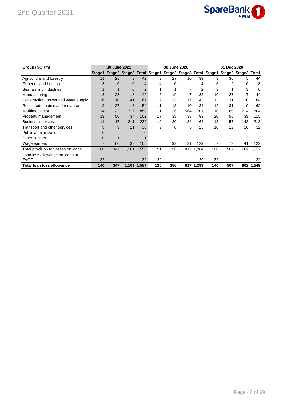### 2nd Quarter 2021



| Group (NOKm)                         |          | 30 June 2021 |              |             |     | 30 June 2020                                                              |     |           |     | 31 Dec 2020 |                |           |
|--------------------------------------|----------|--------------|--------------|-------------|-----|---------------------------------------------------------------------------|-----|-----------|-----|-------------|----------------|-----------|
|                                      | Stage1   |              |              |             |     | Stage2 Stage3 Total Stage1 Stage2 Stage3 Total Stage1 Stage2 Stage3 Total |     |           |     |             |                |           |
| Agriculture and forestry             | 11       | 28           | 3            | 42          | 3   | 27                                                                        | 10  | 39        | 3   | 36          | 5              | 44        |
| Fisheries and hunting                | 3        | $\Omega$     | $\mathbf{0}$ | 4           | 4   | 0                                                                         |     | 4         | 6   | 2           | 0              | 8         |
| Sea farming industries               |          |              | $\mathbf 0$  | 2           |     |                                                                           |     |           | 3   |             | 3              | 6         |
| Manufacturing                        | 8        | 23           | 18           | 49          | 6   | 19                                                                        | 7   | 32        | 10  | 27          | 7              | 44        |
| Construction, power and water supply | 16       | 10           | 41           | 67          | 12  | 13                                                                        | 17  | 42        | 13  | 31          | 20             | 64        |
| Retail trade, hotels and restaurants | 9        | 27           | 18           | 54          | 11  | 13                                                                        | 10  | 34        | 12  | 31          | 19             | 62        |
| Maritime sector                      | 14       | 122          | 717          | 853         | 11  | 125                                                                       | 564 | 701       | 10  | 180         | 614            | 804       |
| Property management                  | 19       | 50           | 34           | 102         | 17  | 38                                                                        | 38  | 93        | 20  | 56          | 39             | 115       |
| <b>Business services</b>             | 11       | 17           | 211          | 239         | 10  | 20                                                                        | 134 | 164       | 13  | 57          | 143            | 213       |
| Transport and other services         | 9        | 9            | 21           | 38          | 9   | 8                                                                         | 5   | 23        | 10  | 12          | 10             | 32        |
| Public administration                | $\Omega$ |              |              |             |     |                                                                           |     |           |     |             |                |           |
| Other sectors                        | $\Omega$ |              |              |             |     |                                                                           |     |           |     |             | $\overline{2}$ | 2         |
| Wage earners                         | 7        | 60           | 38           | 105         | 6   | 92                                                                        | 31  | 129       | 7   | 73          | 41             | 122       |
| Total provision for losses on loans  | 108      | 347          |              | 1,101 1,556 | 91  | 356                                                                       |     | 817 1,264 | 108 | 507         |                | 902 1,517 |
| Loan loss allowance on loans at      |          |              |              |             |     |                                                                           |     |           |     |             |                |           |
| <b>FVOCI</b>                         | 32       |              |              | 32          | 29  |                                                                           |     | 29        | 32  |             |                | 32        |
| Total loan loss allowance            | 140      | 347          |              | 1,101 1,587 | 120 | 356                                                                       |     | 817 1,293 | 140 | 507         |                | 902 1,549 |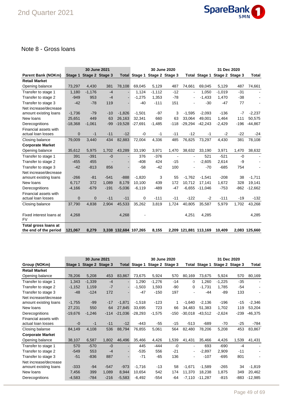

#### Note 8 - Gross loans

|                           |              | 30 June 2021 |                 |                       |           |                               | 30 June 2020   |                | 31 Dec 2020           |                 |        |               |
|---------------------------|--------------|--------------|-----------------|-----------------------|-----------|-------------------------------|----------------|----------------|-----------------------|-----------------|--------|---------------|
| <b>Parent Bank (NOKm)</b> | Stage 1      |              | Stage 2 Stage 3 |                       |           | Total Stage 1 Stage 2 Stage 3 |                |                | Total Stage 1         | Stage 2 Stage 3 |        | Total         |
| <b>Retail Market</b>      |              |              |                 |                       |           |                               |                |                |                       |                 |        |               |
| Opening balance           | 73,297       | 4,430        | 381             | 78,108                | 69,045    | 5,129                         | 487            | 74,661         | 69,045                | 5,129           | 487    | 74,661        |
| Transfer to stage 1       | 1,180        | $-1,176$     | $-4$            |                       | 1,124     | $-1,112$                      | $-12$          | $\blacksquare$ | 1.050                 | $-1,019$        | $-31$  |               |
| Transfer to stage 2       | $-949$       | 953          | $-4$            |                       | $-1,275$  | 1,353                         | $-78$          |                | $-1,433$              | 1,470           | $-38$  |               |
| Transfer to stage 3       | $-42$        | $-78$        | 119             |                       | $-40$     | $-111$                        | 151            |                | $-30$                 | $-47$           | 77     |               |
| Net increase/decrease     |              |              |                 |                       |           |                               |                |                |                       |                 |        |               |
| amount existing loans     | $-1,736$     | $-79$        | $-10$           | $-1.826$              | $-1,501$  | $-97$                         | 3              | $-1,595$       | $-2,093$              | $-136$          | $-7$   | $-2,237$      |
| New loans                 | 25,651       | 449          | 63              | 26.163                | 32,341    | 660                           | 63             | 33.064         | 49.001                | 1.464           | 111    | 50,575        |
| Derecognitions            | $-18,368$    | $-1,061$     | $-99$           | $-19,528$             | $-27,691$ | $-1,485$                      | $-118$         | $-29,294$      | $-42,243$             | $-2,429$        | $-196$ | $-44,867$     |
| Financial assets with     |              |              |                 |                       |           |                               |                |                |                       |                 |        |               |
| actual loan losses        | $\mathbf 0$  | $-1$         | $-11$           | $-12$                 | -0        | $-1$                          | $-11$          | $-12$          | $-1$                  | $-2$            | $-22$  | $-24$         |
| Closing balance           | 79,009       | 3,440        | 434             | 82,883                | 72,004    | 4,336                         | 485            | 76,825         | 73.297                | 4,430           | 381    | 78,108        |
| <b>Corporate Market</b>   |              |              |                 |                       |           |                               |                |                |                       |                 |        |               |
| Opening balance           | 35,612       | 5,975        | 1,702           | 43,289                | 33,190    | 3,971                         | 1,470          | 38,632         | 33,190                | 3,971           | 1,470  | 38,632        |
| Transfer to stage 1       | 391          | $-391$       | $-0$            |                       | 376       | $-376$                        | $\blacksquare$ | $\blacksquare$ | 521                   | $-521$          | $-0$   | $\sim$        |
| Transfer to stage 2       | $-455$       | 455          |                 |                       | $-408$    | 424                           | $-15$          | ۰              | $-2,605$              | 2,614           | -9     |               |
| Transfer to stage 3       | $-42$        | $-813$       | 856             |                       | $-58$     | $-42$                         | 100            |                | $-70$                 | $-685$          | 754    |               |
| Net increase/decrease     |              |              |                 |                       |           |                               |                |                |                       |                 |        |               |
| amount existing loans     | $-266$       | $-81$        | $-541$          | $-888$                | $-1,820$  | 3                             | 55             | $-1,762$       | $-1,541$              | $-208$          | 38     | $-1,711$      |
| New loans                 | 6,717        | 372          | 1,089           | 8.179                 | 10,100    | 439                           | 172            | 10.712         | 17.141                | 1,672           | 328    | 19,141        |
| Derecognitions            | $-4,166$     | $-679$       | $-191$          | $-5,036$              | $-6,119$  | $-489$                        | $-47$          | $-6,655$       | $-11,046$             | $-753$          | $-862$ | $-12,662$     |
| Financial assets with     |              |              |                 |                       |           |                               |                |                |                       |                 |        |               |
| actual loan losses        | $\mathbf{0}$ | $\mathbf 0$  | $-11$           | $-11$                 | 0         | $-111$                        | $-11$          | $-122$         | $-2$                  | $-111$          | $-19$  | $-132$        |
| Closing balance           | 37,790       | 4,838        | 2,904           | 45,533                | 35,262    | 3,819                         | 1,724          | 40,805         | 35,587                | 5,979           | 1,702  | 43,268        |
|                           |              |              |                 |                       |           |                               |                |                |                       |                 |        |               |
| Fixed interest loans at   | 4,268        |              |                 | 4,268                 |           |                               |                | 4,251          | 4,285                 |                 |        | 4,285         |
| <b>FV</b>                 |              |              |                 |                       |           |                               |                |                |                       |                 |        |               |
| Total gross loans at      |              |              |                 |                       |           |                               |                |                |                       |                 |        |               |
| the end of the period     | 121,067      | 8,279        |                 | 3,338 132,684 107,265 |           | 8,155                         |                |                | 2,209 121,881 113,169 | 10,409          |        | 2,083 125,660 |

|                         |           | 30 June 2021 |                 |           | 30 June 2020<br>31 Dec 2020 |          |                 |                |               |                 |        |                |
|-------------------------|-----------|--------------|-----------------|-----------|-----------------------------|----------|-----------------|----------------|---------------|-----------------|--------|----------------|
| Group (NOKm)            | Stage 1   |              | Stage 2 Stage 3 |           | Total Stage 1               |          | Stage 2 Stage 3 |                | Total Stage 1 | Stage 2 Stage 3 |        | Total          |
| <b>Retail Market</b>    |           |              |                 |           |                             |          |                 |                |               |                 |        |                |
| Opening balance         | 78,206    | 5,208        | 453             | 83,867    | 73,675                      | 5,924    | 570             | 80,169         | 73,675        | 5,924           | 570    | 80,169         |
| Transfer to stage 1     | 1,343     | $-1,339$     | $-4$            |           | 1,290                       | $-1,276$ | $-14$           | $\Omega$       | 1,260         | $-1,225$        | $-35$  | $\sim$         |
| Transfer to stage 2     | $-1,152$  | 1,159        | $-7$            |           | $-1,503$                    | 1,593    | -90             | $\Omega$       | $-1,731$      | 1,785           | -54    | $\blacksquare$ |
| Transfer to stage 3     | $-48$     | $-124$       | 172             |           | $-47$                       | $-150$   | 197             |                | -44           | $-89$           | 133    |                |
| Net increase/decrease   |           |              |                 |           |                             |          |                 |                |               |                 |        |                |
| amount existing loans   | $-1,755$  | $-99$        | $-17$           | $-1,871$  | $-1,518$                    | $-123$   | 1               | $-1,640$       | $-2,136$      | $-196$          | $-15$  | $-2,346$       |
| New loans               | 27,231    | 550          | 64              | 27,845    | 33,695                      | 723      | 66              | 34,483         | 51,383        | 1,702           | 119    | 53,204         |
| Derecognitions          | $-19,676$ | $-1,246$     | $-114$          | $-21,036$ | $-28,293$                   | $-1,575$ | $-150$          | $-30,018$      | $-43,512$     | $-2,624$        | $-239$ | $-46,375$      |
| Financial assets with   |           |              |                 |           |                             |          |                 |                |               |                 |        |                |
| actual loan losses      | $-0$      | $-1$         | $-11$           | $-12$     | $-443$                      | $-55$    | $-15$           | $-513$         | -689          | $-70$           | $-25$  | $-784$         |
| Closing balanse         | 84,149    | 4,108        | 536             | 88,794    | 76,855                      | 5,061    | 564             | 82,480         | 78,206        | 5,208           | 453    | 83,867         |
| <b>Corporate Market</b> |           |              |                 |           |                             |          |                 |                |               |                 |        |                |
| Opening balance         | 38,107    | 6,587        | 1,802           | 46,496    | 35,466                      | 4,426    | 1,539           | 41,431         | 35,466        | 4,426           | 1,539  | 41,431         |
| Transfer to stage 1     | 570       | $-570$       | $-0$            |           | 445                         | $-444$   | $-0$            | $\blacksquare$ | 693           | $-690$          | $-4$   | $\sim$         |
| Transfer to stage 2     | $-549$    | 553          | $-4$            |           | $-535$                      | 556      | $-21$           | $\blacksquare$ | $-2,897$      | 2,909           | $-11$  |                |
| Transfer to stage 3     | $-51$     | $-836$       | 887             |           | $-71$                       | $-65$    | 136             |                | $-107$        | $-695$          | 801    |                |
| Net increase/decrease   |           |              |                 |           |                             |          |                 |                |               |                 |        |                |
| amount existing loans   | $-333$    | $-94$        | $-547$          | $-973$    | $-1,716$                    | $-13$    | 58              | $-1,671$       | $-1,589$      | -265            | 34     | $-1,819$       |
| New loans               | 7,456     | 399          | 1,089           | 8,944     | 10,654                      | 542      | 174             | 11,370         | 18,238        | 1,875           | 349    | 20,462         |
| Derecognitions          | $-4,583$  | $-784$       | $-216$          | $-5,583$  | $-6,492$                    | $-554$   | -64             | $-7,110$       | $-11,287$     | $-815$          | $-883$ | $-12,985$      |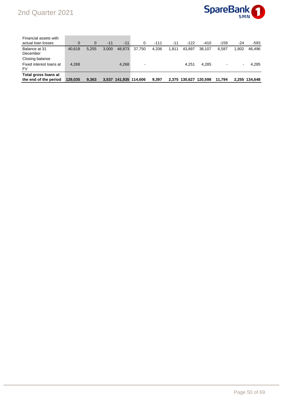## 2nd Quarter 2021



| Financial assets with<br>actual loan losses   |         | $\Omega$ | $-11$ | $-11$                 | 0                            | $-111$ | $-11$ | $-122$        | $-410$  | $-159$ | $-24$ | -593          |
|-----------------------------------------------|---------|----------|-------|-----------------------|------------------------------|--------|-------|---------------|---------|--------|-------|---------------|
| Balance at 31<br>December                     | 40.618  | 5,255    | 3,000 | 48,873                | 37.750                       | 4,336  | 1,811 | 43.897        | 38,107  | 6.587  | 1.802 | 46.496        |
| Closing balanse                               |         |          |       |                       |                              |        |       |               |         |        |       |               |
| Fixed interest loans at<br><b>FV</b>          | 4,268   |          |       | 4,268                 | $\qquad \qquad \blacksquare$ |        |       | 4.251         | 4.285   |        |       | 4.285         |
| Total gross loans at<br>the end of the period | 129.035 | 9,363    |       | 3.537 141.935 114.606 |                              | 9.397  |       | 2.375 130.627 | 120.598 | 11.794 |       | 2.255 134.648 |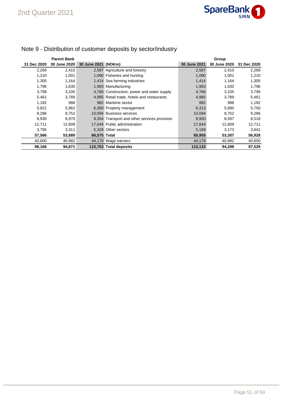

|             | <b>Parent Bank</b> |                     |                                              |              | Group        |             |
|-------------|--------------------|---------------------|----------------------------------------------|--------------|--------------|-------------|
| 31 Dec 2020 | 30 June 2020       | 30 June 2021 (NOKm) |                                              | 30 June 2021 | 30 June 2020 | 31 Dec 2020 |
| 2,269       | 2,410              |                     | 2,587 Agriculture and forestry               | 2,587        | 2,410        | 2,269       |
| 1.210       | 1,001              |                     | 1,090 Fisheries and hunting                  | 1,090        | 1,001        | 1,210       |
| 1,305       | 1,164              |                     | 1,414 Sea farming industries                 | 1,414        | 1,164        | 1,305       |
| 1,796       | 1,630              |                     | 1,963 Manufacturing                          | 1,963        | 1,630        | 1,796       |
| 3,799       | 3,105              |                     | 4,766 Construction, power and water supply   | 4,766        | 3,105        | 3,799       |
| 5,461       | 3,789              |                     | 4,985 Retail trade, hotels and restaurants   | 4,985        | 3.789        | 5,461       |
| 1,182       | 988                |                     | 982 Maritime sector                          | 982          | 988          | 1,182       |
| 5,821       | 5,962              |                     | 6,369 Property management                    | 6,313        | 5,890        | 5,750       |
| 9,286       | 8,752              |                     | 10.094 Business services                     | 10,094       | 8.752        | 9,286       |
| 8.930       | 8,970              |                     | 9,354 Transport and other services provision | 8,950        | 8.597        | 8,518       |
| 12,711      | 12,809             |                     | 17,644 Public administration                 | 17,644       | 12,809       | 12,711      |
| 3,795       | 3,311              |                     | 5.328 Other sectors                          | 5,169        | 3,173        | 3,641       |
| 57,566      | 53,889             | 66,575 Total        |                                              | 65,955       | 53,307       | 56,928      |
| 40,600      | 40,982             |                     | 44,178 Wage earners                          | 44,178       | 40,982       | 40,600      |
| 98,166      | 94,871             |                     | 110,753 Total deposits                       | 110,133      | 94,289       | 97,529      |

## Note 9 - Distribution of customer deposits by sector/industry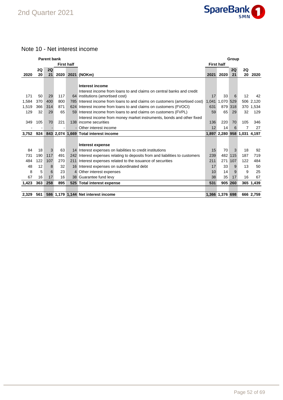

#### Note 10 - Net interest income

|       |     | <b>Parent bank</b> |      |                   |                                                                                                          |                   |                             | Group |     |           |
|-------|-----|--------------------|------|-------------------|----------------------------------------------------------------------------------------------------------|-------------------|-----------------------------|-------|-----|-----------|
|       |     |                    |      | <b>First half</b> |                                                                                                          | <b>First half</b> |                             |       |     |           |
|       | 2Q  | 2Q                 |      |                   |                                                                                                          |                   |                             | 2Q    | 2Q  |           |
| 2020  | 20  | 21                 | 2020 |                   | 2021 (NOKm)                                                                                              | 2021              | 2020                        | 21    | 20  | 2020      |
|       |     |                    |      |                   |                                                                                                          |                   |                             |       |     |           |
|       |     |                    |      |                   | Interest income                                                                                          |                   |                             |       |     |           |
| 171   | 50  | 29                 | 117  |                   | Interest income from loans to and claims on central banks and credit<br>64 institutions (amortised cost) | 17                | 33                          | 6     | 12  | 42        |
| 1,584 | 370 | 400                | 800  |                   | 785 Interest income from loans to and claims on customers (amortised cost)                               | 1,041             | 1,070 529                   |       |     | 506 2,120 |
|       | 366 | 314                | 871  |                   |                                                                                                          |                   | 879 318                     |       |     |           |
| 1,519 |     |                    |      |                   | 624 Interest income from loans to and claims on customers (FVOCI)                                        | 631               |                             |       |     | 370 1,534 |
| 129   | 32  | 29                 | 65   |                   | 59 Interest income from loans to and claims on customers (FVPL)                                          | 59                | 65                          | 29    | 32  | 129       |
|       |     |                    |      |                   | Interest income from money market instruments, bonds and other fixed                                     |                   |                             |       |     |           |
| 349   | 105 | 70                 | 221  |                   | 138 income securities                                                                                    | 136               | 220                         | 70    | 105 | 346       |
|       | ٠   |                    |      |                   | - Other interest income                                                                                  | 12                | 14                          | 6     | 7   | 27        |
| 3,752 | 924 |                    |      |                   | 843 2,074 1,669 Total interest income                                                                    |                   | 1,897 2,280 958 1,031 4,197 |       |     |           |
|       |     |                    |      |                   |                                                                                                          |                   |                             |       |     |           |
|       |     |                    |      |                   | Interest expense                                                                                         |                   |                             |       |     |           |
| 84    | 18  | 3                  | 63   |                   | 14 Interest expenses on liabilities to credit institutions                                               | 15                | 70                          | 3     | 18  | 92        |
| 731   | 190 | 117                | 491  |                   | 242 Interest expenses relating to deposits from and liabilities to customers                             | 239               | 482                         | 115   | 187 | 719       |
| 484   | 122 | 107                | 270  |                   | 211 Interest expenses related to the issuance of securities                                              | 211               | 271                         | 107   | 122 | 484       |
| 48    | 12  | 8                  | 32   |                   | 16 Interest expenses on subordinated debt                                                                | 17                | 33                          | 9     | 13  | 50        |
| 8     | 5   | 6                  | 23   |                   | 4 Other interest expenses                                                                                | 10                | 14                          | 9     | 9   | 25        |
| 67    | 16  | 17                 | 16   |                   | 38 Guarantee fund levy                                                                                   | 38                | 35                          | 17    | 16  | 67        |
| 1,423 | 363 | 258                | 895  |                   | 525 Total interest expense                                                                               | 531               | 905 260                     |       |     | 365 1,439 |
|       |     |                    |      |                   |                                                                                                          |                   |                             |       |     |           |
| 2,329 | 561 |                    |      |                   | 586 1,179 1,144 Net interest income                                                                      |                   | 1,366 1,376 698             |       |     | 666 2,759 |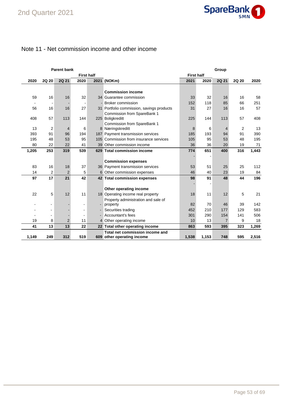

#### Note 11 - Net commission income and other income

|       |                | <b>Parent bank</b> |                          |                                           |                   |       | Group          |       |       |
|-------|----------------|--------------------|--------------------------|-------------------------------------------|-------------------|-------|----------------|-------|-------|
|       |                |                    | <b>First half</b>        |                                           | <b>First half</b> |       |                |       |       |
| 2020  | <b>2Q 20</b>   | <b>2Q 21</b>       | 2020                     | 2021 (NOKm)                               | 2021              | 2020  | 2Q 21          | 2Q 20 | 2020  |
|       |                |                    |                          |                                           |                   |       |                |       |       |
|       |                |                    |                          | <b>Commission income</b>                  |                   |       |                |       |       |
| 59    | 16             | 16                 | 32                       | 34 Guarantee commission                   | 33                | 32    | 16             | 16    | 58    |
|       |                |                    |                          | - Broker commission                       | 152               | 118   | 85             | 66    | 251   |
| 56    | 16             | 16                 | 27                       | 31 Portfolio commission, savings products | 31                | 27    | 16             | 16    | 57    |
|       |                |                    |                          | Commission from SpareBank 1               |                   |       |                |       |       |
| 408   | 57             | 113                | 144                      | 225 Boligkreditt                          | 225               | 144   | 113            | 57    | 408   |
|       |                |                    |                          | Commission from SpareBank 1               |                   |       |                |       |       |
| 13    | $\overline{2}$ | $\overline{4}$     | 6                        | 8 Næringskreditt                          | 8                 | 6     | 4              | 2     | 13    |
| 393   | 91             | 96                 | 194                      | 187 Payment transmission services         | 185               | 193   | 94             | 91    | 390   |
| 195   | 48             | 53                 | 95                       | 105 Commission from insurance services    | 105               | 95    | 53             | 48    | 195   |
| 80    | 22             | 22                 | 41                       | 39 Other commission income                | 36                | 36    | 20             | 19    | 71    |
| 1,205 | 253            | 319                | 539                      | 629 Total commission income               | 774               | 651   | 400            | 316   | 1,443 |
|       |                |                    |                          |                                           |                   |       |                |       |       |
|       |                |                    |                          | <b>Commission expenses</b>                |                   |       |                |       |       |
| 83    | 16             | 18                 | 37                       | 36 Payment transmission services          | 53                | 51    | 25             | 25    | 112   |
| 14    | $\overline{2}$ | $\overline{2}$     | 5                        | 6 Other commission expenses               | 46                | 40    | 23             | 19    | 84    |
| 97    | 17             | 21                 | 42                       | 42 Total commission expenses              | 98                | 91    | 48             | 44    | 196   |
|       |                |                    |                          |                                           |                   |       |                |       |       |
|       |                |                    |                          | Other operating income                    |                   |       |                |       |       |
| 22    | 5              | 12                 | 11                       | 18 Operating income real property         | 18                | 11    | 12             | 5     | 21    |
|       |                |                    |                          | Property administration and sale of       |                   |       |                |       |       |
|       |                |                    | $\overline{\phantom{a}}$ | property                                  | 82                | 70    | 46             | 39    | 142   |
|       |                |                    | ۰                        | Securities trading                        | 452               | 210   | 177            | 129   | 583   |
|       |                |                    |                          | Accountant's fees                         | 301               | 290   | 154            | 141   | 506   |
| 19    | 8              | $\overline{2}$     | 11                       | 4 Other operating income                  | 10                | 13    | $\overline{7}$ | 9     | 18    |
| 41    | 13             | 13                 | 22                       | 22 Total other operating income           | 863               | 593   | 395            | 323   | 1,269 |
|       |                |                    |                          | Total net commission income and           |                   |       |                |       |       |
| 1,149 | 249            | 312                | 519                      | 609 other operating income                | 1,538             | 1,153 | 748            | 595   | 2,516 |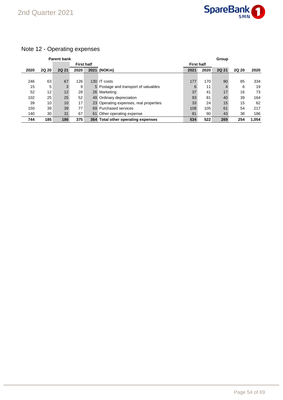

## Note 12 - Operating expenses

|      |                 | <b>Parent bank</b> |                   |                                        |                   |      | Group |       |       |
|------|-----------------|--------------------|-------------------|----------------------------------------|-------------------|------|-------|-------|-------|
|      |                 |                    | <b>First half</b> |                                        | <b>First half</b> |      |       |       |       |
| 2020 | <b>2Q 20</b>    | <b>2Q 21</b>       | 2020              | 2021 (NOKm)                            | 2021              | 2020 | 2Q 21 | 2Q 20 | 2020  |
|      |                 |                    |                   |                                        |                   |      |       |       |       |
| 246  | 63              | 67                 | 126               | 130 IT costs                           | 177               | 170  | 90    | 85    | 334   |
| 15   | 5               | 3                  | 9                 | 5 Postage and transport of valuables   | 6                 | 11   | 4     | 6     | 19    |
| 52   | 12 <sub>1</sub> | 12                 | 28                | 26 Marketing                           | 37                | 41   | 17    | 16    | 73    |
| 102  | 25              | 25                 | 52                | 49 Ordinary depreciation               | 93                | 81   | 40    | 39    | 164   |
| 39   | 10              | 10 <sup>1</sup>    | 17                | 23 Operating expenses, real properties | 33                | 24   | 15    | 15    | 62    |
| 150  | 39              | 39                 | 77                | 69 Purchased services                  | 108               | 105  | 61    | 54    | 217   |
| 140  | 30              | 31                 | 67                | 61 Other operating expense             | 81                | 90   | 43    | 38    | 186   |
| 744  | 185             | 186                | 375               | 364 Total other operating expenses     | 534               | 522  | 269   | 254   | 1.054 |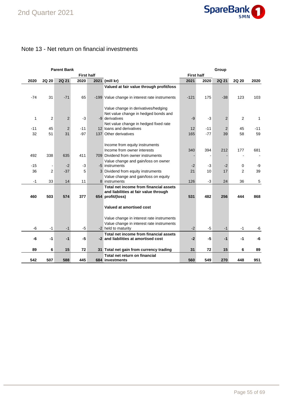

### Note 13 - Net return on financial investments

|       |                | <b>Parent Bank</b> |       |                   |                                                               |                   |       | Group          |                |       |
|-------|----------------|--------------------|-------|-------------------|---------------------------------------------------------------|-------------------|-------|----------------|----------------|-------|
|       |                |                    |       | <b>First half</b> |                                                               | <b>First half</b> |       |                |                |       |
| 2020  | 2Q 20          | <b>2Q 21</b>       | 2020  |                   | 2021 (mill kr)                                                | 2021              | 2020  | 2Q 21          | 2Q 20          | 2020  |
|       |                |                    |       |                   | Valued at fair value through profit/loss                      |                   |       |                |                |       |
|       |                |                    |       |                   |                                                               |                   |       |                |                |       |
| $-74$ | 31             | $-71$              | 65    |                   | -199 Value change in interest rate instruments                | $-121$            | 175   | $-38$          | 123            | 103   |
|       |                |                    |       |                   |                                                               |                   |       |                |                |       |
|       |                |                    |       |                   | Value change in derivatives/hedging                           |                   |       |                |                |       |
|       |                |                    |       |                   | Net value change in hedged bonds and                          |                   |       |                |                |       |
| 1     | 2              | 2                  | $-3$  |                   | -9 derivatives                                                | $-9$              | $-3$  | $\overline{2}$ | 2              | 1     |
|       |                |                    |       |                   | Net value change in hedged fixed rate                         |                   |       |                |                |       |
| $-11$ | 45             | 2                  | $-11$ |                   | 12 loans and derivatives                                      | 12                | $-11$ | $\overline{2}$ | 45             | $-11$ |
| 32    | 51             | 31                 | $-97$ |                   | 137 Other derivatives                                         | 165               | $-77$ | 39             | 58             | 59    |
|       |                |                    |       |                   |                                                               |                   |       |                |                |       |
|       |                |                    |       |                   | Income from equity instruments                                |                   |       |                |                |       |
|       |                |                    |       |                   | Income from owner interests                                   | 340               | 394   | 212            | 177            | 681   |
| 492   | 338            | 635                | 411   |                   | 709 Dividend from owner instruments                           |                   |       |                |                |       |
|       |                |                    |       |                   | Value change and gain/loss on owner                           |                   |       |                |                |       |
| $-15$ |                | $-2$               | $-3$  |                   | -5 instruments                                                | $-2$              | $-3$  | $-2$           | 0              | -9    |
| 36    | $\overline{2}$ | $-37$              | 5     |                   | 3 Dividend from equity instruments                            | 21                | 10    | 17             | $\overline{2}$ | 39    |
|       |                |                    |       |                   | Value change and gain/loss on equity                          |                   |       |                |                |       |
| $-1$  | 33             | 14                 | 11    |                   | 8 instruments                                                 | 126               | $-3$  | 24             | 36             | 5     |
|       |                |                    |       |                   | Total net income from financial assets                        |                   |       |                |                |       |
|       |                |                    |       |                   | and liabilities at fair value through                         |                   |       |                |                |       |
| 460   | 503            | 574                | 377   |                   | 654 profit/(loss)                                             | 531               | 482   | 256            | 444            | 868   |
|       |                |                    |       |                   |                                                               |                   |       |                |                |       |
|       |                |                    |       |                   | Valued at amortised cost                                      |                   |       |                |                |       |
|       |                |                    |       |                   |                                                               |                   |       |                |                |       |
|       |                |                    |       |                   | Value change in interest rate instruments                     |                   |       |                |                |       |
| -6    | $-1$           | $-1$               | $-5$  |                   | Value change in interest rate instruments                     | $-2$              | $-5$  | $-1$           |                | -6    |
|       |                |                    |       |                   | -2 held to maturity<br>Total net income from financial assets |                   |       |                | -1             |       |
| -6    | $-1$           | $-1$               | -5    |                   | -2 and liabilities at amortised cost                          | $-2$              | $-5$  | $-1$           | -1             | -6    |
|       |                |                    |       |                   |                                                               |                   |       |                |                |       |
| 89    | 6              | 15                 | 72    |                   | 31 Total net gain from currency trading                       | 31                | 72    | 15             | 6              | 89    |
|       |                |                    |       |                   | Total net return on financial                                 |                   |       |                |                |       |
| 542   | 507            | 588                | 445   |                   | 684 investments                                               | 560               | 549   | 270            | 448            | 951   |
|       |                |                    |       |                   |                                                               |                   |       |                |                |       |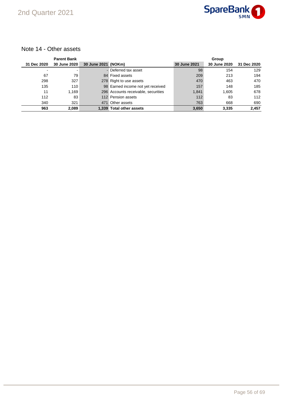

#### Note 14 - Other assets

|             | <b>Parent Bank</b>  |                     |                                     |              | Group        |             |
|-------------|---------------------|---------------------|-------------------------------------|--------------|--------------|-------------|
| 31 Dec 2020 | <b>30 June 2020</b> | 30 June 2021 (NOKm) |                                     | 30 June 2021 | 30 June 2020 | 31 Dec 2020 |
|             |                     |                     | - Deferred tax asset                | 98           | 154          | 129         |
| 67          | 79                  |                     | 84 Fixed assets                     | 209          | 213          | 194         |
| 298         | 327                 |                     | 278 Right to use assets             | 470          | 463          | 470         |
| 135         | 110                 |                     | 98 Earned income not yet received   | 157          | 148          | 185         |
| 11          | 1.169               |                     | 296 Accounts receivable, securities | 1,841        | 1.605        | 678         |
| 112         | 83                  |                     | 112 Pension assets                  | 112          | 83           | 112         |
| 340         | 321                 |                     | 471 Other assets                    | 763          | 668          | 690         |
| 963         | 2,089               |                     | 1.339 Total other assets            | 3,650        | 3,335        | 2,457       |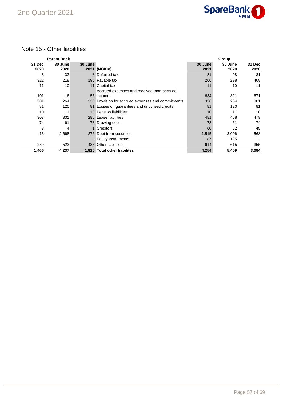

#### Note 15 - Other liabilities

|                | <b>Parent Bank</b> |         |                                                    |                 | Group           |                |
|----------------|--------------------|---------|----------------------------------------------------|-----------------|-----------------|----------------|
| 31 Dec<br>2020 | 30 June<br>2020    | 30 June | 2021 (NOKm)                                        | 30 June<br>2021 | 30 June<br>2020 | 31 Dec<br>2020 |
| 8              | 32                 |         | 8 Deferred tax                                     | 81              | 98              | 81             |
| 322            | 218                |         | 195 Payable tax                                    | 266             | 298             | 408            |
| 11             | 10                 |         | 11 Capital tax                                     | 11              | 10              | 11             |
|                |                    |         | Accrued expenses and received, non-accrued         |                 |                 |                |
| 101            | -6                 |         | 55 income                                          | 634             | 321             | 671            |
| 301            | 264                |         | 336 Provision for accrued expenses and commitments | 336             | 264             | 301            |
| 81             | 120                |         | 81 Losses on guarantees and unutilised credits     | 81              | 120             | 81             |
| 10             | 11                 |         | 10 Pension liabilities                             | 10              | 11              | 10             |
| 303            | 331                |         | 285 Lease liabilities                              | 481             | 468             | 479            |
| 74             | 61                 |         | 78 Drawing debt                                    | 78              | 61              | 74             |
| 3              | 4                  |         | 1 Creditors                                        | 60              | 62              | 45             |
| 13             | 2,668              |         | 276 Debt from securities                           | 1,515           | 3,006           | 568            |
|                | -                  |         | - Equity Instruments                               | 87              | 125             |                |
| 239            | 523                |         | 483 Other liabilities                              | 614             | 615             | 355            |
| 1,466          | 4,237              |         | 1,820 Total other liabilites                       | 4,254           | 5,459           | 3,084          |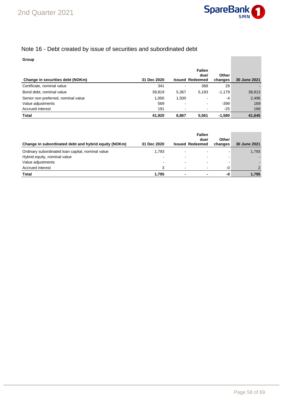

### Note 16 - Debt created by issue of securities and subordinated debt

#### **Group**

| Change in securities debt (NOKm)    | 31 Dec 2020 |       | <b>Fallen</b><br>due/<br><b>Issued Redeemed</b> | <b>Other</b><br>changes | 30 June 2021 |
|-------------------------------------|-------------|-------|-------------------------------------------------|-------------------------|--------------|
| Certificate, nominal value          | 341         |       | 368                                             | 28                      |              |
| Bond debt, nominal value            | 39,819      | 5,367 | 5.193                                           | $-1,179$                | 38,813       |
| Senior non preferred, nominal value | 1,000       | 1,500 | ۰.                                              | -4                      | 2,496        |
| Value adjustments                   | 569         |       | $\overline{\phantom{0}}$                        | -399                    | 169          |
| Accrued interest                    | 191         |       | ۰.                                              | $-25$                   | 166          |
| <b>Total</b>                        | 41,920      | 6.867 | 5.561                                           | $-1.580$                | 41,645       |

| Change in subordinated debt and hybrid equity (NOKm) | 31 Dec 2020              | <b>Issued Redeemed</b>   | <b>Fallen</b><br>due/ | Other<br>changes | 30 June 2021  |
|------------------------------------------------------|--------------------------|--------------------------|-----------------------|------------------|---------------|
| Ordinary subordinated loan capital, nominal value    | 1,793                    |                          |                       |                  | 1,793         |
| Hybrid equity, nominal value                         | $\overline{\phantom{a}}$ | $\overline{\phantom{0}}$ | -                     |                  |               |
| Value adjustments                                    |                          |                          |                       |                  |               |
| Accrued interest                                     | 3                        | $\overline{\phantom{0}}$ | ۰                     | $-0$             | $\mathcal{P}$ |
| <b>Total</b>                                         | 1.795                    |                          |                       | -0               | 1,795         |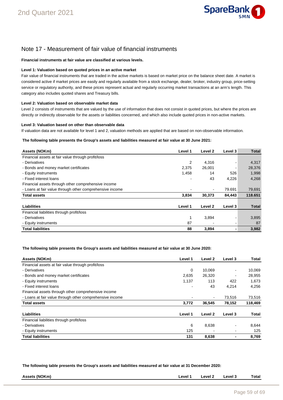

### Note 17 - Measurement of fair value of financial instruments

#### **Financial instruments at fair value are classified at various levels.**

#### **Level 1: Valuation based on quoted prices in an active market**

Fair value of financial instruments that are traded in the active markets is based on market price on the balance sheet date. A market is considered active if market prices are easily and regularly available from a stock exchange, dealer, broker, industry group, price-setting service or regulatory authority, and these prices represent actual and regularly occurring market transactions at an arm's length. This category also includes quoted shares and Treasury bills.

#### **Level 2: Valuation based on observable market data**

Level 2 consists of instruments that are valued by the use of information that does not consist in quoted prices, but where the prices are directly or indirectly observable for the assets or liabilities concerned, and which also include quoted prices in non-active markets.

#### **Level 3: Valuation based on other than observable data**

If valuation data are not available for level 1 and 2, valuation methods are applied that are based on non-observable information.

#### **The following table presents the Group's assets and liabilities measured at fair value at 30 June 2021:**

| Assets (NOKm)                                            | Level 1        | Level 2 | Level 3                  | <b>Total</b> |
|----------------------------------------------------------|----------------|---------|--------------------------|--------------|
| Financial assets at fair value through profit/loss       |                |         |                          |              |
| - Derivatives                                            | $\overline{2}$ | 4,316   | $\overline{\phantom{a}}$ | 4,317        |
| - Bonds and money market certificates                    | 2,375          | 26,001  |                          | 28,376       |
| - Equity instruments                                     | 1,458          | 14      | 526                      | 1,998        |
| - Fixed interest loans                                   |                | 43      | 4,226                    | 4,268        |
| Financial assets through other comprehensive income      |                |         |                          |              |
| - Loans at fair value through other comprehensive income |                |         | 79.691                   | 79,691       |
| <b>Total assets</b>                                      | 3,834          | 30,373  | 84,443                   | 118.651      |
| Liabilities                                              | Level 1        | Level 2 | Level 3                  | <b>Total</b> |
| Financial liabilities through profit/loss                |                |         |                          |              |
| - Derivatives                                            | 1              | 3,894   |                          | 3,895        |
| - Equity instruments                                     | 87             |         |                          | 87           |
| <b>Total liabilities</b>                                 | 88             | 3,894   |                          | 3,982        |

#### **The following table presents the Group's assets and liabilities measured at fair value at 30 June 2020:**

| Assets (NOKm)                                            | Level 1 | Level 2 | Level 3                  | Total   |
|----------------------------------------------------------|---------|---------|--------------------------|---------|
| Financial assets at fair value through profit/loss       |         |         |                          |         |
| - Derivatives                                            | 0       | 10.069  |                          | 10,069  |
| - Bonds and money market certificates                    | 2,635   | 26,320  | $\overline{\phantom{a}}$ | 28,955  |
| - Equity instruments                                     | 1,137   | 113     | 422                      | 1,673   |
| - Fixed interest loans                                   |         | 43      | 4,214                    | 4,256   |
| Financial assets through other comprehensive income      |         |         |                          |         |
| - Loans at fair value through other comprehensive income |         |         | 73,516                   | 73,516  |
| <b>Total assets</b>                                      | 3,772   | 36.545  | 78,152                   | 118,469 |
| Liabilities                                              | Level 1 | Level 2 | Level 3                  | Total   |
| Financial liabilities through profit/loss                |         |         |                          |         |
| - Derivatives                                            | 6       | 8,638   |                          | 8,644   |
| - Equity instruments                                     | 125     |         |                          | 125     |
| <b>Total liabilities</b>                                 | 131     | 8,638   |                          | 8.769   |

**The following table presents the Group's assets and liabilities measured at fair value at 31 December 2020:**

| , (NOKm)<br>Assets<br>∟evel <sup>∽</sup><br>evel<br>_evel<br>otal<br>- 11 |
|---------------------------------------------------------------------------|
|                                                                           |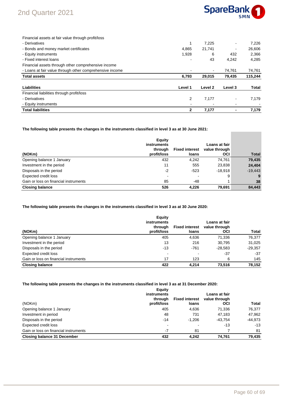## 2nd Quarter 2021



 $\sim$ 

| Financial assets at fair value through profit/loss       |         |         |         |              |
|----------------------------------------------------------|---------|---------|---------|--------------|
| - Derivatives                                            |         | 7.225   |         | 7.226        |
| - Bonds and money market certificates                    | 4.865   | 21,741  |         | 26.606       |
| - Equity instruments                                     | 1,928   | 6       | 432     | 2,366        |
| - Fixed interest loans                                   |         | 43      | 4,242   | 4.285        |
| Financial assets through other comprehensive income      |         |         |         |              |
| - Loans at fair value through other comprehensive income |         | ۰       | 74,761  | 74,761       |
| <b>Total assets</b>                                      | 6,793   | 29,015  | 79,435  | 115,244      |
| Liabilities                                              | Level 1 | Level 2 | Level 3 | <b>Total</b> |
| Financial liabilities through profit/loss                |         |         |         |              |
| - Derivatives                                            | 2       | 7,177   |         | 7.179        |
| - Equity instruments                                     |         |         |         |              |
| <b>Total liabilities</b>                                 |         | 7.177   |         | 7.179        |

**The following table presents the changes in the instruments classified in level 3 as at 30 June 2021:**

| (NOKm)                                | Equity<br><b>instruments</b><br>through<br>profit/loss | <b>Fixed interest</b><br>loans | Loans at fair<br>value through<br><b>OCI</b> | <b>Total</b> |
|---------------------------------------|--------------------------------------------------------|--------------------------------|----------------------------------------------|--------------|
| Opening balance 1 January             | 432                                                    | 4,242                          | 74,761                                       | 79,435       |
| Investment in the period              | 11                                                     | 555                            | 23,838                                       | 24,404       |
| Disposals in the period               | $-2$                                                   | $-523$                         | $-18.918$                                    | $-19.443$    |
| Expected credit loss                  | $\overline{\phantom{a}}$                               |                                | 9                                            | 9            |
| Gain or loss on financial instruments | 85                                                     | -48                            |                                              | 38           |
| <b>Closing balance</b>                | 526                                                    | 4,226                          | 79,691                                       | 84,443       |

#### **The following table presents the changes in the instruments classified in level 3 as at 30 June 2020:**

|                                       | Equity<br>instruments    |                                | Loans at fair        |           |
|---------------------------------------|--------------------------|--------------------------------|----------------------|-----------|
| (NOKm)                                | through<br>profit/loss   | <b>Fixed interest</b><br>loans | value through<br>OCI | Total     |
| Opening balance 1 January             | 405                      | 4,636                          | 71,336               | 76,377    |
| Investment in the period              | 13                       | 216                            | 30.795               | 31,025    |
| Disposals in the period               | $-13$                    | $-761$                         | $-28.583$            | $-29,357$ |
| Expected credit loss                  | $\overline{\phantom{0}}$ |                                | $-37$                | $-37$     |
| Gain or loss on financial instruments | 17                       | 123                            | 6                    | 145       |
| <b>Closing balance</b>                | 422                      | 4.214                          | 73.516               | 78,152    |

#### **The following table presents the changes in the instruments classified in level 3 as at 31 December 2020:**

| (NOKm)                                | Equity<br>instruments<br>through<br>profit/loss | <b>Fixed interest</b><br>loans | <b>Loans at fair</b><br>value through<br>OCI | Total     |
|---------------------------------------|-------------------------------------------------|--------------------------------|----------------------------------------------|-----------|
| Opening balance 1 January             | 405                                             | 4.636                          | 71,336                                       | 76,377    |
| Investment in period                  | 48                                              | 731                            | 47.183                                       | 47,962    |
| Disposals in the period               | $-14$                                           | $-1.206$                       | $-43.754$                                    | $-44.973$ |
| Expected credit loss                  |                                                 |                                | $-13$                                        | $-13$     |
| Gain or loss on financial instruments | $-7$                                            | 81                             |                                              | 81        |
| <b>Closing balance 31 December</b>    | 432                                             | 4.242                          | 74.761                                       | 79,435    |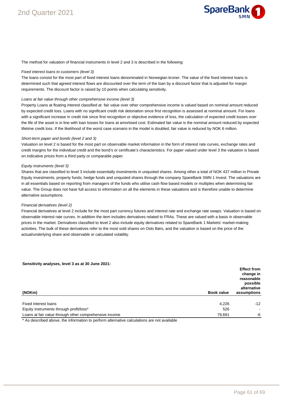

The method for valuation of financial instruments in level 2 and 3 is described in the following:

#### Fixed interest loans to customers (level 3)

The loans consist for the most part of fixed interest loans denominated in Norwegian kroner. The value of the fixed interest loans is determined such that agreed interest flows are discounted over the term of the loan by a discount factor that is adjusted for margin requirements. The discount factor is raised by 10 points when calculating sensitivity.

#### Loans at fair value through other comprehensive income (level 3)

Property Loans at floating interest classified at fair value over other comprehensive income is valued based on nominal amount reduced by expected credit loss. Loans with no significant credit risk detoriation since first recognition is assessed at nominal amount. For loans with a significant increase in credit risk since first recognition or objective evidence of loss, the calculation of expected credit losses over the life of the asset is in line with loan losses for loans at amortised cost. Estimated fair value is the nominal amount reduced by expected lifetime credit loss. If the likelihood of the worst case scenario in the model is doubled, fair value is reduced by NOK 6 million.

#### Short-term paper and bonds (level 2 and 3)

Valuation on level 2 is based for the most part on observable market information in the form of interest rate curves, exchange rates and credit margins for the individual credit and the bond's or certificate's characteristics. For paper valued under level 3 the valuation is based on indicative prices from a third party or comparable paper.

#### Equity instruments (level 3)

Shares that are classified to level 3 include essentially investments in unquoted shares. Among other a total of NOK 437 million in Private Equity investments, property funds, hedge funds and unquoted shares through the company SpareBank SMN 1 Invest. The valuations are in all essentials based on reporting from managers of the funds who utilise cash flow based models or multiples when determining fair value. The Group does not have full access to information on all the elements in these valuations and is therefore unable to determine alternative assumptions.

#### Financial derivatives (level 2)

Financial derivatives at level 2 include for the most part currency futures and interest rate and exchange rate swaps. Valuation is based on observable interest rate curves. In addition the item includes derivatives related to FRAs. These are valued with a basis in observable prices in the market. Derivatives classified to level 2 also include equity derivatives related to SpareBank 1 Markets' market-making activities. The bulk of these derivatives refer to the most sold shares on Oslo Børs, and the valuation is based on the price of the actual/underlying share and observable or calculated volatility.

#### **Sensitivity analyses, level 3 as at 30 June 2021:**

| (NOKm)<br><b>Book value</b>                                      | <b>Effect from</b><br>change in<br>reasonable<br>possible<br>alternative<br>assumptions |
|------------------------------------------------------------------|-----------------------------------------------------------------------------------------|
| Fixed interest loans<br>4,226                                    | $-12$                                                                                   |
| Equity instruments through profit/loss*<br>526                   | $\sim$                                                                                  |
| Loans at fair value through other comprehensive income<br>79,691 | -6                                                                                      |

\* As described above, the information to perform alternative calculations are not available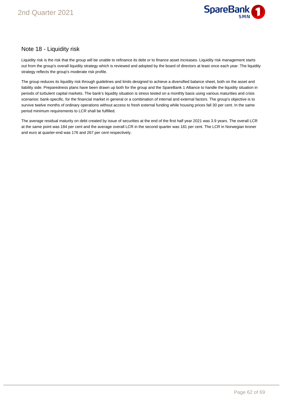

#### Note 18 - Liquidity risk

Liquidity risk is the risk that the group will be unable to refinance its debt or to finance asset increases. Liquidity risk management starts out from the group's overall liquidity strategy which is reviewed and adopted by the board of directors at least once each year. The liquidity strategy reflects the group's moderate risk profile.

The group reduces its liquidity risk through guidelines and limits designed to achieve a diversified balance sheet, both on the asset and liability side. Preparedness plans have been drawn up both for the group and the SpareBank 1 Alliance to handle the liquidity situation in periods of turbulent capital markets. The bank's liquidity situation is stress tested on a monthly basis using various maturities and crisis scenarios: bank-specific, for the financial market in general or a combination of internal and external factors. The group's objective is to survive twelve months of ordinary operations without access to fresh external funding while housing prices fall 30 per cent. In the same period minimum requirements to LCR shall be fulfilled.

The average residual maturity on debt created by issue of securities at the end of the first half year 2021 was 3.9 years. The overall LCR at the same point was 184 per cent and the average overall LCR in the second quarter was 181 per cent. The LCR in Norwegian kroner and euro at quarter-end was 176 and 267 per cent respectively.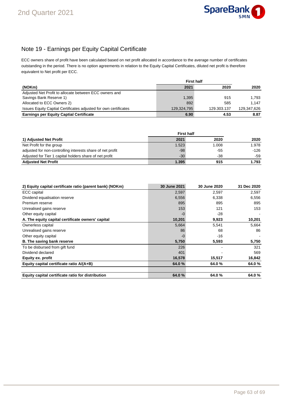

### Note 19 - Earnings per Equity Capital Certificate

ECC owners share of profit have been calculated based on net profit allocated in accordance to the average number of certificates outstanding in the period. There is no option agreements in relation to the Equity Capital Certificates, diluted net profit is therefore equivalent to Net profit per ECC.

|                                                                  |             | <b>First half</b> |             |  |  |  |
|------------------------------------------------------------------|-------------|-------------------|-------------|--|--|--|
| (NOKm)                                                           | 2021        | 2020              | 2020        |  |  |  |
| Adjusted Net Profit to allocate between ECC owners and           |             |                   |             |  |  |  |
| Savings Bank Reserve 1)                                          | 1,395       | 915               | 1.793       |  |  |  |
| Allocated to ECC Owners 2)                                       | 892         | 585               | 1.147       |  |  |  |
| Issues Equity Captial Certificates adjusted for own certificates | 129.324.795 | 129.303.137       | 129.347.626 |  |  |  |
| <b>Earnings per Equity Captial Certificate</b>                   | 6.90        | 4.53              | 8.87        |  |  |  |

|                                                            | <b>First half</b> |       |        |
|------------------------------------------------------------|-------------------|-------|--------|
| 1) Adjusted Net Profit                                     | 2021              | 2020  | 2020   |
| Net Profit for the group                                   | 1.523             | 1.008 | 1.978  |
| adjusted for non-controlling interests share of net profit | -98               | -55   | $-126$ |
| Adjusted for Tier 1 capital holders share of net profit    | $-30$             | $-38$ | -59    |
| <b>Adjusted Net Profit</b>                                 | 1.395             | 915   | 1.793  |

| 2) Equity capital certificate ratio (parent bank) (NOKm) | 30 June 2021 | 30 June 2020 | 31 Dec 2020 |
|----------------------------------------------------------|--------------|--------------|-------------|
| ECC capital                                              | 2,597        | 2,597        | 2,597       |
| Dividend equalisation reserve                            | 6,556        | 6,338        | 6,556       |
| Premium reserve                                          | 895          | 895          | 895         |
| Unrealised gains reserve                                 | 153          | 121          | 153         |
| Other equity capital                                     | -0           | $-28$        |             |
| A. The equity capital certificate owners' capital        | 10,201       | 9,923        | 10,201      |
| Ownerless capital                                        | 5,664        | 5,541        | 5,664       |
| Unrealised gains reserve                                 | 86           | 68           | 86          |
| Other equity capital                                     | -0           | $-16$        |             |
| <b>B.</b> The saving bank reserve                        | 5,750        | 5,593        | 5,750       |
| To be disbursed from gift fund                           | 226          |              | 321         |
| Dividend declared                                        | 401          |              | 569         |
| Equity ex. profit                                        | 16,578       | 15,517       | 16,842      |
| Equity capital certificate ratio A/(A+B)                 | 64.0%        | 64.0%        | 64.0%       |
| Equity capital certificate ratio for distribution        | 64.0%        | 64.0%        | 64.0%       |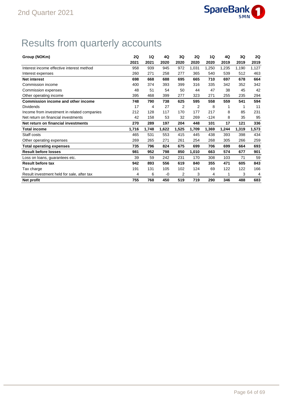

## Results from quarterly accounts

| Group (NOKm)                                | <b>2Q</b> | 1Q    | 4Q    | 3Q    | <b>2Q</b> | 1Q     | 4Q    | 3Q    | 2Q    |
|---------------------------------------------|-----------|-------|-------|-------|-----------|--------|-------|-------|-------|
|                                             | 2021      | 2021  | 2020  | 2020  | 2020      | 2020   | 2019  | 2019  | 2019  |
| Interest income effective interest method   | 958       | 939   | 945   | 972   | 1,031     | 1,250  | 1,235 | 1,190 | 1,127 |
| Interest expenses                           | 260       | 271   | 258   | 277   | 365       | 540    | 539   | 512   | 463   |
| <b>Net interest</b>                         | 698       | 668   | 688   | 695   | 665       | 710    | 697   | 678   | 664   |
| Commission income                           | 400       | 374   | 393   | 399   | 316       | 335    | 342   | 352   | 342   |
| Commission expenses                         | 48        | 51    | 54    | 50    | 44        | 47     | 38    | 45    | 42    |
| Other operating income                      | 395       | 468   | 399   | 277   | 323       | 271    | 255   | 235   | 294   |
| <b>Commission income and other income</b>   | 748       | 790   | 738   | 625   | 595       | 558    | 559   | 541   | 594   |
| Dividends                                   | 17        | 4     | 27    | 2     | 2         | 8      | 1     | 1     | 11    |
| Income from investment in related companies | 212       | 128   | 117   | 170   | 177       | 217    | 8     | 85    | 231   |
| Net return on financial investments         | 42        | 158   | 53    | 32    | 269       | $-124$ | 8     | 35    | 95    |
| Net return on financial investments         | 270       | 289   | 197   | 204   | 448       | 101    | 17    | 121   | 336   |
| <b>Total income</b>                         | 1,716     | 1,748 | 1,622 | 1,525 | 1,709     | 1,369  | 1,244 | 1,319 | 1,573 |
| Staff costs                                 | 465       | 531   | 553   | 415   | 445       | 438    | 393   | 398   | 434   |
| Other operating expenses                    | 269       | 265   | 271   | 261   | 254       | 268    | 305   | 266   | 259   |
| <b>Total operating expenses</b>             | 735       | 796   | 824   | 675   | 699       | 706    | 699   | 664   | 693   |
| <b>Result before losses</b>                 | 981       | 952   | 798   | 850   | 1,010     | 663    | 574   | 677   | 901   |
| Loss on loans, guarantees etc.              | 39        | 59    | 242   | 231   | 170       | 308    | 103   | 71    | 59    |
| <b>Result before tax</b>                    | 942       | 893   | 556   | 619   | 840       | 355    | 471   | 605   | 843   |
| Tax charge                                  | 191       | 131   | 105   | 102   | 124       | 69     | 122   | 122   | 166   |
| Result investment held for sale, after tax  | 4         | 6     | -0    | 2     | 3         | 4      | 1     | 3     | 4     |
| Net profit                                  | 755       | 768   | 450   | 519   | 719       | 290    | 346   | 488   | 683   |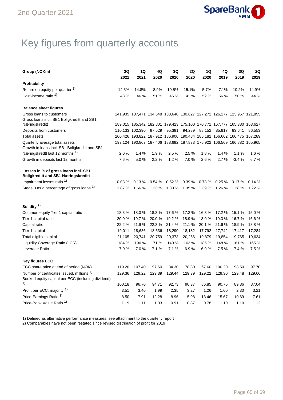

## Key figures from quarterly accounts

| Group (NOKm)                                                                       | 2Q     | 1Q                                                                      | 4Q     | 3Q     | 2Q     | 1Q     | 4Q     | 3Q      | 2Q     |
|------------------------------------------------------------------------------------|--------|-------------------------------------------------------------------------|--------|--------|--------|--------|--------|---------|--------|
|                                                                                    | 2021   | 2021                                                                    | 2020   | 2020   | 2020   | 2020   | 2019   | 2019    | 2019   |
| Profitability                                                                      |        |                                                                         |        |        |        |        |        |         |        |
| Return on equity per quarter 1)                                                    | 14.3%  | 14.8%                                                                   | 8.9%   | 10.5%  | 15.1%  | 5.7%   | 7.1%   | 10.2%   | 14.9%  |
| Cost-income ratio <sup>1)</sup>                                                    | 43 %   | 46 %                                                                    | 51 %   | 45 %   | 41 %   | 52 %   | 56 %   | 50 %    | 44 %   |
| <b>Balance sheet figures</b>                                                       |        |                                                                         |        |        |        |        |        |         |        |
| Gross loans to customers                                                           |        | 141,935 137,471 134,648 133,640 130,627 127,272 126,277 123,967 121,895 |        |        |        |        |        |         |        |
| Gross loans incl. SB1 Boligkreditt and SB1                                         |        |                                                                         |        |        |        |        |        |         |        |
| Næringskreditt                                                                     |        | 189,015 185,342 182,801 179,423 175,100 170,771 167,777 165,380 163,627 |        |        |        |        |        |         |        |
| Deposits from customers                                                            |        | 110,133 102,390 97,529                                                  |        | 95,391 | 94,289 | 88,152 | 85,917 | 83,641  | 86,553 |
| <b>Total assets</b>                                                                |        | 200,426 193,822 187,912 186,900 190,484 185,182 166,662 166,475 167,289 |        |        |        |        |        |         |        |
| Quarterly average total assets                                                     |        | 197,124 190,867 187,406 188,692 187,833 175,922 166,569 166,882 165,965 |        |        |        |        |        |         |        |
| Growth in loans incl. SB1 Boligkreditt and SB1                                     |        |                                                                         |        |        |        |        |        |         |        |
| Næringskredtt last 12 months 1)                                                    | 2.0%   | 1.4%                                                                    | 1.9%   | 2.5%   | 2.5%   | 1.8%   | 1.4%   | 1.1%    | 1.6%   |
| Growth in deposits last 12 months                                                  | 7.6%   | 5.0%                                                                    | 2.2%   | 1.2%   | 7.0%   | 2.6%   | 2.7%   | $-3.4%$ | 6.7%   |
| Losses in % of gross loans incl. SB1<br><b>Boligkreditt and SB1 Næringskreditt</b> |        |                                                                         |        |        |        |        |        |         |        |
| Impairment losses ratio <sup>1)</sup>                                              | 0.08%  | 0.13%                                                                   | 0.54%  | 0.52%  | 0.39%  | 0.73%  | 0.25%  | 0.17%   | 0.14%  |
| Stage 3 as a percentage of gross loans <sup>1)</sup>                               | 1.87 % | 1.66 %                                                                  | 1.23 % | 1.30%  | 1.35%  | 1.39 % | 1.26 % | 1.28 %  | 1.22 % |
| Solidity <sup>2)</sup>                                                             |        |                                                                         |        |        |        |        |        |         |        |
| Common equity Tier 1 capital ratio                                                 | 18.3%  | 18.0%                                                                   | 18.3%  | 17.6 % | 17.2 % | 16.3%  | 17.2 % | 15.1%   | 15.0%  |
| Tier 1 capital ratio                                                               | 20.0%  | 19.7%                                                                   | 20.0%  | 19.2%  | 18.9%  | 18.0%  | 19.3%  | 16.7%   | 16.6%  |
| Capital ratio                                                                      | 22.2 % | 21.9%                                                                   | 22.3 % | 21.4 % | 21.1%  | 20.1 % | 21.6%  | 18.9%   | 18.8%  |
| Tier 1 capital                                                                     | 19,011 | 18,636                                                                  | 18,636 | 18,290 | 18,182 | 17,792 | 17,742 | 17,417  | 17,284 |
| Total eligible capital                                                             | 21,105 | 20,741                                                                  | 20,759 | 20,373 | 20,266 | 19,879 | 19,854 | 19,765  | 19,634 |
| Liquidity Coverage Ratio (LCR)                                                     | 184 %  | 190 %                                                                   | 171 %  | 140 %  | 163 %  | 185 %  | 148 %  | 181 %   | 165 %  |
| Leverage Ratio                                                                     | 7.0%   | 7.0%                                                                    | 7.1%   | 7.1%   | 6.9%   | 6.9%   | 7.5 %  | 7.4 %   | 7.5%   |
| <b>Key figures ECC</b>                                                             |        |                                                                         |        |        |        |        |        |         |        |
| ECC share price at end of period (NOK)                                             | 119.20 | 107.40                                                                  | 97.60  | 84.30  | 78.30  | 67.60  | 100.20 | 98.50   | 97.70  |
| Number of certificates issued, millions 1)                                         | 129.36 | 129.22                                                                  | 129.39 | 129.44 | 129.39 | 129.22 | 129.30 | 129.48  | 129.66 |
| Booked equity capital per ECC (including dividend)                                 |        |                                                                         |        |        |        |        |        |         |        |
| 1)                                                                                 | 100.18 | 96.70                                                                   | 94.71  | 92.73  | 90.37  | 86.85  | 90.75  | 89.36   | 87.04  |
| Profit per ECC, majority 1)                                                        | 3.51   | 3.40                                                                    | 1.99   | 2.35   | 3.27   | 1.26   | 1.60   | 2.30    | 3.21   |
| Price-Earnings Ratio <sup>1)</sup>                                                 | 8.50   | 7.91                                                                    | 12.28  | 8.96   | 5.98   | 13.46  | 15.67  | 10.69   | 7.61   |
| Price-Book Value Ratio <sup>1)</sup>                                               | 1.19   | 1.11                                                                    | 1.03   | 0.91   | 0.87   | 0.78   | 1.10   | 1.10    | 1.12   |

1) Defined as alternative performance measures, see attachment to the quarterly report

2) Comparables have not been restated since revised distribution of profit for 2019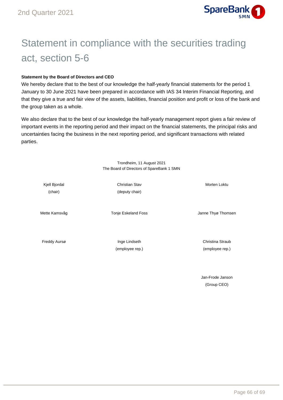

## Statement in compliance with the securities trading act, section 5-6

#### **Statement by the Board of Directors and CEO**

We hereby declare that to the best of our knowledge the half-yearly financial statements for the period 1 January to 30 June 2021 have been prepared in accordance with IAS 34 Interim Financial Reporting, and that they give a true and fair view of the assets, liabilities, financial position and profit or loss of the bank and the group taken as a whole.

We also declare that to the best of our knowledge the half-yearly management report gives a fair review of important events in the reporting period and their impact on the financial statements, the principal risks and uncertainties facing the business in the next reporting period, and significant transactions with related parties.

> Trondheim, 11 August 2021 The Board of Directors of SpareBank 1 SMN

(chair) (deputy chair)

Kjell Bjordal **Christian Stav** Christian Stav Morten Loktu

Mette Kamsvåg **Thomsen** Tonje Eskeland Foss **Grand The The The Thomsen** Janne Thyø Thomsen

Freddy Aursø **Inge Lindseth Christina Straub** Christina Straub

(employee rep.) (employee rep.)

Jan-Frode Janson (Group CEO)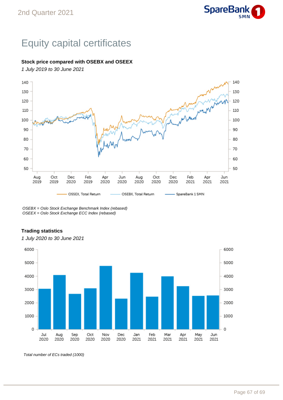

## Equity capital certificates

#### **Stock price compared with OSEBX and OSEEX**

1 July 2019 to 30 June 2021



OSEBX = Oslo Stock Exchange Benchmark Index (rebased) OSEEX = Oslo Stock Exchange ECC Index (rebased)

#### **Trading statistics**



1 July 2020 to 30 June 2021

Total number of ECs traded (1000)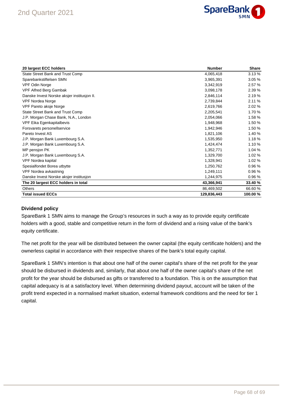

| 20 largest ECC holders                      | <b>Number</b> | <b>Share</b> |
|---------------------------------------------|---------------|--------------|
| State Street Bank and Trust Comp            | 4,065,418     | 3.13%        |
| Sparebankstiftelsen SMN                     | 3,965,391     | 3.05%        |
| VPF Odin Norge                              | 3,342,919     | 2.57 %       |
| <b>VPF Alfred Berg Gambak</b>               | 3,098,178     | 2.39 %       |
| Danske Invest Norske aksjer institusjon II. | 2,846,114     | 2.19%        |
| <b>VPF Nordea Norge</b>                     | 2.739.844     | 2.11%        |
| VPF Pareto aksje Norge                      | 2,619,766     | 2.02%        |
| State Street Bank and Trust Comp            | 2,205,541     | 1.70 %       |
| J.P. Morgan Chase Bank, N.A., London        | 2,054,066     | 1.58 %       |
| VPF Eika Egenkapitalbevis                   | 1,948,968     | 1.50 %       |
| Forsvarets personellservice                 | 1,942,946     | 1.50 %       |
| Pareto Invest AS                            | 1,821,106     | 1.40 %       |
| J.P. Morgan Bank Luxembourg S.A.            | 1,535,950     | 1.18%        |
| J.P. Morgan Bank Luxembourg S.A.            | 1,424,474     | 1.10 %       |
| MP pensjon PK                               | 1,352,771     | 1.04%        |
| J.P. Morgan Bank Luxembourg S.A.            | 1,329,700     | 1.02%        |
| VPF Nordea kapital                          | 1,328,941     | 1.02 %       |
| Spesialfondet Borea utbytte                 | 1,250,762     | 0.96%        |
| VPF Nordea avkastning                       | 1,249,111     | 0.96%        |
| Danske Invest Norske aksjer institusjon     | 1,244,975     | 0.96%        |
| The 20 largest ECC holders in total         | 43,366,941    | 33.40 %      |
| <b>Others</b>                               | 86,469,502    | 66.60 %      |
| <b>Total issued ECCs</b>                    | 129,836,443   | 100.00 %     |

#### **Dividend policy**

SpareBank 1 SMN aims to manage the Group's resources in such a way as to provide equity certificate holders with a good, stable and competitive return in the form of dividend and a rising value of the bank's equity certificate.

The net profit for the year will be distributed between the owner capital (the equity certificate holders) and the ownerless capital in accordance with their respective shares of the bank's total equity capital.

SpareBank 1 SMN's intention is that about one half of the owner capital's share of the net profit for the year should be disbursed in dividends and, similarly, that about one half of the owner capital's share of the net profit for the year should be disbursed as gifts or transferred to a foundation. This is on the assumption that capital adequacy is at a satisfactory level. When determining dividend payout, account will be taken of the profit trend expected in a normalised market situation, external framework conditions and the need for tier 1 capital.